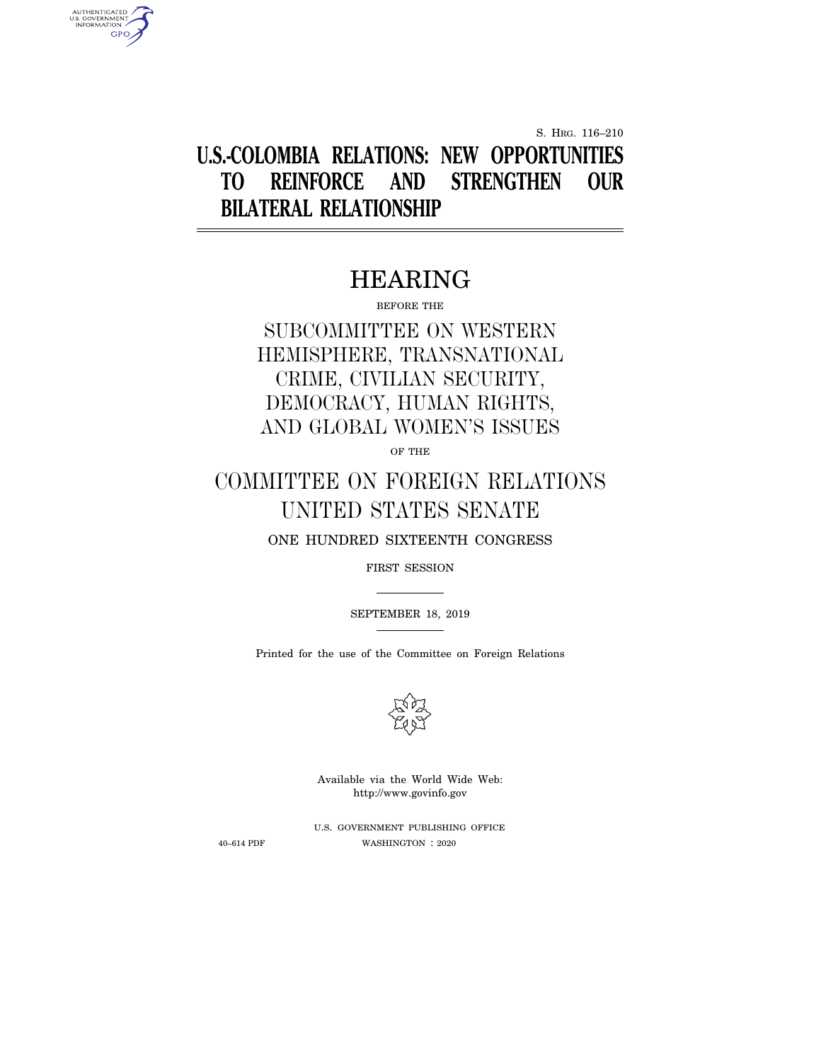S. HRG. 116–210

# **U.S.-COLOMBIA RELATIONS: NEW OPPORTUNITIES TO REINFORCE AND STRENGTHEN OUR BILATERAL RELATIONSHIP**

# HEARING

BEFORE THE

# SUBCOMMITTEE ON WESTERN HEMISPHERE, TRANSNATIONAL CRIME, CIVILIAN SECURITY, DEMOCRACY, HUMAN RIGHTS, AND GLOBAL WOMEN'S ISSUES

OF THE

# COMMITTEE ON FOREIGN RELATIONS UNITED STATES SENATE

ONE HUNDRED SIXTEENTH CONGRESS

FIRST SESSION

SEPTEMBER 18, 2019

Printed for the use of the Committee on Foreign Relations



Available via the World Wide Web: http://www.govinfo.gov

U.S. GOVERNMENT PUBLISHING OFFICE 40–614 PDF WASHINGTON : 2020

AUTHENTICATED<br>U.S. GOVERNMENT<br>INFORMATION **GPO**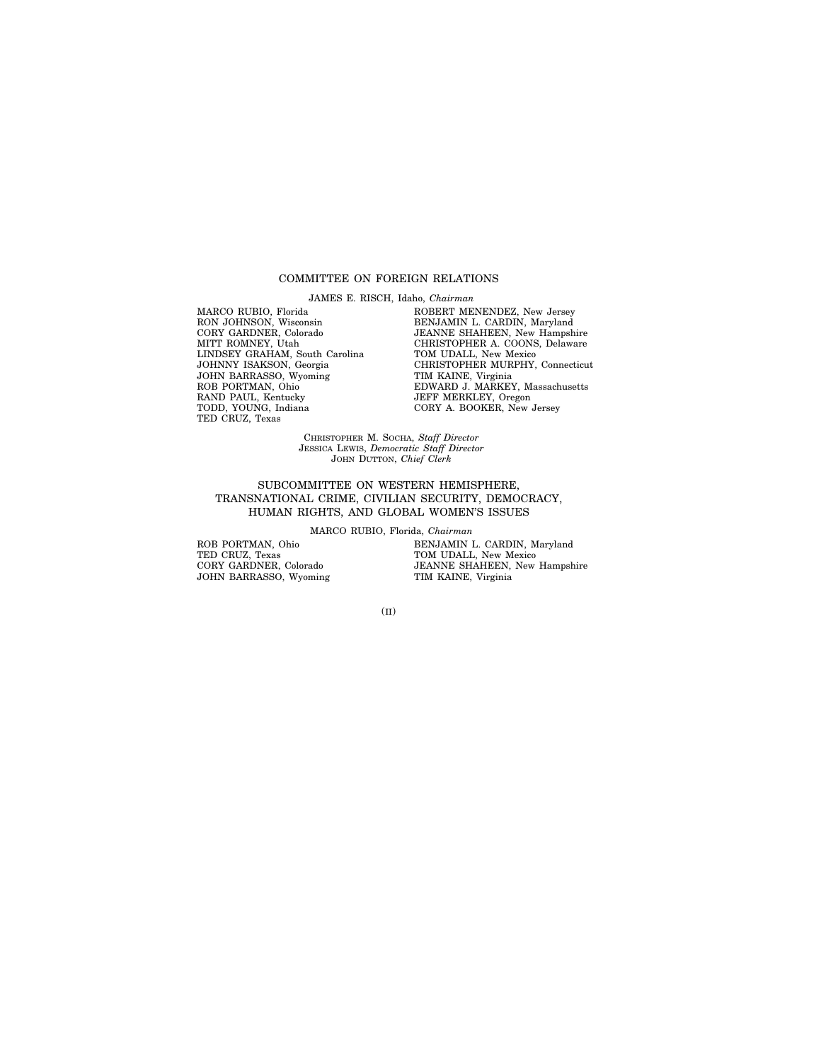#### COMMITTEE ON FOREIGN RELATIONS

JAMES E. RISCH, Idaho, *Chairman*

MARCO RUBIO, Florida RON JOHNSON, Wisconsin CORY GARDNER, Colorado MITT ROMNEY, Utah LINDSEY GRAHAM, South Carolina JOHNNY ISAKSON, Georgia JOHN BARRASSO, Wyoming ROB PORTMAN, Ohio RAND PAUL, Kentucky TODD, YOUNG, Indiana TED CRUZ, Texas

ROBERT MENENDEZ, New Jersey BENJAMIN L. CARDIN, Maryland JEANNE SHAHEEN, New Hampshire CHRISTOPHER A. COONS, Delaware TOM UDALL, New Mexico CHRISTOPHER MURPHY, Connecticut TIM KAINE, Virginia EDWARD J. MARKEY, Massachusetts JEFF MERKLEY, Oregon CORY A. BOOKER, New Jersey

CHRISTOPHER M. SOCHA, *Staff Director* JESSICA LEWIS, *Democratic Staff Director* JOHN DUTTON, *Chief Clerk*

### SUBCOMMITTEE ON WESTERN HEMISPHERE, TRANSNATIONAL CRIME, CIVILIAN SECURITY, DEMOCRACY, HUMAN RIGHTS, AND GLOBAL WOMEN'S ISSUES

MARCO RUBIO, Florida, *Chairman*

ROB PORTMAN, Ohio TED CRUZ, Texas CORY GARDNER, Colorado JOHN BARRASSO, Wyoming BENJAMIN L. CARDIN, Maryland TOM UDALL, New Mexico JEANNE SHAHEEN, New Hampshire TIM KAINE, Virginia

(II)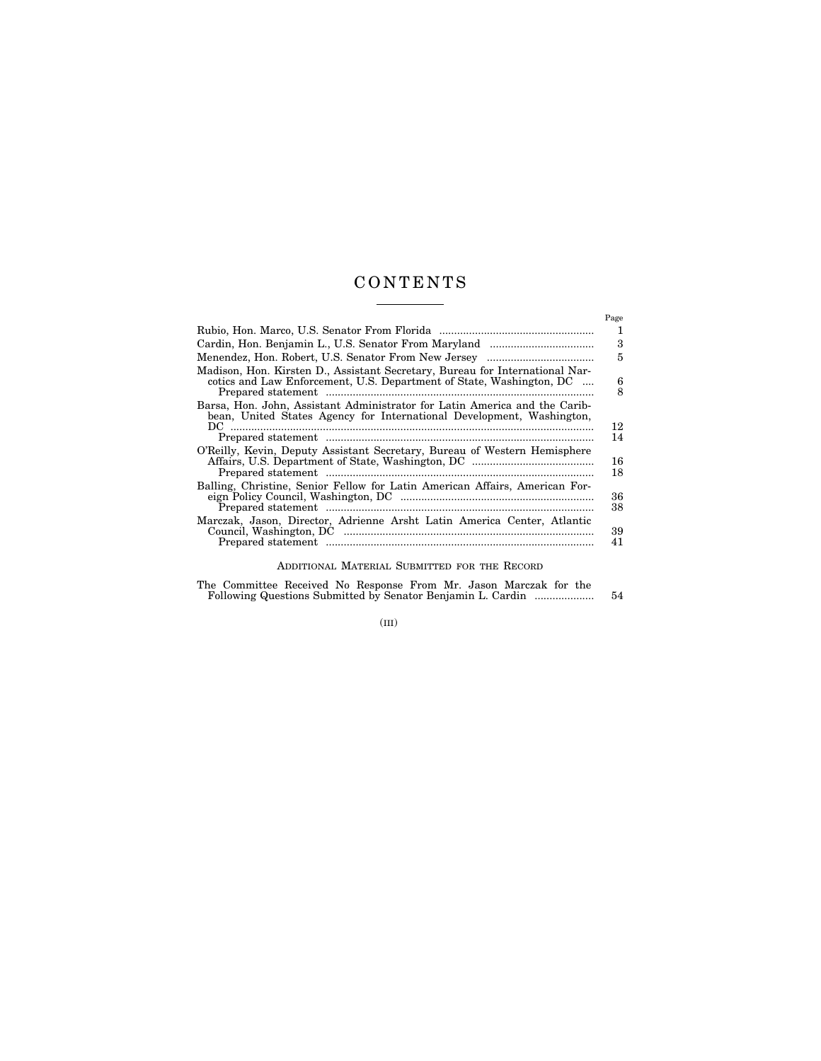# C O N T E N T S  $\overline{\phantom{a}}$

|                                                                                                                                                      | Page     |
|------------------------------------------------------------------------------------------------------------------------------------------------------|----------|
|                                                                                                                                                      | 1        |
|                                                                                                                                                      | 3        |
|                                                                                                                                                      | 5        |
| Madison, Hon. Kirsten D., Assistant Secretary, Bureau for International Nar-<br>cotics and Law Enforcement, U.S. Department of State, Washington, DC | 6<br>8   |
| Barsa, Hon. John, Assistant Administrator for Latin America and the Carib-<br>bean, United States Agency for International Development, Washington,  |          |
|                                                                                                                                                      | 12<br>14 |
| O'Reilly, Kevin, Deputy Assistant Secretary, Bureau of Western Hemisphere                                                                            | 16<br>18 |
| Balling, Christine, Senior Fellow for Latin American Affairs, American For-                                                                          | 36<br>38 |
| Marczak, Jason, Director, Adrienne Arsht Latin America Center, Atlantic                                                                              | 39<br>41 |

# ADDITIONAL MATERIAL SUBMITTED FOR THE RECORD

| The Committee Received No Response From Mr. Jason Marczak for the |  |  |  |     |
|-------------------------------------------------------------------|--|--|--|-----|
| Following Questions Submitted by Senator Benjamin L. Cardin       |  |  |  | -54 |
|                                                                   |  |  |  |     |

(III)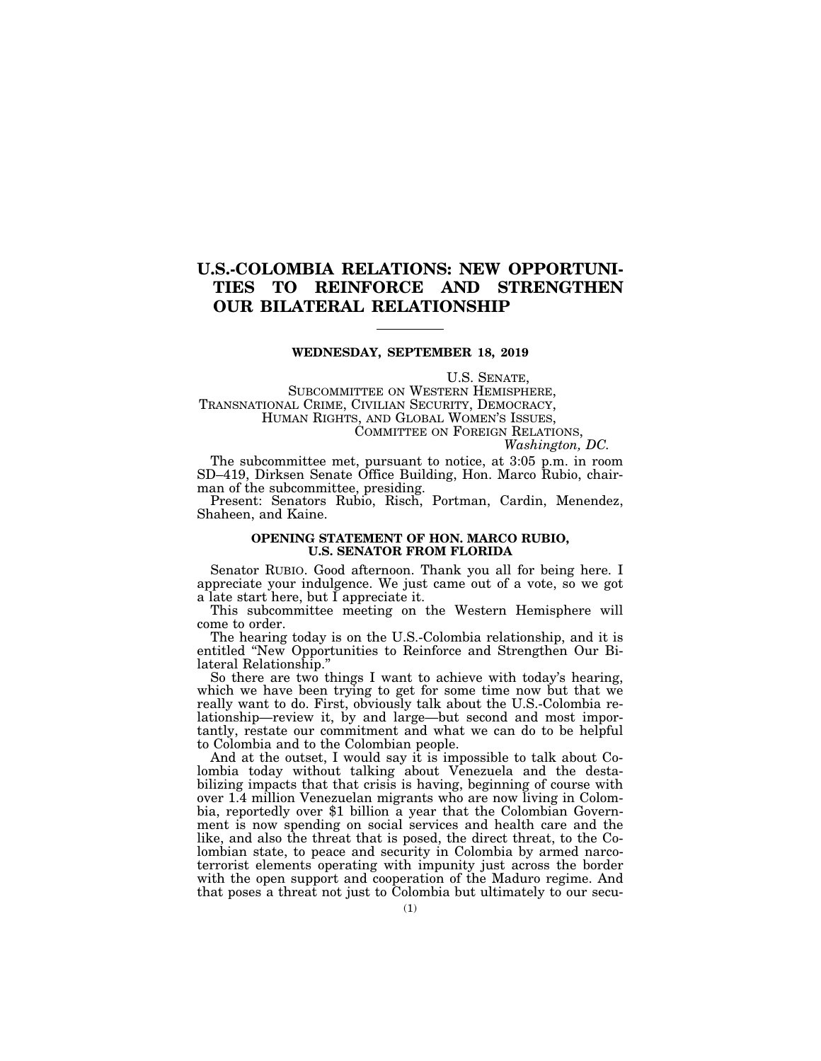# **U.S.-COLOMBIA RELATIONS: NEW OPPORTUNI-TIES TO REINFORCE AND STRENGTHEN OUR BILATERAL RELATIONSHIP**

# **WEDNESDAY, SEPTEMBER 18, 2019**

U.S. SENATE,

SUBCOMMITTEE ON WESTERN HEMISPHERE, TRANSNATIONAL CRIME, CIVILIAN SECURITY, DEMOCRACY, HUMAN RIGHTS, AND GLOBAL WOMEN'S ISSUES, COMMITTEE ON FOREIGN RELATIONS,

*Washington, DC.* 

The subcommittee met, pursuant to notice, at 3:05 p.m. in room SD–419, Dirksen Senate Office Building, Hon. Marco Rubio, chairman of the subcommittee, presiding.

Present: Senators Rubio, Risch, Portman, Cardin, Menendez, Shaheen, and Kaine.

### **OPENING STATEMENT OF HON. MARCO RUBIO, U.S. SENATOR FROM FLORIDA**

Senator RUBIO. Good afternoon. Thank you all for being here. I appreciate your indulgence. We just came out of a vote, so we got a late start here, but I appreciate it.

This subcommittee meeting on the Western Hemisphere will come to order.

The hearing today is on the U.S.-Colombia relationship, and it is entitled ''New Opportunities to Reinforce and Strengthen Our Bilateral Relationship.''

So there are two things I want to achieve with today's hearing, which we have been trying to get for some time now but that we really want to do. First, obviously talk about the U.S.-Colombia relationship—review it, by and large—but second and most importantly, restate our commitment and what we can do to be helpful to Colombia and to the Colombian people.

And at the outset, I would say it is impossible to talk about Colombia today without talking about Venezuela and the destabilizing impacts that that crisis is having, beginning of course with over 1.4 million Venezuelan migrants who are now living in Colombia, reportedly over \$1 billion a year that the Colombian Government is now spending on social services and health care and the like, and also the threat that is posed, the direct threat, to the Colombian state, to peace and security in Colombia by armed narcoterrorist elements operating with impunity just across the border with the open support and cooperation of the Maduro regime. And that poses a threat not just to Colombia but ultimately to our secu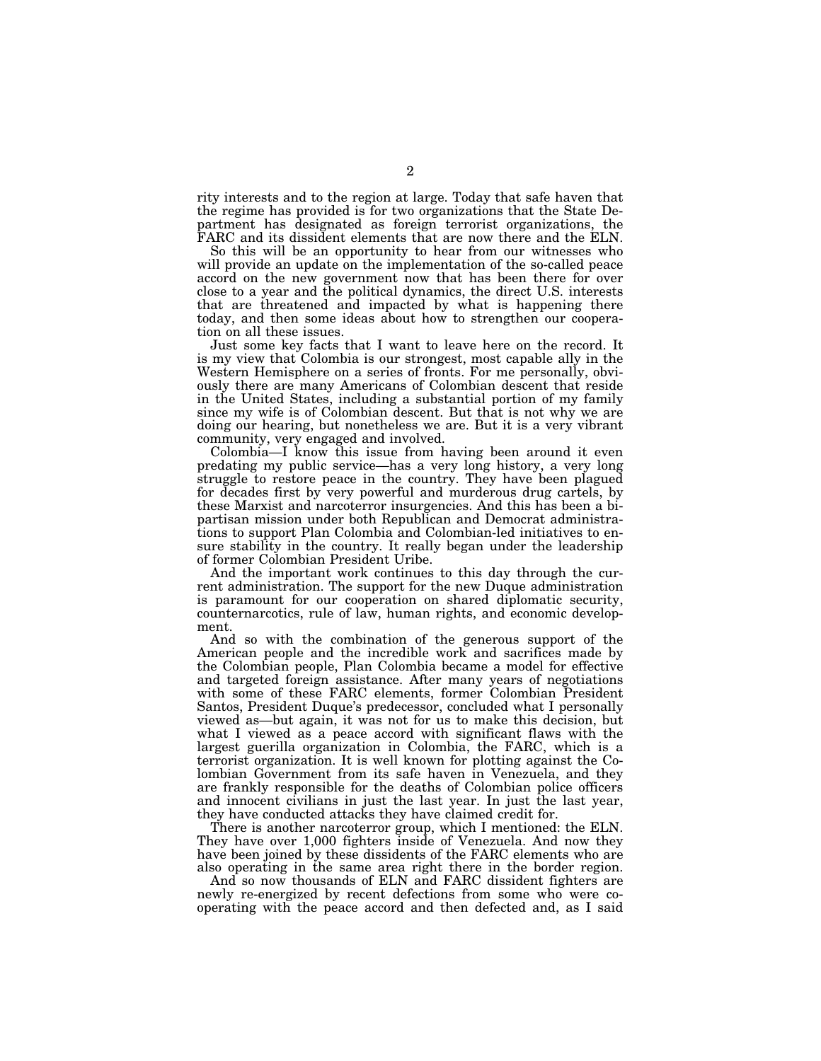rity interests and to the region at large. Today that safe haven that the regime has provided is for two organizations that the State Department has designated as foreign terrorist organizations, the FARC and its dissident elements that are now there and the ELN.

So this will be an opportunity to hear from our witnesses who will provide an update on the implementation of the so-called peace accord on the new government now that has been there for over close to a year and the political dynamics, the direct U.S. interests that are threatened and impacted by what is happening there today, and then some ideas about how to strengthen our cooperation on all these issues.

Just some key facts that I want to leave here on the record. It is my view that Colombia is our strongest, most capable ally in the Western Hemisphere on a series of fronts. For me personally, obviously there are many Americans of Colombian descent that reside in the United States, including a substantial portion of my family since my wife is of Colombian descent. But that is not why we are doing our hearing, but nonetheless we are. But it is a very vibrant community, very engaged and involved.

Colombia—I know this issue from having been around it even predating my public service—has a very long history, a very long struggle to restore peace in the country. They have been plagued for decades first by very powerful and murderous drug cartels, by these Marxist and narcoterror insurgencies. And this has been a bipartisan mission under both Republican and Democrat administrations to support Plan Colombia and Colombian-led initiatives to ensure stability in the country. It really began under the leadership of former Colombian President Uribe.

And the important work continues to this day through the current administration. The support for the new Duque administration is paramount for our cooperation on shared diplomatic security, counternarcotics, rule of law, human rights, and economic development.

And so with the combination of the generous support of the American people and the incredible work and sacrifices made by the Colombian people, Plan Colombia became a model for effective and targeted foreign assistance. After many years of negotiations with some of these FARC elements, former Colombian President Santos, President Duque's predecessor, concluded what I personally viewed as—but again, it was not for us to make this decision, but what I viewed as a peace accord with significant flaws with the largest guerilla organization in Colombia, the FARC, which is a terrorist organization. It is well known for plotting against the Colombian Government from its safe haven in Venezuela, and they are frankly responsible for the deaths of Colombian police officers and innocent civilians in just the last year. In just the last year, they have conducted attacks they have claimed credit for.

There is another narcoterror group, which I mentioned: the ELN. They have over 1,000 fighters inside of Venezuela. And now they have been joined by these dissidents of the FARC elements who are also operating in the same area right there in the border region.

And so now thousands of ELN and FARC dissident fighters are newly re-energized by recent defections from some who were cooperating with the peace accord and then defected and, as I said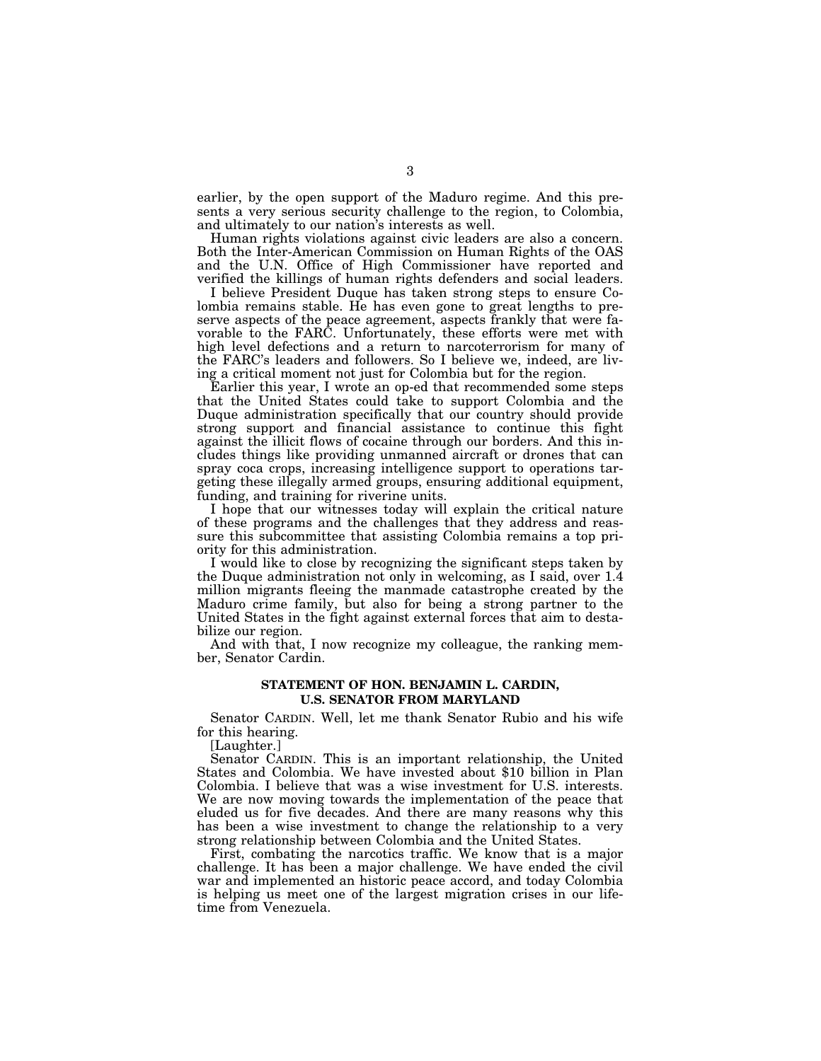earlier, by the open support of the Maduro regime. And this presents a very serious security challenge to the region, to Colombia, and ultimately to our nation's interests as well.

Human rights violations against civic leaders are also a concern. Both the Inter-American Commission on Human Rights of the OAS and the U.N. Office of High Commissioner have reported and verified the killings of human rights defenders and social leaders.

I believe President Duque has taken strong steps to ensure Colombia remains stable. He has even gone to great lengths to preserve aspects of the peace agreement, aspects frankly that were favorable to the FARC. Unfortunately, these efforts were met with high level defections and a return to narcoterrorism for many of the FARC's leaders and followers. So I believe we, indeed, are living a critical moment not just for Colombia but for the region.

Earlier this year, I wrote an op-ed that recommended some steps that the United States could take to support Colombia and the Duque administration specifically that our country should provide strong support and financial assistance to continue this fight against the illicit flows of cocaine through our borders. And this includes things like providing unmanned aircraft or drones that can spray coca crops, increasing intelligence support to operations targeting these illegally armed groups, ensuring additional equipment, funding, and training for riverine units.

I hope that our witnesses today will explain the critical nature of these programs and the challenges that they address and reassure this subcommittee that assisting Colombia remains a top priority for this administration.

I would like to close by recognizing the significant steps taken by the Duque administration not only in welcoming, as I said, over 1.4 million migrants fleeing the manmade catastrophe created by the Maduro crime family, but also for being a strong partner to the United States in the fight against external forces that aim to destabilize our region.

And with that, I now recognize my colleague, the ranking member, Senator Cardin.

# **STATEMENT OF HON. BENJAMIN L. CARDIN, U.S. SENATOR FROM MARYLAND**

Senator CARDIN. Well, let me thank Senator Rubio and his wife for this hearing.

[Laughter.]

Senator CARDIN. This is an important relationship, the United States and Colombia. We have invested about \$10 billion in Plan Colombia. I believe that was a wise investment for U.S. interests. We are now moving towards the implementation of the peace that eluded us for five decades. And there are many reasons why this has been a wise investment to change the relationship to a very strong relationship between Colombia and the United States.

First, combating the narcotics traffic. We know that is a major challenge. It has been a major challenge. We have ended the civil war and implemented an historic peace accord, and today Colombia is helping us meet one of the largest migration crises in our lifetime from Venezuela.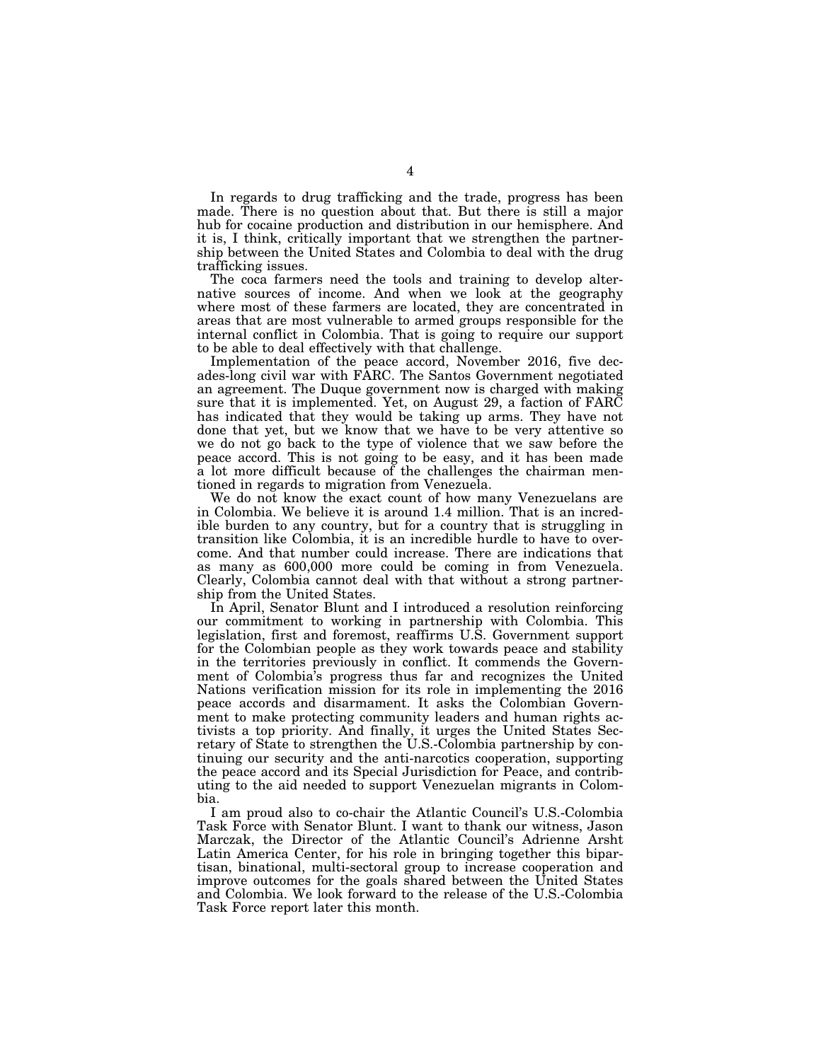In regards to drug trafficking and the trade, progress has been made. There is no question about that. But there is still a major hub for cocaine production and distribution in our hemisphere. And it is, I think, critically important that we strengthen the partnership between the United States and Colombia to deal with the drug trafficking issues.

The coca farmers need the tools and training to develop alternative sources of income. And when we look at the geography where most of these farmers are located, they are concentrated in areas that are most vulnerable to armed groups responsible for the internal conflict in Colombia. That is going to require our support to be able to deal effectively with that challenge.

Implementation of the peace accord, November 2016, five decades-long civil war with FARC. The Santos Government negotiated an agreement. The Duque government now is charged with making sure that it is implemented. Yet, on August 29, a faction of FARC has indicated that they would be taking up arms. They have not done that yet, but we know that we have to be very attentive so we do not go back to the type of violence that we saw before the peace accord. This is not going to be easy, and it has been made a lot more difficult because of the challenges the chairman mentioned in regards to migration from Venezuela.

We do not know the exact count of how many Venezuelans are in Colombia. We believe it is around 1.4 million. That is an incredible burden to any country, but for a country that is struggling in transition like Colombia, it is an incredible hurdle to have to overcome. And that number could increase. There are indications that as many as 600,000 more could be coming in from Venezuela. Clearly, Colombia cannot deal with that without a strong partnership from the United States.

In April, Senator Blunt and I introduced a resolution reinforcing our commitment to working in partnership with Colombia. This legislation, first and foremost, reaffirms U.S. Government support for the Colombian people as they work towards peace and stability in the territories previously in conflict. It commends the Government of Colombia's progress thus far and recognizes the United Nations verification mission for its role in implementing the 2016 peace accords and disarmament. It asks the Colombian Government to make protecting community leaders and human rights activists a top priority. And finally, it urges the United States Secretary of State to strengthen the U.S.-Colombia partnership by continuing our security and the anti-narcotics cooperation, supporting the peace accord and its Special Jurisdiction for Peace, and contributing to the aid needed to support Venezuelan migrants in Colombia.

I am proud also to co-chair the Atlantic Council's U.S.-Colombia Task Force with Senator Blunt. I want to thank our witness, Jason Marczak, the Director of the Atlantic Council's Adrienne Arsht Latin America Center, for his role in bringing together this bipartisan, binational, multi-sectoral group to increase cooperation and improve outcomes for the goals shared between the United States and Colombia. We look forward to the release of the U.S.-Colombia Task Force report later this month.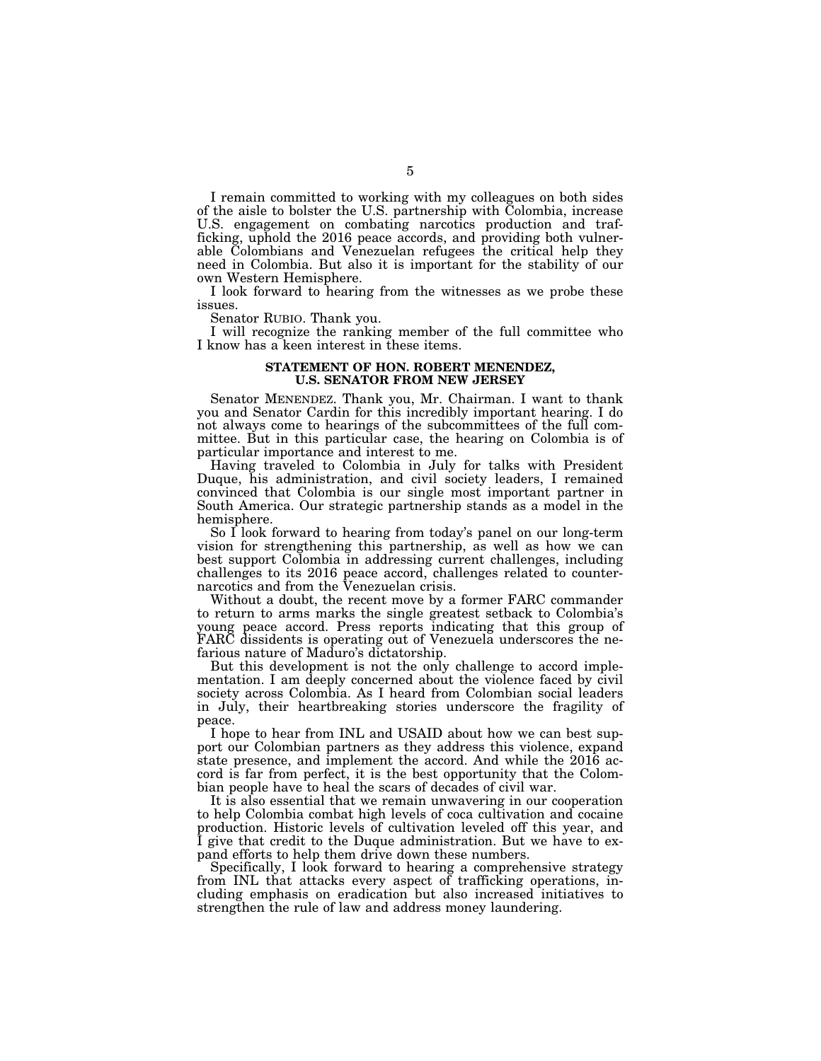I remain committed to working with my colleagues on both sides of the aisle to bolster the U.S. partnership with Colombia, increase U.S. engagement on combating narcotics production and trafficking, uphold the 2016 peace accords, and providing both vulnerable Colombians and Venezuelan refugees the critical help they need in Colombia. But also it is important for the stability of our own Western Hemisphere.

I look forward to hearing from the witnesses as we probe these issues.

Senator RUBIO. Thank you.

I will recognize the ranking member of the full committee who I know has a keen interest in these items.

#### **STATEMENT OF HON. ROBERT MENENDEZ, U.S. SENATOR FROM NEW JERSEY**

Senator MENENDEZ. Thank you, Mr. Chairman. I want to thank you and Senator Cardin for this incredibly important hearing. I do not always come to hearings of the subcommittees of the full committee. But in this particular case, the hearing on Colombia is of particular importance and interest to me.

Having traveled to Colombia in July for talks with President Duque, his administration, and civil society leaders, I remained convinced that Colombia is our single most important partner in South America. Our strategic partnership stands as a model in the hemisphere.

So I look forward to hearing from today's panel on our long-term vision for strengthening this partnership, as well as how we can best support Colombia in addressing current challenges, including challenges to its 2016 peace accord, challenges related to counternarcotics and from the Venezuelan crisis.

Without a doubt, the recent move by a former FARC commander to return to arms marks the single greatest setback to Colombia's young peace accord. Press reports indicating that this group of FARC dissidents is operating out of Venezuela underscores the nefarious nature of Maduro's dictatorship.

But this development is not the only challenge to accord implementation. I am deeply concerned about the violence faced by civil society across Colombia. As I heard from Colombian social leaders in July, their heartbreaking stories underscore the fragility of peace.

I hope to hear from INL and USAID about how we can best support our Colombian partners as they address this violence, expand state presence, and implement the accord. And while the 2016 accord is far from perfect, it is the best opportunity that the Colombian people have to heal the scars of decades of civil war.

It is also essential that we remain unwavering in our cooperation to help Colombia combat high levels of coca cultivation and cocaine production. Historic levels of cultivation leveled off this year, and I give that credit to the Duque administration. But we have to expand efforts to help them drive down these numbers.

Specifically, I look forward to hearing a comprehensive strategy from INL that attacks every aspect of trafficking operations, including emphasis on eradication but also increased initiatives to strengthen the rule of law and address money laundering.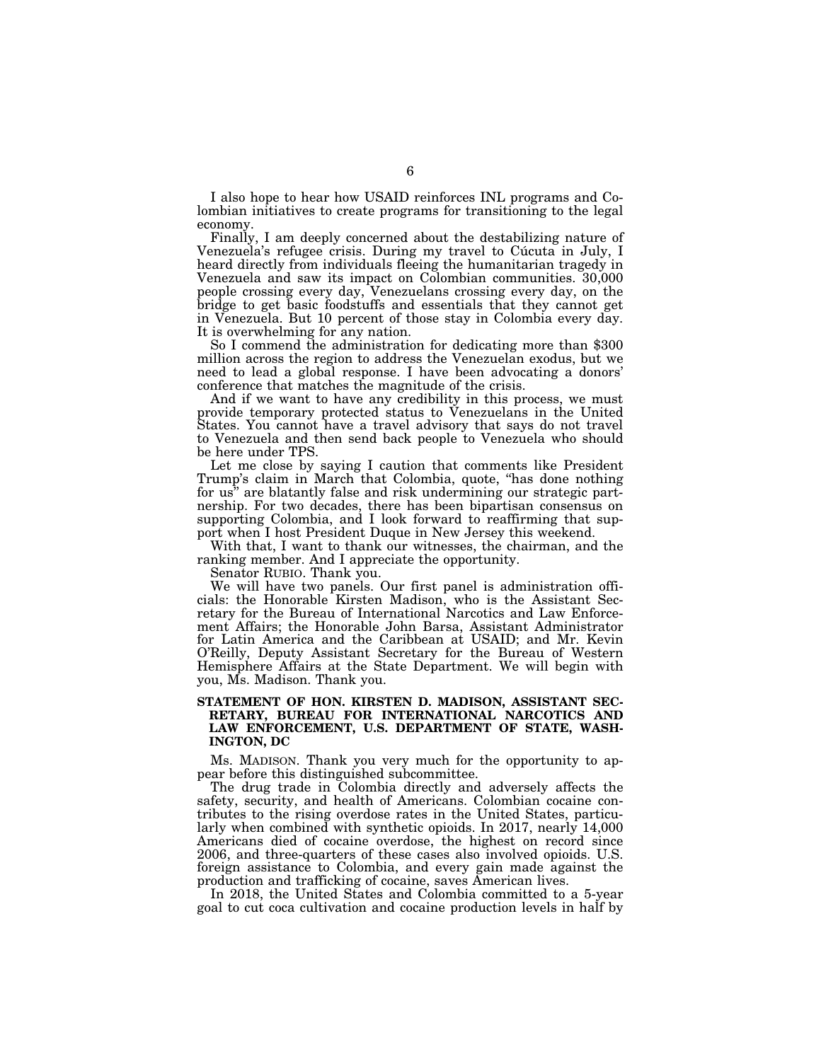I also hope to hear how USAID reinforces INL programs and Colombian initiatives to create programs for transitioning to the legal economy.

Finally, I am deeply concerned about the destabilizing nature of Venezuela's refugee crisis. During my travel to Cúcuta in July, I heard directly from individuals fleeing the humanitarian tragedy in Venezuela and saw its impact on Colombian communities. 30,000 people crossing every day, Venezuelans crossing every day, on the bridge to get basic foodstuffs and essentials that they cannot get in Venezuela. But 10 percent of those stay in Colombia every day.

So I commend the administration for dedicating more than \$300 million across the region to address the Venezuelan exodus, but we need to lead a global response. I have been advocating a donors' conference that matches the magnitude of the crisis.

And if we want to have any credibility in this process, we must provide temporary protected status to Venezuelans in the United States. You cannot have a travel advisory that says do not travel to Venezuela and then send back people to Venezuela who should be here under TPS.

Let me close by saying I caution that comments like President Trump's claim in March that Colombia, quote, ''has done nothing for us'' are blatantly false and risk undermining our strategic partnership. For two decades, there has been bipartisan consensus on supporting Colombia, and I look forward to reaffirming that support when I host President Duque in New Jersey this weekend.

With that, I want to thank our witnesses, the chairman, and the ranking member. And I appreciate the opportunity.

Senator RUBIO. Thank you.

We will have two panels. Our first panel is administration officials: the Honorable Kirsten Madison, who is the Assistant Secretary for the Bureau of International Narcotics and Law Enforcement Affairs; the Honorable John Barsa, Assistant Administrator for Latin America and the Caribbean at USAID; and Mr. Kevin O'Reilly, Deputy Assistant Secretary for the Bureau of Western Hemisphere Affairs at the State Department. We will begin with you, Ms. Madison. Thank you.

# **STATEMENT OF HON. KIRSTEN D. MADISON, ASSISTANT SEC-RETARY, BUREAU FOR INTERNATIONAL NARCOTICS AND LAW ENFORCEMENT, U.S. DEPARTMENT OF STATE, WASH-INGTON, DC**

Ms. MADISON. Thank you very much for the opportunity to appear before this distinguished subcommittee.

The drug trade in Colombia directly and adversely affects the safety, security, and health of Americans. Colombian cocaine contributes to the rising overdose rates in the United States, particularly when combined with synthetic opioids. In 2017, nearly 14,000 Americans died of cocaine overdose, the highest on record since 2006, and three-quarters of these cases also involved opioids. U.S. foreign assistance to Colombia, and every gain made against the production and trafficking of cocaine, saves American lives.

In 2018, the United States and Colombia committed to a 5-year goal to cut coca cultivation and cocaine production levels in half by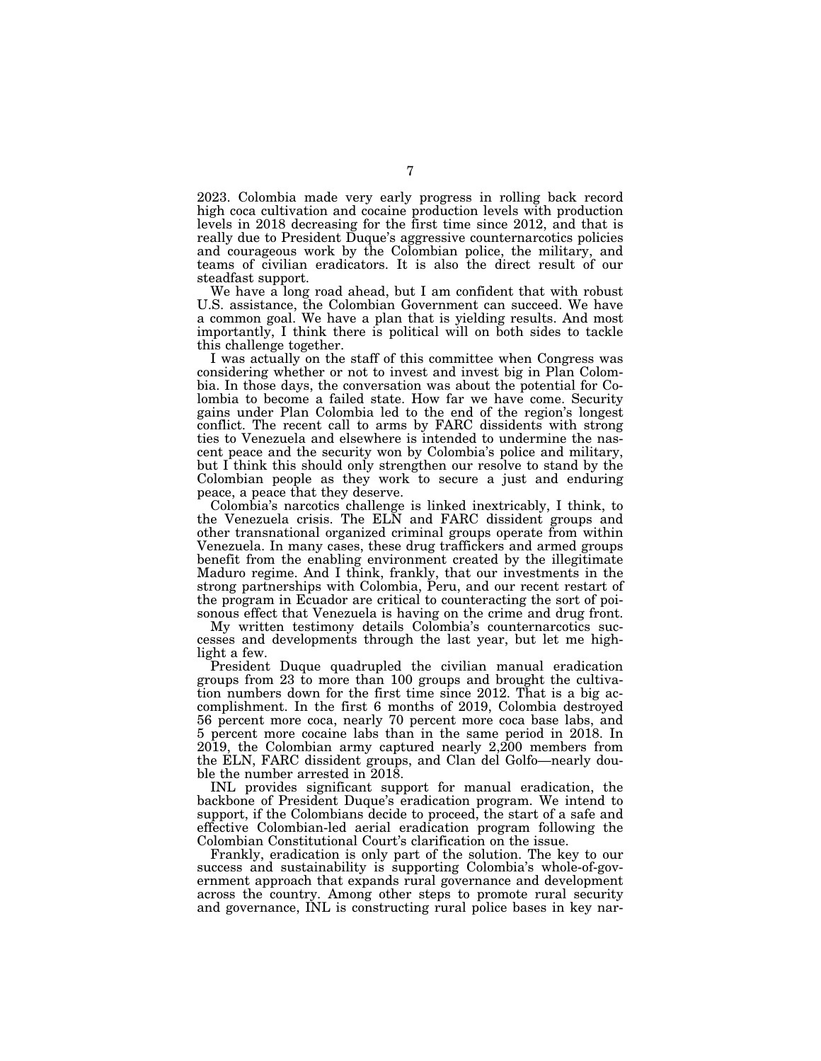2023. Colombia made very early progress in rolling back record high coca cultivation and cocaine production levels with production levels in 2018 decreasing for the first time since 2012, and that is really due to President Duque's aggressive counternarcotics policies and courageous work by the Colombian police, the military, and teams of civilian eradicators. It is also the direct result of our steadfast support.

We have a long road ahead, but I am confident that with robust U.S. assistance, the Colombian Government can succeed. We have a common goal. We have a plan that is yielding results. And most importantly, I think there is political will on both sides to tackle this challenge together.

I was actually on the staff of this committee when Congress was considering whether or not to invest and invest big in Plan Colombia. In those days, the conversation was about the potential for Colombia to become a failed state. How far we have come. Security gains under Plan Colombia led to the end of the region's longest conflict. The recent call to arms by FARC dissidents with strong ties to Venezuela and elsewhere is intended to undermine the nascent peace and the security won by Colombia's police and military, but I think this should only strengthen our resolve to stand by the Colombian people as they work to secure a just and enduring peace, a peace that they deserve.

Colombia's narcotics challenge is linked inextricably, I think, to the Venezuela crisis. The ELN and FARC dissident groups and other transnational organized criminal groups operate from within Venezuela. In many cases, these drug traffickers and armed groups benefit from the enabling environment created by the illegitimate Maduro regime. And I think, frankly, that our investments in the strong partnerships with Colombia, Peru, and our recent restart of the program in Ecuador are critical to counteracting the sort of poisonous effect that Venezuela is having on the crime and drug front.

My written testimony details Colombia's counternarcotics successes and developments through the last year, but let me highlight a few.

President Duque quadrupled the civilian manual eradication groups from 23 to more than 100 groups and brought the cultivation numbers down for the first time since 2012. That is a big accomplishment. In the first 6 months of 2019, Colombia destroyed 56 percent more coca, nearly 70 percent more coca base labs, and 5 percent more cocaine labs than in the same period in 2018. In 2019, the Colombian army captured nearly 2,200 members from the ELN, FARC dissident groups, and Clan del Golfo—nearly double the number arrested in 2018.

INL provides significant support for manual eradication, the backbone of President Duque's eradication program. We intend to support, if the Colombians decide to proceed, the start of a safe and effective Colombian-led aerial eradication program following the Colombian Constitutional Court's clarification on the issue.

Frankly, eradication is only part of the solution. The key to our success and sustainability is supporting Colombia's whole-of-government approach that expands rural governance and development across the country. Among other steps to promote rural security and governance, INL is constructing rural police bases in key nar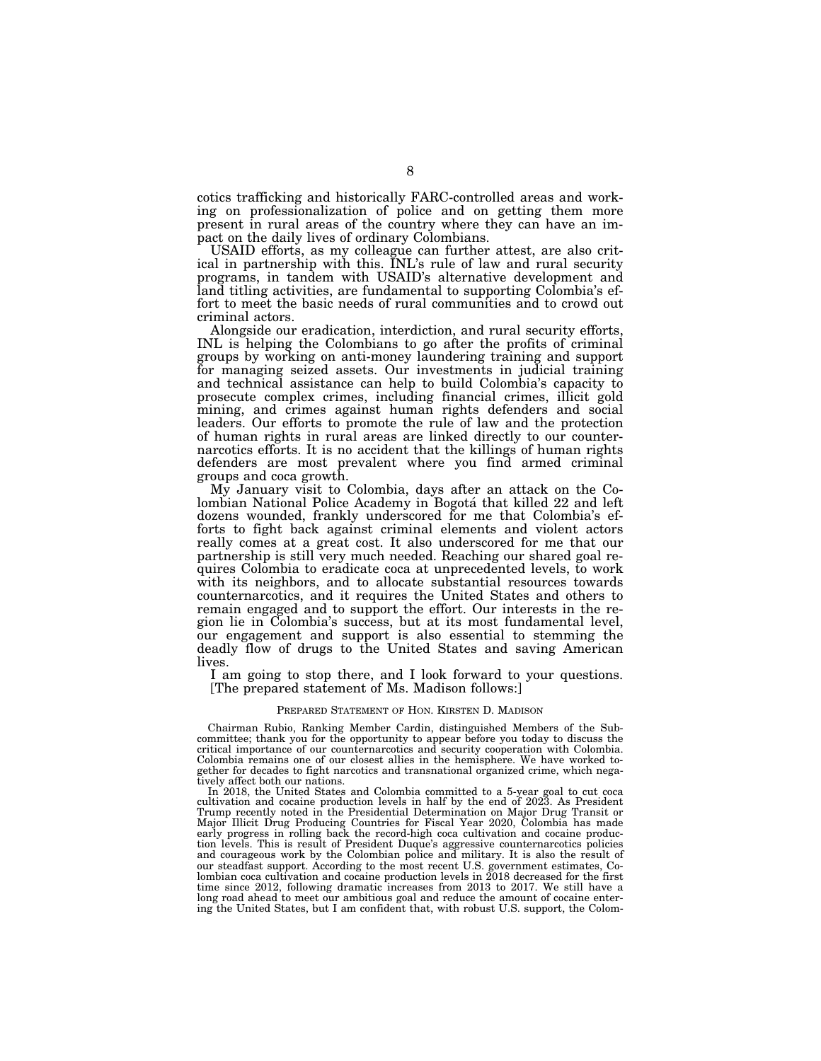cotics trafficking and historically FARC-controlled areas and working on professionalization of police and on getting them more present in rural areas of the country where they can have an impact on the daily lives of ordinary Colombians.

USAID efforts, as my colleague can further attest, are also critical in partnership with this. INL's rule of law and rural security programs, in tandem with USAID's alternative development and land titling activities, are fundamental to supporting Colombia's effort to meet the basic needs of rural communities and to crowd out criminal actors.

Alongside our eradication, interdiction, and rural security efforts, INL is helping the Colombians to go after the profits of criminal groups by working on anti-money laundering training and support for managing seized assets. Our investments in judicial training and technical assistance can help to build Colombia's capacity to prosecute complex crimes, including financial crimes, illicit gold mining, and crimes against human rights defenders and social leaders. Our efforts to promote the rule of law and the protection of human rights in rural areas are linked directly to our counternarcotics efforts. It is no accident that the killings of human rights defenders are most prevalent where you find armed criminal groups and coca growth.

My January visit to Colombia, days after an attack on the Colombian National Police Academy in Bogota´ that killed 22 and left dozens wounded, frankly underscored for me that Colombia's efforts to fight back against criminal elements and violent actors really comes at a great cost. It also underscored for me that our partnership is still very much needed. Reaching our shared goal requires Colombia to eradicate coca at unprecedented levels, to work with its neighbors, and to allocate substantial resources towards counternarcotics, and it requires the United States and others to remain engaged and to support the effort. Our interests in the region lie in Colombia's success, but at its most fundamental level, our engagement and support is also essential to stemming the deadly flow of drugs to the United States and saving American lives.

I am going to stop there, and I look forward to your questions. [The prepared statement of Ms. Madison follows:]

#### PREPARED STATEMENT OF HON. KIRSTEN D. MADISON

Chairman Rubio, Ranking Member Cardin, distinguished Members of the Subcommittee; thank you for the opportunity to appear before you today to discuss the critical importance of our counternarcotics and security cooperation with Colombia. Colombia remains one of our closest allies in the hemisphere. We have worked together for decades to fight narcotics and transnational organized crime, which negatively affect both our nations.

In 2018, the United States and Colombia committed to a 5-year goal to cut coca cultivation and cocaine production levels in half by the end of 2023. As President Trump recently noted in the Presidential Determination on Major Drug Transit or Major Illicit Drug Producing Countries for Fiscal Year 2020, Colombia has made early progress in rolling back the record-high coca cultivation and cocaine production levels. This is result of President Duque's aggressive counternarcotics policies and courageous work by the Colombian police and military. It is also the result of our steadfast support. According to the most recent U.S. government estimates, Colombian coca cultivation and cocaine production levels in 2018 decreased for the first time since 2012, following dramatic increases from 2013 to 2017. We still have a long road ahead to meet our ambitious goal and reduce the amount of cocaine entering the United States, but I am confident that, with robust U.S. support, the Colom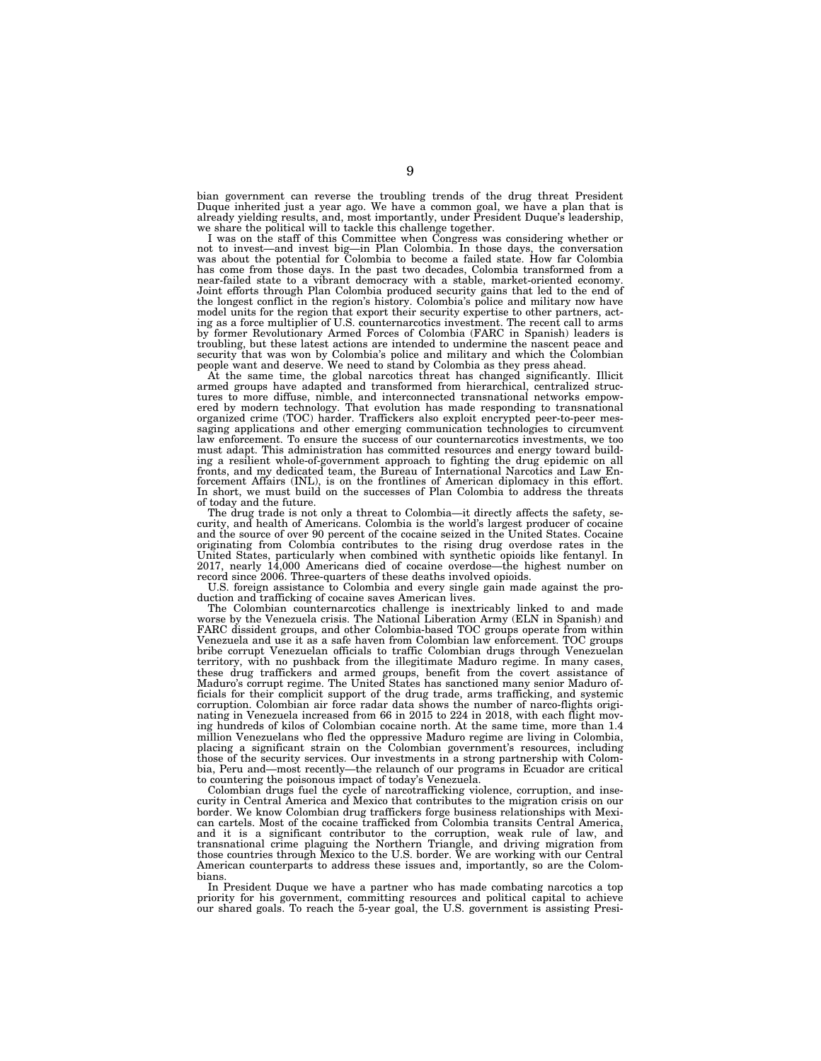bian government can reverse the troubling trends of the drug threat President<br>Duque inherited just a year ago. We have a common goal, we have a plan that is<br>already yielding results, and, most importantly, under President we share the political will to tackle this challenge together.

I was on the staff of this Committee when Congress was considering whether or not to invest—and invest big—in Plan Colombia. In those days, the conversation was about the potential for Colombia to become a failed state. How far Colombia has come from those days. In the past two decades, Colombia transformed from a near-failed state to a vibrant democracy with a stable, market-oriented economy. Joint efforts through Plan Colombia produced security gains that led to the end of the longest conflict in the region's history. Colombia's police and military now have model units for the region that export their security expertise to other partners, acting as a force multiplier of U.S. counternarcotics investment. The recent call to arms by former Revolutionary Armed Forces of Colombia (FARC in Spanish) leaders is troubling, but these latest actions are intended to undermine the nascent peace and security that was won by Colombia's police and military and which the Colombian people want and deserve. We need to stand by Colombia as they press ahead.

At the same time, the global narcotics threat has changed significantly. Illicit armed groups have adapted and transformed from hierarchical, centralized structures to more diffuse, nimble, and interconnected transnational networks empow-ered by modern technology. That evolution has made responding to transnational organized crime (TOC) harder. Traffickers also exploit encrypted peer-to-peer mes-saging applications and other emerging communication technologies to circumvent law enforcement. To ensure the success of our counternarcotics investments, we too must adapt. This administration has committed resources and energy toward building a resilient whole-of-government approach to fighting the drug epidemic on all fronts, and my dedicated team, the Bureau of International Narcotics and Law Enforcement Affairs (INL), is on the frontlines of American diplomacy in this effort. In short, we must build on the successes of Plan Colombia to address the threats of today and the future.

The drug trade is not only a threat to Colombia—it directly affects the safety, security, and health of Americans. Colombia is the world's largest producer of cocaine and the source of over 90 percent of the cocaine seized in the United States. Cocaine originating from Colombia contributes to the rising drug overdose rates in the United States, particularly when combined with synthetic opioids like fentanyl. In 2017, nearly 14,000 Americans died of cocaine overdose—the highest number on record since 2006. Three-quarters of these deaths involved opioids.

U.S. foreign assistance to Colombia and every single gain made against the production and trafficking of cocaine saves American lives.

The Colombian counternarcotics challenge is inextricably linked to and made worse by the Venezuela crisis. The National Liberation Army (ELN in Spanish) and FARC dissident groups, and other Colombia-based TOC groups operate from within Venezuela and use it as a safe haven from Colombian law enforcement. TOC groups bribe corrupt Venezuelan officials to traffic Colombian drugs through Venezuelan territory, with no pushback from the illegitimate Maduro regime. In many cases, these drug traffickers and armed groups, benefit from the covert assistance of Maduro's corrupt regime. The United States has sanctioned many senior Maduro officials for their complicit support of the drug trade, arms trafficking, and systemic corruption. Colombian air force radar data shows the number of narco-flights originating in Venezuela increased from 66 in 2015 to 224 in 2018, with each flight moving hundreds of kilos of Colombian cocaine north. At the same time, more than 1.4 million Venezuelans who fled the oppressive Maduro regime are living in Colombia, placing a significant strain on the Colombian government's resources, including those of the security services. Our investments in a strong partnership with Colombia, Peru and—most recently—the relaunch of our programs in Ecuador are critical to countering the poisonous impact of today's Venezuela.

Colombian drugs fuel the cycle of narcotrafficking violence, corruption, and insecurity in Central America and Mexico that contributes to the migration crisis on our border. We know Colombian drug traffickers forge business relationships with Mexican cartels. Most of the cocaine trafficked from Colombia transits Central America, and it is a significant contributor to the corruption, weak rule of law, and transnational crime plaguing the Northern Triangle, and driving migration from those countries through Mexico to the U.S. border. We are working with our Central American counterparts to address these issues and, importantly, so are the Colombians.

In President Duque we have a partner who has made combating narcotics a top priority for his government, committing resources and political capital to achieve our shared goals. To reach the 5-year goal, the U.S. government is assisting Presi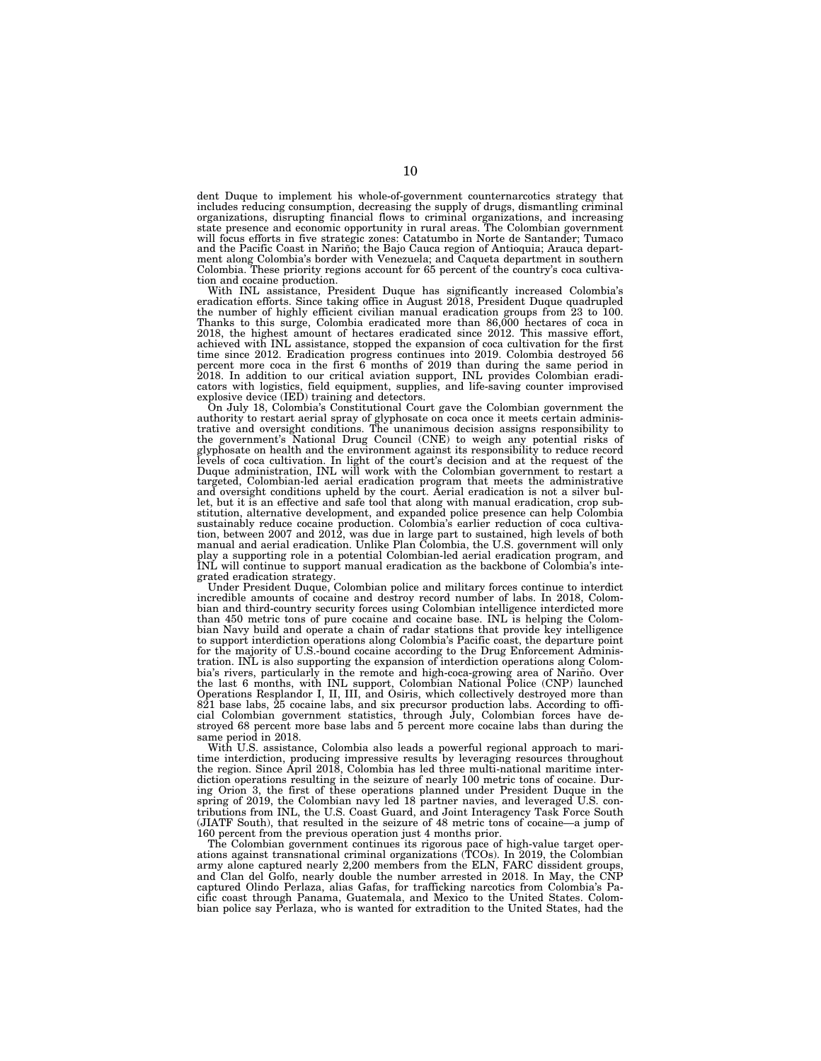dent Duque to implement his whole-of-government counternarcotics strategy that includes reducing consumption, decreasing the supply of drugs, dismantling criminal organizations, disrupting financial flows to criminal organizations, and increasing<br>state presence and economic opportunity in rural areas. The Colombian government<br>will focus efforts in five strategic zones: Catatumbo in and the Pacific Coast in Nariño; the Bajo Cauca region of Antioquia; Arauca department along Colombia's border with Venezuela; and Caqueta department in southern Colombia. These priority regions account for 65 percent of the country's coca cultivation and cocaine production.

With INL assistance, President Duque has significantly increased Colombia's eradication efforts. Since taking office in August 2018, President Duque quadrupled the number of highly efficient civilian manual eradication groups from 23 to 100. Thanks to this surge, Colombia eradicated more than 86,000 hectares of coca in 2018, the highest amount of hectares eradicated since 2012. This massive effort, achieved with INL assistance, stopped the expansion of coca cultivation for the first time since 2012. Eradication progress continues into 2019. Colombia destroyed 56 percent more coca in the first 6 months of 2019 than during the same period in 2018. In addition to our critical aviation support, INL provides Colombian eradi-cators with logistics, field equipment, supplies, and life-saving counter improvised

explosive device (IED) training and detectors. On July 18, Colombia's Constitutional Court gave the Colombian government the authority to restart aerial spray of glyphosate on coca once it meets certain adminis-trative and oversight conditions. The unanimous decision assigns responsibility to the government's National Drug Council (CNE) to weigh any potential risks of glyphosate on health and the environment against its responsibility to reduce record levels of coca cultivation. In light of the court's decision and at the request of the Duque administration, INL will work with the Colombian government to restart a targeted, Colombian-led aerial eradication program that meets the administrative and oversight conditions upheld by the court. Aerial eradication is not a silver bullet, but it is an effective and safe tool that along with manual eradication, crop substitution, alternative development, and expanded police presence can help Colombia<br>sustainably reduce cocaine production. Colombia's earlier reduction of coca cultiva-<br>tion, between 2007 and 2012, was due in large part to

grated eradication strategy. Under President Duque, Colombian police and military forces continue to interdict incredible amounts of cocaine and destroy record number of labs. In 2018, Colombian and third-country security forces using Colombian intelligence interdicted more than 450 metric tons of pure cocaine and cocaine base. INL is helping the Colombian Navy build and operate a chain of radar stations that provide key intelligence to support interdiction operations along Colombia's Pacific coast, the departure point for the majority of U.S.-bound cocaine according to the Drug Enforcement Administration. INL is also supporting the expansion of interdiction operations along Colombia's rivers, particularly in the remote and high-coca-growing area of Nariño. Over the last 6 months, with INL support, Colombian National Police (CNP) launched Operations Resplandor I, II, III, and Osiris, which collectively destroyed more than 821 base labs, 25 cocaine labs, and six precursor production labs. According to official Colombian government statistics, through July, Colombian forces have destroyed 68 percent more base labs and 5 percent more cocaine labs than during the same period in 2018.

With U.S. assistance, Colombia also leads a powerful regional approach to maritime interdiction, producing impressive results by leveraging resources throughout the region. Since April 2018, Colombia has led three multi-national maritime interdiction operations resulting in the seizure of nearly 100 metric tons of cocaine. During Orion 3, the first of these operations planned under President Duque in the spring of 2019, the Colombian navy led 18 partner navies, and leveraged U.S. contributions from INL, the U.S. Coast Guard, and Joint Interagency Task Force South (JIATF South), that resulted in the seizure of 48 metric tons of cocaine—a jump of 160 percent from the previous operation just 4 months prior.

The Colombian government continues its rigorous pace of high-value target operations against transnational criminal organizations (TCOs). In 2019, the Colombian army alone captured nearly 2,200 members from the ELN, FARC dissident groups, and Clan del Golfo, nearly double the number arrested in 2018. In May, the CNP captured Olindo Perlaza, alias Gafas, for trafficking narcotics from Colombia's Pacific coast through Panama, Guatemala, and Mexico to the United States. Colombian police say Perlaza, who is wanted for extradition to the United States, had the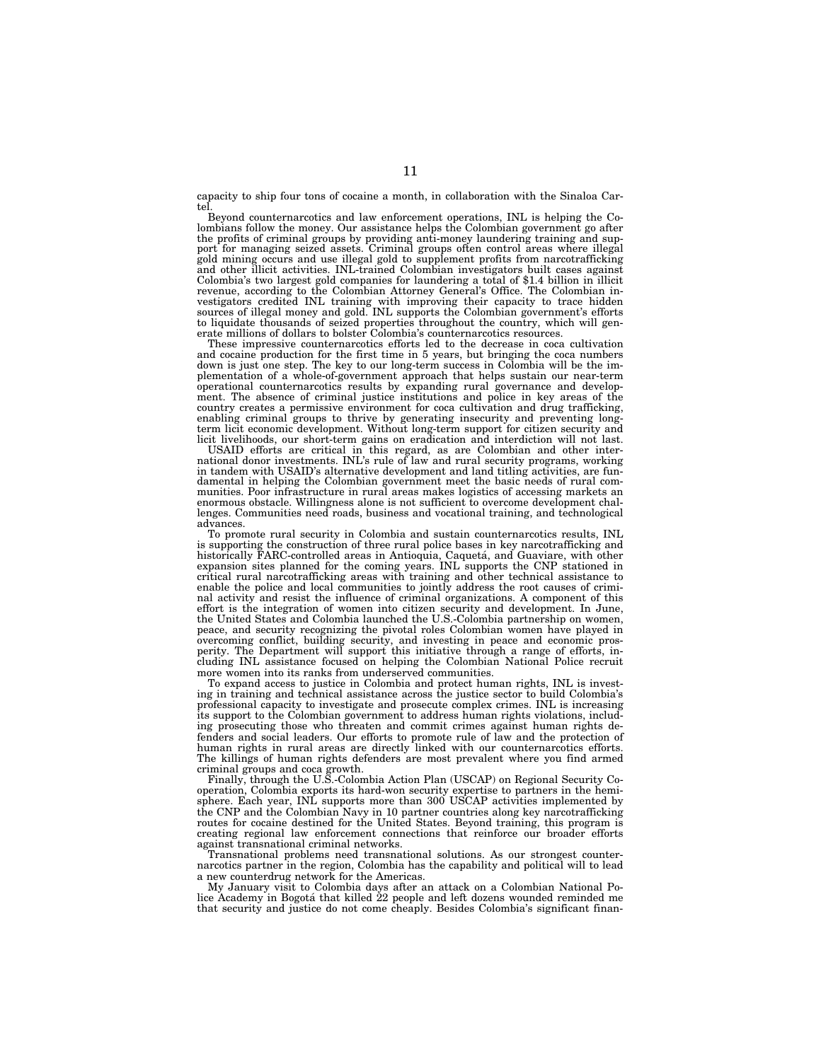capacity to ship four tons of cocaine a month, in collaboration with the Sinaloa Cartel.

Beyond counternarcotics and law enforcement operations, INL is helping the Colombians follow the money. Our assistance helps the Colombian government go after the profits of criminal groups by providing anti-money laundering training and support for managing seized assets. Criminal groups often control areas where illegal gold mining occurs and use illegal gold to supplement profits from narcotrafficking and other illicit activities. INL-trained Colombian investigators built cases against Colombia's two largest gold companies for laundering a total of \$1.4 billion in illicit revenue, according to the Colombian Attorney General's Office. The Colombian investigators credited INL training with improving their capacity to trace hidden sources of illegal money and gold. INL supports the Colombian g erate millions of dollars to bolster Colombia's counternarcotics resources. These impressive counternarcotics efforts led to the decrease in coca cultivation

and cocaine production for the first time in 5 years, but bringing the coca numbers down is just one step. The key to our long-term success in Colombia will be the implementation of a whole-of-government approach that helps sustain our near-term operational counternarcotics results by expanding rural governance and development. The absence of criminal justice institutions and police in key areas of the country creates a permissive environment for coca cultivation and drug trafficking, enabling criminal groups to thrive by generating insecurity and preventing long-term licit economic development. Without long-term support for citizen security and

licit livelihoods, our short-term gains on eradication and interdiction will not last. USAID efforts are critical in this regard, as are Colombian and other international donor investments. INL's rule of law and rural security programs, working in tandem with USAID's alternative development and land titling activities, are fundamental in helping the Colombian government meet the basic needs of rural communities. Poor infrastructure in rural areas makes logistics of accessing markets an enormous obstacle. Willingness alone is not sufficient to overcome development challenges. Communities need roads, business and vocational training, and technological advances.

To promote rural security in Colombia and sustain counternarcotics results, INL is supporting the construction of three rural police bases in key narcotrafficking and<br>historically FARC-controlled areas in Antioquia, Caquetá, and Guaviare, with other<br>expansion sites planned for the coming years. INL su nal activity and resist the influence of criminal organizations. A component of this effort is the integration of women into citizen security and development. In June, the United States and Colombia launched the U.S.-Colombia partnership on women, peace, and security recognizing the pivotal roles Colombian women have played in overcoming conflict, building security, and investing in peace and economic prosperity. The Department will support this initiative through a range of efforts, including INL assistance focused on helping the Colombian National Police recruit more women into its ranks from underserved communities.

To expand access to justice in Colombia and protect human rights, INL is investing in training and technical assistance across the justice sector to build Colombia's professional capacity to investigate and prosecute complex crimes. INL is increasing its support to the Colombian government to address human rights violations, including prosecuting those who threaten and commit crimes against human rights defenders and social leaders. Our efforts to promote rule of law and the protection of human rights in rural areas are directly linked with our counternarcotics efforts. The killings of human rights defenders are most prevalent where you find armed criminal groups and coca growth.

Finally, through the U.S.-Colombia Action Plan (USCAP) on Regional Security Cooperation, Colombia exports its hard-won security expertise to partners in the hemisphere. Each year, INL supports more than 300 USCAP activities implemented by the CNP and the Colombian Navy in 10 partner countries along key narcotrafficking routes for cocaine destined for the United States. Beyond training, this program is creating regional law enforcement connections that reinforce our broader efforts against transnational criminal networks.

Transnational problems need transnational solutions. As our strongest counternarcotics partner in the region, Colombia has the capability and political will to lead a new counterdrug network for the Americas.

My January visit to Colombia days after an attack on a Colombian National Police Academy in Bogotá that killed 22 people and left dozens wounded reminded me that security and justice do not come cheaply. Besides Colombia's significant finan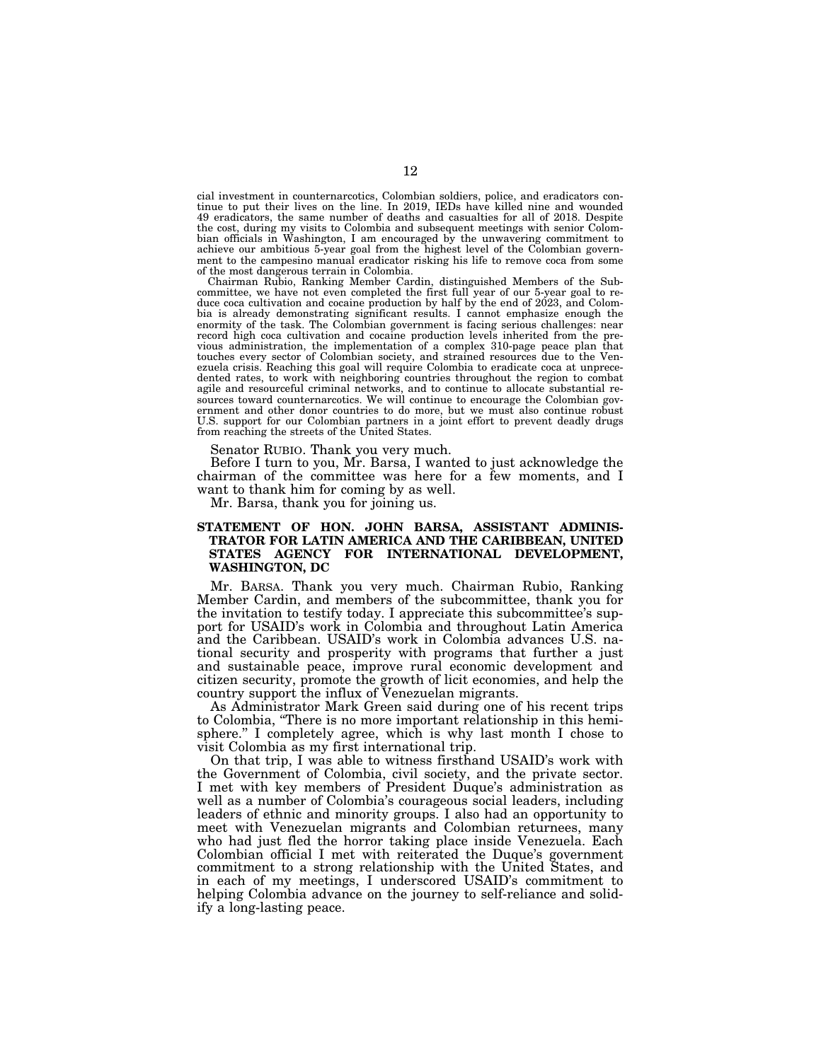cial investment in counternarcotics, Colombian soldiers, police, and eradicators continue to put their lives on the line. In 2019, IEDs have killed nine and wounded 49 eradicators, the same number of deaths and casualties for all of 2018. Despite the cost, during my visits to Colombia and subsequent meetings with senior Colombian officials in Washington, I am encouraged by the unwavering commitment to achieve our ambitious 5-year goal from the highest level of the Colombian government to the campesino manual eradicator risking his life to remove coca from some of the most dangerous terrain in Colombia.

Chairman Rubio, Ranking Member Cardin, distinguished Members of the Subcommittee, we have not even completed the first full year of our 5-year goal to reduce coca cultivation and cocaine production by half by the end of 2023, and Colombia is already demonstrating significant results. I cannot emphasize enough the enormity of the task. The Colombian government is facing serious challenges: near record high coca cultivation and cocaine production levels inherited from the previous administration, the implementation of a complex 310-page peace plan that touches every sector of Colombian society, and strained resources due to the Venezuela crisis. Reaching this goal will require Colombia to eradicate coca at unprecedented rates, to work with neighboring countries throughout the region to combat agile and resourceful criminal networks, and to continue to allocate substantial resources toward counternarcotics. We will continue to encourage the Colombian government and other donor countries to do more, but we must also continue robust U.S. support for our Colombian partners in a joint effort to prevent deadly drugs from reaching the streets of the United States.

Senator RUBIO. Thank you very much.

Before I turn to you, Mr. Barsa, I wanted to just acknowledge the chairman of the committee was here for a few moments, and I want to thank him for coming by as well.

Mr. Barsa, thank you for joining us.

#### **STATEMENT OF HON. JOHN BARSA, ASSISTANT ADMINIS-TRATOR FOR LATIN AMERICA AND THE CARIBBEAN, UNITED STATES AGENCY FOR INTERNATIONAL DEVELOPMENT, WASHINGTON, DC**

Mr. BARSA. Thank you very much. Chairman Rubio, Ranking Member Cardin, and members of the subcommittee, thank you for the invitation to testify today. I appreciate this subcommittee's support for USAID's work in Colombia and throughout Latin America and the Caribbean. USAID's work in Colombia advances U.S. national security and prosperity with programs that further a just and sustainable peace, improve rural economic development and citizen security, promote the growth of licit economies, and help the country support the influx of Venezuelan migrants.

As Administrator Mark Green said during one of his recent trips to Colombia, ''There is no more important relationship in this hemisphere.'' I completely agree, which is why last month I chose to visit Colombia as my first international trip.

On that trip, I was able to witness firsthand USAID's work with the Government of Colombia, civil society, and the private sector. I met with key members of President Duque's administration as well as a number of Colombia's courageous social leaders, including leaders of ethnic and minority groups. I also had an opportunity to meet with Venezuelan migrants and Colombian returnees, many who had just fled the horror taking place inside Venezuela. Each Colombian official I met with reiterated the Duque's government commitment to a strong relationship with the United States, and in each of my meetings, I underscored USAID's commitment to helping Colombia advance on the journey to self-reliance and solidify a long-lasting peace.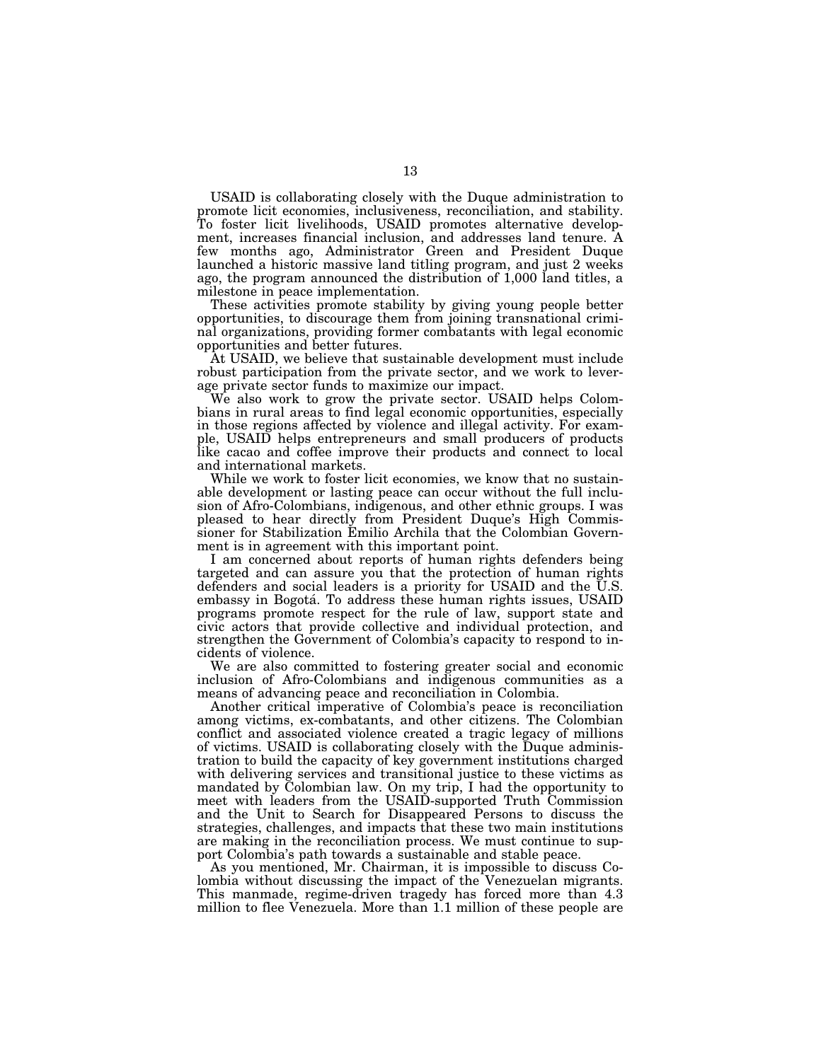USAID is collaborating closely with the Duque administration to promote licit economies, inclusiveness, reconciliation, and stability. To foster licit livelihoods, USAID promotes alternative development, increases financial inclusion, and addresses land tenure. A few months ago, Administrator Green and President Duque launched a historic massive land titling program, and just 2 weeks ago, the program announced the distribution of 1,000 land titles, a milestone in peace implementation.

These activities promote stability by giving young people better opportunities, to discourage them from joining transnational criminal organizations, providing former combatants with legal economic opportunities and better futures.

At USAID, we believe that sustainable development must include robust participation from the private sector, and we work to leverage private sector funds to maximize our impact.

We also work to grow the private sector. USAID helps Colombians in rural areas to find legal economic opportunities, especially in those regions affected by violence and illegal activity. For example, USAID helps entrepreneurs and small producers of products like cacao and coffee improve their products and connect to local and international markets.

While we work to foster licit economies, we know that no sustainable development or lasting peace can occur without the full inclusion of Afro-Colombians, indigenous, and other ethnic groups. I was pleased to hear directly from President Duque's High Commissioner for Stabilization Emilio Archila that the Colombian Government is in agreement with this important point.

I am concerned about reports of human rights defenders being targeted and can assure you that the protection of human rights defenders and social leaders is a priority for USAID and the U.S. embassy in Bogotá. To address these human rights issues, USAID programs promote respect for the rule of law, support state and civic actors that provide collective and individual protection, and strengthen the Government of Colombia's capacity to respond to incidents of violence.

We are also committed to fostering greater social and economic inclusion of Afro-Colombians and indigenous communities as a means of advancing peace and reconciliation in Colombia.

Another critical imperative of Colombia's peace is reconciliation among victims, ex-combatants, and other citizens. The Colombian conflict and associated violence created a tragic legacy of millions of victims. USAID is collaborating closely with the Duque administration to build the capacity of key government institutions charged with delivering services and transitional justice to these victims as mandated by Colombian law. On my trip, I had the opportunity to meet with leaders from the USAID-supported Truth Commission and the Unit to Search for Disappeared Persons to discuss the strategies, challenges, and impacts that these two main institutions are making in the reconciliation process. We must continue to support Colombia's path towards a sustainable and stable peace.

As you mentioned, Mr. Chairman, it is impossible to discuss Colombia without discussing the impact of the Venezuelan migrants. This manmade, regime-driven tragedy has forced more than 4.3 million to flee Venezuela. More than 1.1 million of these people are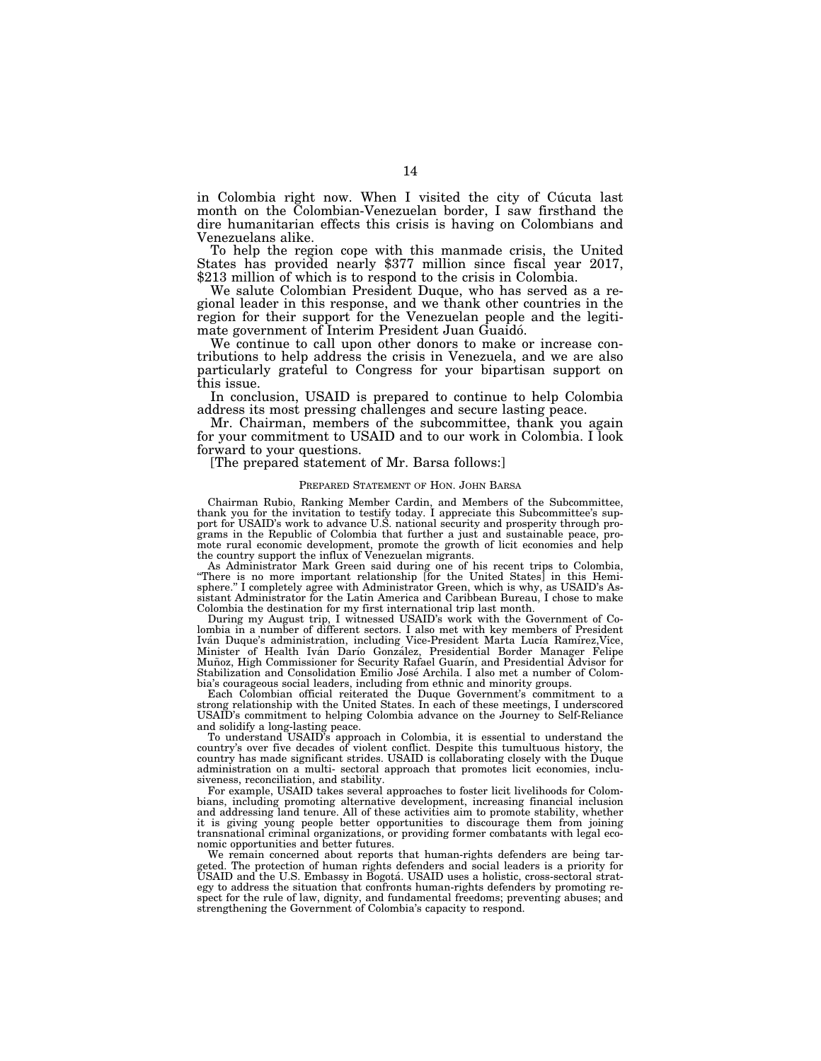in Colombia right now. When I visited the city of Cúcuta last month on the Colombian-Venezuelan border, I saw firsthand the dire humanitarian effects this crisis is having on Colombians and Venezuelans alike.<br>To help the region cope with this manmade crisis, the United

States has provided nearly \$377 million since fiscal year 2017, \$213 million of which is to respond to the crisis in Colombia.

We salute Colombian President Duque, who has served as a regional leader in this response, and we thank other countries in the region for their support for the Venezuelan people and the legitimate government of Interim President Juan Guaidó.<br>We continue to call upon other donors to make or increase con-

tributions to help address the crisis in Venezuela, and we are also particularly grateful to Congress for your bipartisan support on this issue.

In conclusion, USAID is prepared to continue to help Colombia address its most pressing challenges and secure lasting peace.

Mr. Chairman, members of the subcommittee, thank you again for your commitment to USAID and to our work in Colombia. I look forward to your questions.

#### [The prepared statement of Mr. Barsa follows:]

#### PREPARED STATEMENT OF HON. JOHN BARSA

Chairman Rubio, Ranking Member Cardin, and Members of the Subcommittee, thank you for the invitation to testify today. I appreciate this Subcommittee's support for USAID's work to advance U.S. national security and prosperity through programs in the Republic of Colombia that further a just and sustainable peace, promote rural economic development, promote the growth of licit economies and help the country support the influx of Venezuelan migrants.

As Administrator Mark Green said during one of his recent trips to Colombia, ''There is no more important relationship [for the United States] in this Hemisphere.'' I completely agree with Administrator Green, which is why, as USAID's Assistant Administrator for the Latin America and Caribbean Bureau, I chose to make Colombia the destination for my first international trip last month.

During my August trip, I witnessed USAID's work with the Government of Colombia in a number of different sectors. I also met with key members of President<br>Iván Duque's administration, including Vice-President Marta Lucía Ramírez,Vice, Minister of Health Iván Darío González, Presidential Border Manager Felipe Muñoz, High Commissioner for Security Rafael Guarín, and Presidential Ādvisor for Stabilization and Consolidation Emilio José Archila. I also met a number of Colombia's courageous social leaders, including from ethnic and minority groups.

Each Colombian official reiterated the Duque Government's commitment to a strong relationship with the United States. In each of these meetings, I underscored USAID's commitment to helping Colombia advance on the Journey to Self-Reliance and solidify a long-lasting peace.

To understand USAID's approach in Colombia, it is essential to understand the country's over five decades of violent conflict. Despite this tumultuous history, the country has made significant strides. USAID is collaborating closely with the Duque administration on a multi- sectoral approach that promotes licit economies, inclusiveness, reconciliation, and stability.

For example, USAID takes several approaches to foster licit livelihoods for Colombians, including promoting alternative development, increasing financial inclusion and addressing land tenure. All of these activities aim to promote stability, whether it is giving young people better opportunities to discourage them from joining transnational criminal organizations, or providing former combatants with legal economic opportunities and better futures.

We remain concerned about reports that human-rights defenders are being targeted. The protection of human rights defenders and social leaders is a priority for USAID and the U.S. Embassy in Bogota´. USAID uses a holistic, cross-sectoral strategy to address the situation that confronts human-rights defenders by promoting respect for the rule of law, dignity, and fundamental freedoms; preventing abuses; and strengthening the Government of Colombia's capacity to respond.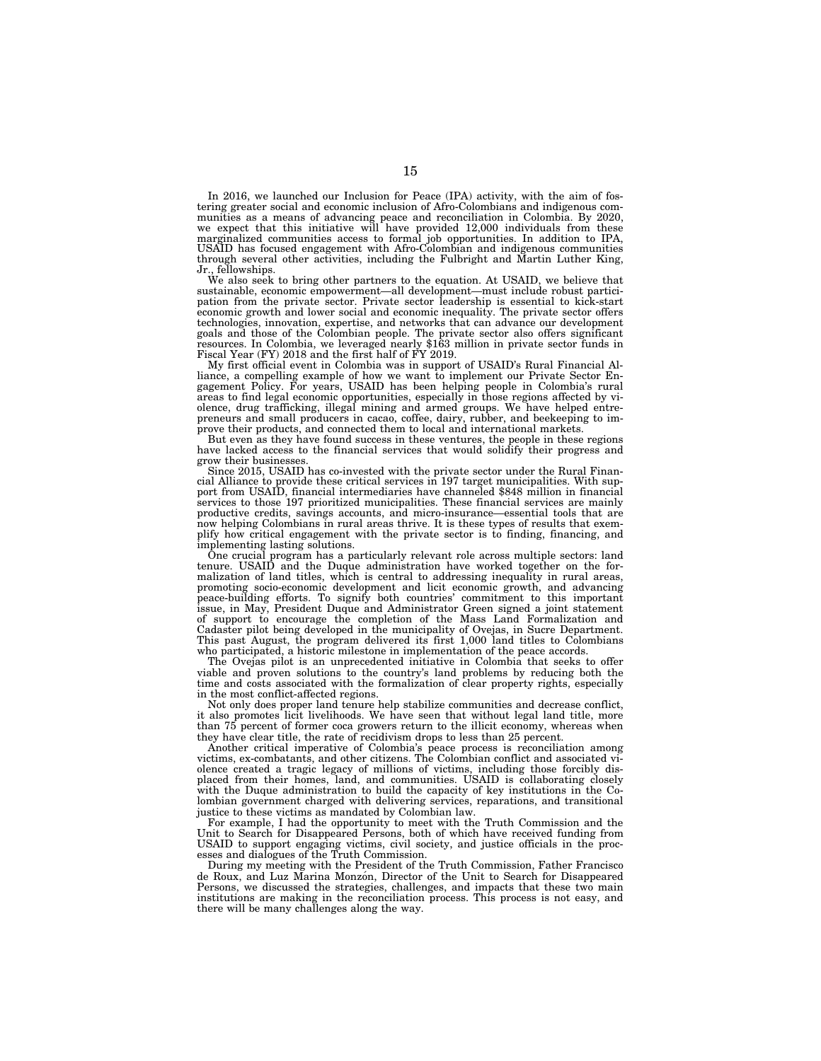In 2016, we launched our Inclusion for Peace (IPA) activity, with the aim of fostering greater social and economic inclusion of Afro-Colombians and indigenous communities as a means of advancing peace and reconciliation in Colombia. By 2020, we expect that this initiative will have provided 12,000 individuals from these marginalized communities access to formal job opportunities. In addition to IPA, USAID has focused engagement with Afro-Colombian and indigenous communities through several other activities, including the Fulbright and Martin Luther King,

Jr., fellowships. We also seek to bring other partners to the equation. At USAID, we believe that sustainable, economic empowerment—all development—must include robust partici-<br>pation from the private sector. Private sector leadership is essential to kick-start<br>economic growth and lower social and economic inequality. technologies, innovation, expertise, and networks that can advance our development goals and those of the Colombian people. The private sector also offers significant resources. In Colombia, we leveraged nearly \$163 million in private sector funds in Fiscal Year (FY) 2018 and the first half of FY 2019.

My first official event in Colombia was in support of USAID's Rural Financial Alliance, a compelling example of how we want to implement our Private Sector En-gagement Policy. For years, USAID has been helping people in Colombia's rural areas to find legal economic opportunities, especially in those regions affected by vi-olence, drug trafficking, illegal mining and armed groups. We have helped entrepreneurs and small producers in cacao, coffee, dairy, rubber, and beekeeping to im-prove their products, and connected them to local and international markets.

But even as they have found success in these ventures, the people in these regions have lacked access to the financial services that would solidify their progress and grow their businesses.

Since 2015, USAID has co-invested with the private sector under the Rural Financial Alliance to provide these critical services in 197 target municipalities. With sup-port from USAID, financial intermediaries have channeled \$848 million in financial services to those 197 prioritized municipalities. These financial services are mainly productive credits, savings accounts, and micro-insurance—essential tools that are now helping Colombians in rural areas thrive. It is these types of results that exemplify how critical engagement with the private sector is to finding, financing, and implementing lasting solutions.

One crucial program has a particularly relevant role across multiple sectors: land tenure. USAID and the Duque administration have worked together on the formalization of land titles, which is central to addressing inequality in rural areas,<br>promoting socio-economic development and licit economic growth, and advancing<br>peace-building efforts. To signify both countries' commitme issue, in May, President Duque and Administrator Green signed a joint statement of support to encourage the completion of the Mass Land Formalization and Cadaster pilot being developed in the municipality of Ovejas, in Sucre Department. This past August, the program delivered its first 1,000 land titles to Colombians who participated, a historic milestone in implementation of the peace accords.

The Ovejas pilot is an unprecedented initiative in Colombia that seeks to offer viable and proven solutions to the country's land problems by reducing both the time and costs associated with the formalization of clear property rights, especially in the most conflict-affected regions.

Not only does proper land tenure help stabilize communities and decrease conflict, it also promotes licit livelihoods. We have seen that without legal land title, more than 75 percent of former coca growers return to the illicit economy, whereas when they have clear title, the rate of recidivism drops to less than 25 percent.

Another critical imperative of Colombia's peace process is reconciliation among victims, ex-combatants, and other citizens. The Colombian conflict and associated violence created a tragic legacy of millions of victims, including those forcibly displaced from their homes, land, and communities. USAID is collaborating closely with the Duque administration to build the capacity of key institutions in the Colombian government charged with delivering services, reparations, and transitional justice to these victims as mandated by Colombian law.

For example, I had the opportunity to meet with the Truth Commission and the Unit to Search for Disappeared Persons, both of which have received funding from USAID to support engaging victims, civil society, and justice officials in the processes and dialogues of the Truth Commission.

During my meeting with the President of the Truth Commission, Father Francisco de Roux, and Luz Marina Monzón, Director of the Unit to Search for Disappeared Persons, we discussed the strategies, challenges, and impacts that these two main institutions are making in the reconciliation process. This process is not easy, and there will be many challenges along the way.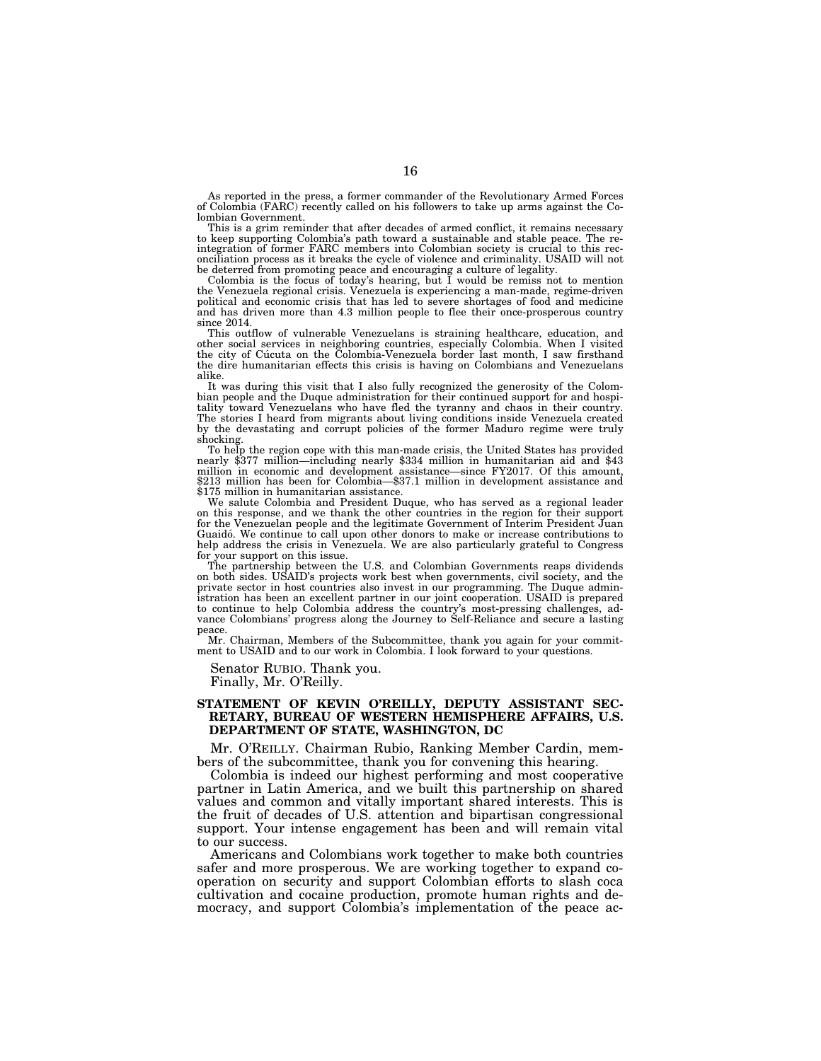As reported in the press, a former commander of the Revolutionary Armed Forces of Colombia (FARC) recently called on his followers to take up arms against the Colombian Government.

This is a grim reminder that after decades of armed conflict, it remains necessary to keep supporting Colombia's path toward a sustainable and stable peace. The reintegration of former FARC members into Colombian society is crucial to this reconciliation process as it breaks the cycle of violence and criminality. USAID will not

be deterred from promoting peace and encouraging a culture of legality. Colombia is the focus of today's hearing, but I would be remiss not to mention the Venezuela regional crisis. Venezuela is experiencing a man-made, regime-driven political and economic crisis that has led to severe shortages of food and medicine and has driven more than 4.3 million people to flee their once-prosperous country since 2014.

This outflow of vulnerable Venezuelans is straining healthcare, education, and other social services in neighboring countries, especially Colombia. When I visited the city of Cúcuta on the Colombia-Venezuela border last mo alike.

It was during this visit that I also fully recognized the generosity of the Colombian people and the Duque administration for their continued support for and hospi-tality toward Venezuelans who have fled the tyranny and chaos in their country. The stories I heard from migrants about living conditions inside Venezuela created by the devastating and corrupt policies of the former Maduro regime were truly shocking.<br>To help the region cope with this man-made crisis, the United States has provided

To help the region cope with this man-made crisis, the United States has provided<br>nearly \$377 million—including nearly \$334 million in humanitarian aid and \$43<br>million in economic and development assistance—since FY2017. O \$213 million has been for Colombia—\$37.1 million in development assistance and \$175 million in humanitarian assistance.

We salute Colombia and President Duque, who has served as a regional leader on this response, and we thank the other countries in the region for their support for the Venezuelan people and the legitimate Government of Interim President Juan Guaidó. We continue to call upon other donors to make or increase contributions to help address the crisis in Venezuela. We are also particularly grateful to Congress for your support on this issue.

The partnership between the U.S. and Colombian Governments reaps dividends on both sides. USAID's projects work best when governments, civil society, and the private sector in host countries also invest in our programming. The Duque admin-istration has been an excellent partner in our joint cooperation. USAID is prepared to continue to help Colombia address the country's most-pressing challenges, ad-vance Colombians' progress along the Journey to Self-Reliance and secure a lasting peace.

Mr. Chairman, Members of the Subcommittee, thank you again for your commitment to USAID and to our work in Colombia. I look forward to your questions.

Senator RUBIO. Thank you. Finally, Mr. O'Reilly.

#### **STATEMENT OF KEVIN O'REILLY, DEPUTY ASSISTANT SEC-RETARY, BUREAU OF WESTERN HEMISPHERE AFFAIRS, U.S. DEPARTMENT OF STATE, WASHINGTON, DC**

Mr. O'REILLY. Chairman Rubio, Ranking Member Cardin, members of the subcommittee, thank you for convening this hearing.

Colombia is indeed our highest performing and most cooperative partner in Latin America, and we built this partnership on shared values and common and vitally important shared interests. This is the fruit of decades of U.S. attention and bipartisan congressional support. Your intense engagement has been and will remain vital to our success.

Americans and Colombians work together to make both countries safer and more prosperous. We are working together to expand cooperation on security and support Colombian efforts to slash coca cultivation and cocaine production, promote human rights and democracy, and support Colombia's implementation of the peace ac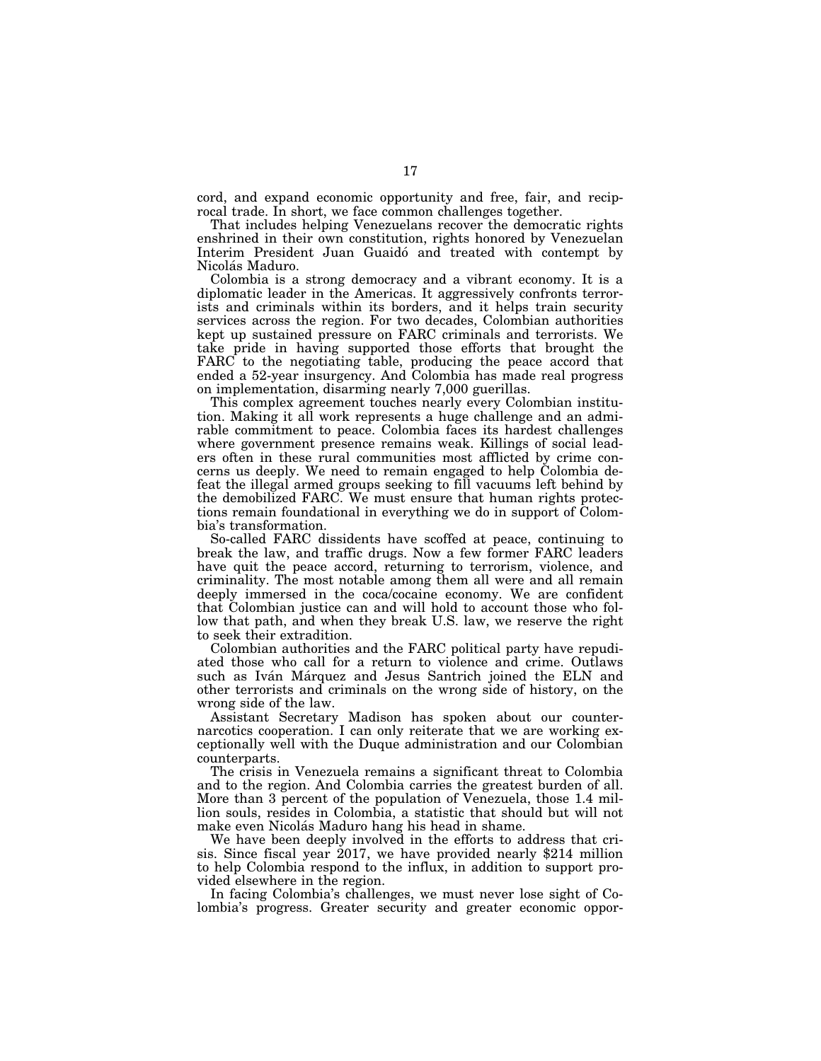cord, and expand economic opportunity and free, fair, and reciprocal trade. In short, we face common challenges together.

That includes helping Venezuelans recover the democratic rights enshrined in their own constitution, rights honored by Venezuelan Interim President Juan Guaidó and treated with contempt by Nicolás Maduro.

Colombia is a strong democracy and a vibrant economy. It is a diplomatic leader in the Americas. It aggressively confronts terrorists and criminals within its borders, and it helps train security services across the region. For two decades, Colombian authorities kept up sustained pressure on FARC criminals and terrorists. We take pride in having supported those efforts that brought the FARC to the negotiating table, producing the peace accord that ended a 52-year insurgency. And Colombia has made real progress on implementation, disarming nearly 7,000 guerillas.

This complex agreement touches nearly every Colombian institution. Making it all work represents a huge challenge and an admirable commitment to peace. Colombia faces its hardest challenges where government presence remains weak. Killings of social leaders often in these rural communities most afflicted by crime concerns us deeply. We need to remain engaged to help Colombia defeat the illegal armed groups seeking to fill vacuums left behind by the demobilized FARC. We must ensure that human rights protections remain foundational in everything we do in support of Colombia's transformation.

So-called FARC dissidents have scoffed at peace, continuing to break the law, and traffic drugs. Now a few former FARC leaders have quit the peace accord, returning to terrorism, violence, and criminality. The most notable among them all were and all remain deeply immersed in the coca/cocaine economy. We are confident that Colombian justice can and will hold to account those who follow that path, and when they break U.S. law, we reserve the right to seek their extradition.

Colombian authorities and the FARC political party have repudiated those who call for a return to violence and crime. Outlaws such as Iván Márquez and Jesus Santrich joined the ELN and other terrorists and criminals on the wrong side of history, on the wrong side of the law.

Assistant Secretary Madison has spoken about our counternarcotics cooperation. I can only reiterate that we are working exceptionally well with the Duque administration and our Colombian counterparts.

The crisis in Venezuela remains a significant threat to Colombia and to the region. And Colombia carries the greatest burden of all. More than 3 percent of the population of Venezuela, those 1.4 million souls, resides in Colombia, a statistic that should but will not make even Nicolás Maduro hang his head in shame.

We have been deeply involved in the efforts to address that crisis. Since fiscal year 2017, we have provided nearly \$214 million to help Colombia respond to the influx, in addition to support provided elsewhere in the region.

In facing Colombia's challenges, we must never lose sight of Colombia's progress. Greater security and greater economic oppor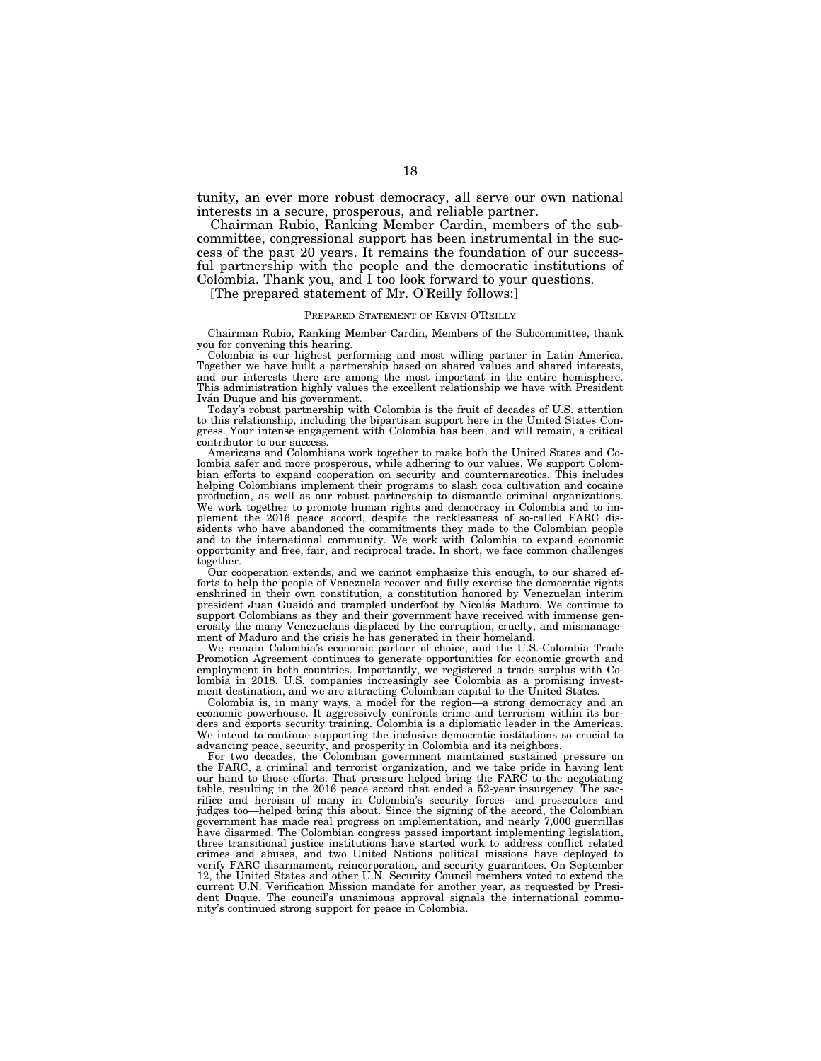tunity, an ever more robust democracy, all serve our own national interests in a secure, prosperous, and reliable partner.

Chairman Rubio, Ranking Member Cardin, members of the subcommittee, congressional support has been instrumental in the success of the past 20 years. It remains the foundation of our successful partnership with the people and the democratic institutions of Colombia. Thank you, and I too look forward to your questions.

[The prepared statement of Mr. O'Reilly follows:]

# PREPARED STATEMENT OF KEVIN O'REILLY

Chairman Rubio, Ranking Member Cardin, Members of the Subcommittee, thank you for convening this hearing.

Colombia is our highest performing and most willing partner in Latin America. Together we have built a partnership based on shared values and shared interests, and our interests there are among the most important in the entire hemisphere. This administration highly values the excellent relationship we have with President Iván Duque and his government.

Today's robust partnership with Colombia is the fruit of decades of U.S. attention to this relationship, including the bipartisan support here in the United States Congress. Your intense engagement with Colombia has been, and will remain, a critical contributor to our success.

Americans and Colombians work together to make both the United States and Colombia safer and more prosperous, while adhering to our values. We support Colombian efforts to expand cooperation on security and counternarcotics. This includes helping Colombians implement their programs to slash coca cultivation and cocaine production, as well as our robust partnership to dismantle criminal organizations. We work together to promote human rights and democracy in Colombia and to implement the 2016 peace accord, despite the recklessness of so-called FARC dissidents who have abandoned the commitments they made to the Colombian people and to the international community. We work with Colombia to expand economic opportunity and free, fair, and reciprocal trade. In short, we face common challenges together.

Our cooperation extends, and we cannot emphasize this enough, to our shared efforts to help the people of Venezuela recover and fully exercise the democratic rights enshrined in their own constitution, a constitution honored by Venezuelan interim president Juan Guaido´ and trampled underfoot by Nicola´s Maduro. We continue to support Colombians as they and their government have received with immense generosity the many Venezuelans displaced by the corruption, cruelty, and mismanagement of Maduro and the crisis he has generated in their homeland.

We remain Colombia's economic partner of choice, and the U.S.-Colombia Trade Promotion Agreement continues to generate opportunities for economic growth and employment in both countries. Importantly, we registered a trade surplus with Colombia in 2018. U.S. companies increasingly see Colombia as a promising investment destination, and we are attracting Colombian capital to the United States.

Colombia is, in many ways, a model for the region—a strong democracy and an economic powerhouse. It aggressively confronts crime and terrorism within its borders and exports security training. Colombia is a diplomatic leader in the Americas. We intend to continue supporting the inclusive democratic institutions so crucial to advancing peace, security, and prosperity in Colombia and its neighbors.

For two decades, the Colombian government maintained sustained pressure on the FARC, a criminal and terrorist organization, and we take pride in having lent our hand to those efforts. That pressure helped bring the FARC to the negotiating table, resulting in the 2016 peace accord that ended a 52-year insurgency. The sacrifice and heroism of many in Colombia's security forces—and prosecutors and judges too—helped bring this about. Since the signing of the accord, the Colombian government has made real progress on implementation, and nearly 7,000 guerrillas have disarmed. The Colombian congress passed important implementing legislation, three transitional justice institutions have started work to address conflict related crimes and abuses, and two United Nations political missions have deployed to verify FARC disarmament, reincorporation, and security guarantees. On September 12, the United States and other U.N. Security Council members voted to extend the current U.N. Verification Mission mandate for another year, as requested by President Duque. The council's unanimous approval signals the international community's continued strong support for peace in Colombia.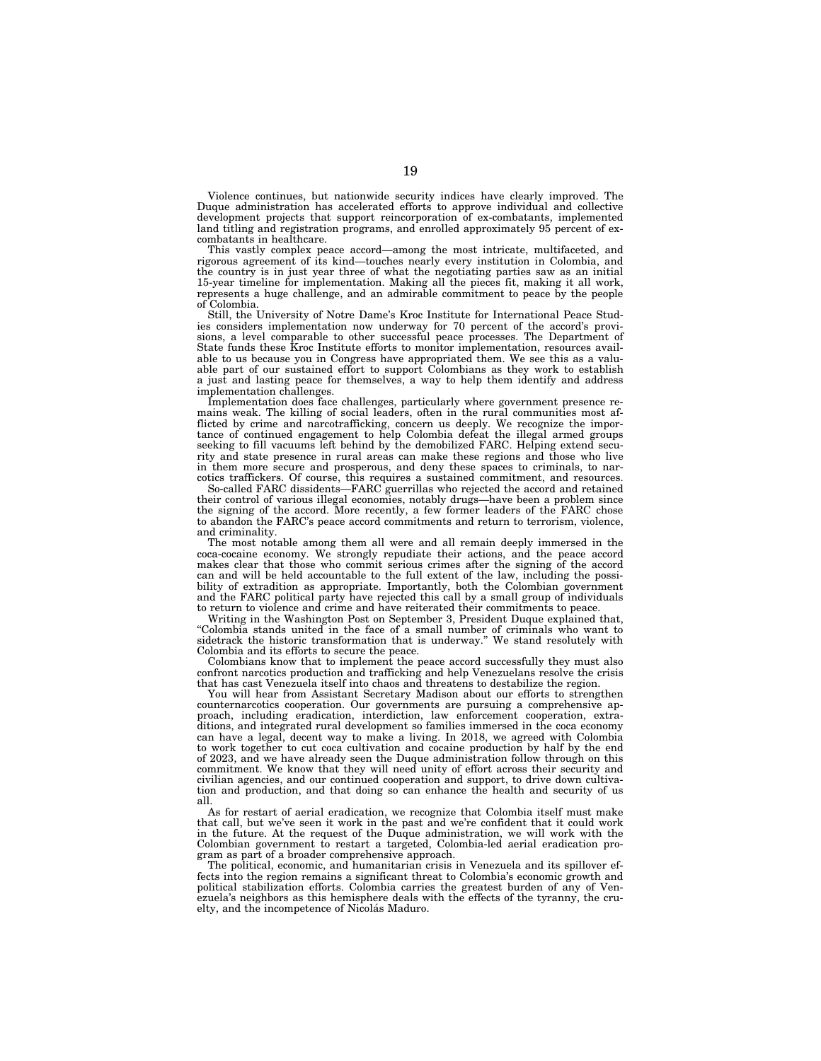Violence continues, but nationwide security indices have clearly improved. The Duque administration has accelerated efforts to approve individual and collective development projects that support reincorporation of ex-combatants, implemented land titling and registration programs, and enrolled approximately 95 percent of excombatants in healthcare.

This vastly complex peace accord—among the most intricate, multifaceted, and rigorous agreement of its kind—touches nearly every institution in Colombia, and the country is in just year three of what the negotiating parties saw as an initial 15-year timeline for implementation. Making all the pieces fit, making it all work, represents a huge challenge, and an admirable commitment to peace by the people of Colombia.

Still, the University of Notre Dame's Kroc Institute for International Peace Studies considers implementation now underway for 70 percent of the accord's provisions, a level comparable to other successful peace processes. The Department of State funds these Kroc Institute efforts to monitor implementation, resources available to us because you in Congress have appropriated them. We see this as a valuable part of our sustained effort to support Colombians as they work to establish a just and lasting peace for themselves, a way to help them identify and address implementation challenges.

Implementation does face challenges, particularly where government presence remains weak. The killing of social leaders, often in the rural communities most afflicted by crime and narcotrafficking, concern us deeply. We recognize the importance of continued engagement to help Colombia defeat the illegal armed groups seeking to fill vacuums left behind by the demobilized FARC. Helping extend security and state presence in rural areas can make these regions and those who live in them more secure and prosperous, and deny these spaces to criminals, to narcotics traffickers. Of course, this requires a sustained commitment, and resources.

So-called FARC dissidents—FARC guerrillas who rejected the accord and retained their control of various illegal economies, notably drugs—have been a problem since the signing of the accord. More recently, a few former leaders of the FARC chose to abandon the FARC's peace accord commitments and return to terrorism, violence, and criminality.

The most notable among them all were and all remain deeply immersed in the coca-cocaine economy. We strongly repudiate their actions, and the peace accord makes clear that those who commit serious crimes after the signing of the accord can and will be held accountable to the full extent of the law, including the possibility of extradition as appropriate. Importantly, both the Colombian government and the FARC political party have rejected this call by a small group of individuals to return to violence and crime and have reiterated their commitments to peace.

Writing in the Washington Post on September 3, President Duque explained that, ''Colombia stands united in the face of a small number of criminals who want to sidetrack the historic transformation that is underway.'' We stand resolutely with Colombia and its efforts to secure the peace.

Colombians know that to implement the peace accord successfully they must also confront narcotics production and trafficking and help Venezuelans resolve the crisis that has cast Venezuela itself into chaos and threatens to destabilize the region.

You will hear from Assistant Secretary Madison about our efforts to strengthen counternarcotics cooperation. Our governments are pursuing a comprehensive approach, including eradication, interdiction, law enforcement cooperation, extraditions, and integrated rural development so families immersed in the coca economy can have a legal, decent way to make a living. In 2018, we agreed with Colombia to work together to cut coca cultivation and cocaine production by half by the end of 2023, and we have already seen the Duque administration follow through on this commitment. We know that they will need unity of effort across their security and civilian agencies, and our continued cooperation and support, to drive down cultivation and production, and that doing so can enhance the health and security of us all.

As for restart of aerial eradication, we recognize that Colombia itself must make that call, but we've seen it work in the past and we're confident that it could work in the future. At the request of the Duque administration, we will work with the Colombian government to restart a targeted, Colombia-led aerial eradication program as part of a broader comprehensive approach.

The political, economic, and humanitarian crisis in Venezuela and its spillover effects into the region remains a significant threat to Colombia's economic growth and political stabilization efforts. Colombia carries the greatest burden of any of Venezuela's neighbors as this hemisphere deals with the effects of the tyranny, the cruelty, and the incompetence of Nicolás Maduro.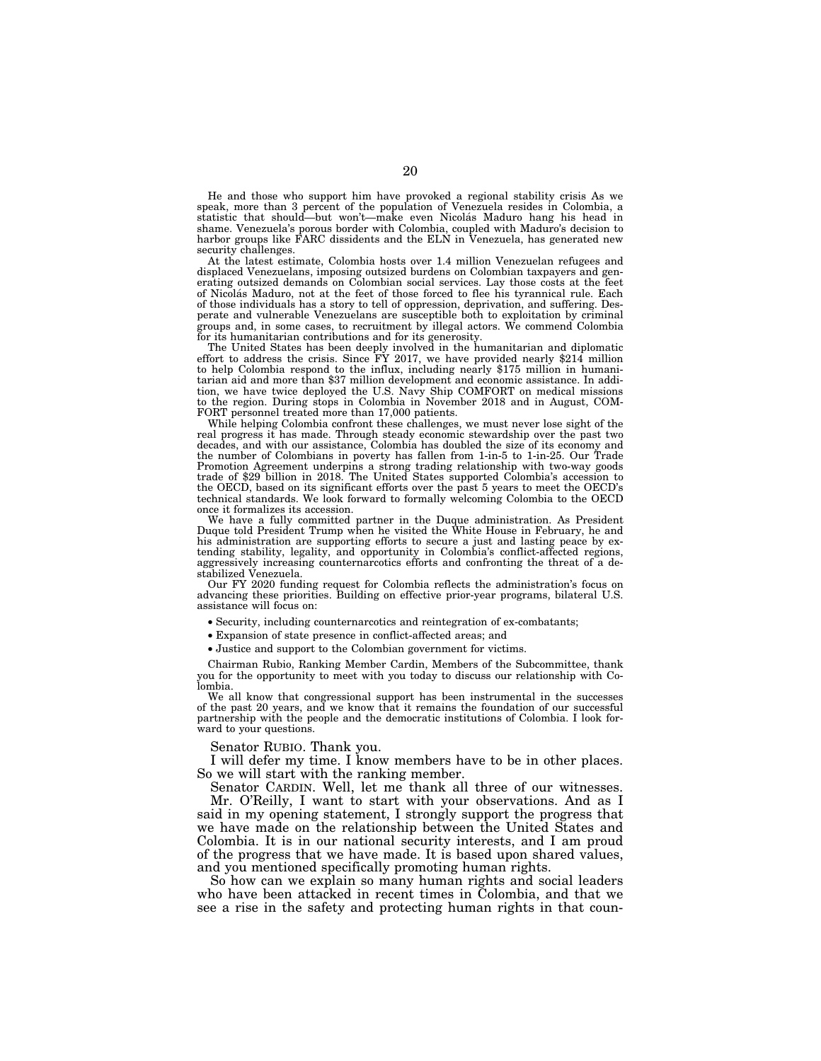He and those who support him have provoked a regional stability crisis As we speak, more than 3 percent of the population of Venezuela resides in Colombia, a statistic that should—but won't—make even Nicolás Maduro hang his head in shame. Venezuela's porous border with Colombia, coupled with Maduro's decision to harbor groups like FARC dissidents and the ELN in Venezuela, has generated new security challenges.

At the latest estimate, Colombia hosts over 1.4 million Venezuelan refugees and displaced Venezuelans, imposing outsized burdens on Colombian taxpayers and generating outsized demands on Colombian social services. Lay those costs at the feet of Nicola´s Maduro, not at the feet of those forced to flee his tyrannical rule. Each of those individuals has a story to tell of oppression, deprivation, and suffering. Desperate and vulnerable Venezuelans are susceptible both to exploitation by criminal groups and, in some cases, to recruitment by illegal actors. We commend Colombia for its humanitarian contributions and for its generosity.

The United States has been deeply involved in the humanitarian and diplomatic effort to address the crisis. Since FY 2017, we have provided nearly \$214 million to help Colombia respond to the influx, including nearly \$175 million in humanitarian aid and more than \$37 million development and economic assistance. In addition, we have twice deployed the U.S. Navy Ship COMFORT on medical missions to the region. During stops in Colombia in November 2018 and in August, COM-FORT personnel treated more than 17,000 patients.

While helping Colombia confront these challenges, we must never lose sight of the real progress it has made. Through steady economic stewardship over the past two decades, and with our assistance, Colombia has doubled the size of its economy and the number of Colombians in poverty has fallen from 1-in-5 to 1-in-25. Our Trade Promotion Agreement underpins a strong trading relationship with two-way goods trade of \$29 billion in 2018. The United States supported Colombia's accession to the OECD, based on its significant efforts over the past 5 years to meet the OECD technical standards. We look forward to formally welcoming Colombia to the OECD once it formalizes its accession.

We have a fully committed partner in the Duque administration. As President Duque told President Trump when he visited the White House in February, he and his administration are supporting efforts to secure a just and lasting peace by extending stability, legality, and opportunity in Colombia's conflict-affected regions, aggressively increasing counternarcotics efforts and confronting the threat of a destabilized Venezuela.

Our FY 2020 funding request for Colombia reflects the administration's focus on advancing these priorities. Building on effective prior-year programs, bilateral U.S. assistance will focus on:

• Security, including counternarcotics and reintegration of ex-combatants;

• Expansion of state presence in conflict-affected areas; and

• Justice and support to the Colombian government for victims.

Chairman Rubio, Ranking Member Cardin, Members of the Subcommittee, thank you for the opportunity to meet with you today to discuss our relationship with Colombia.

We all know that congressional support has been instrumental in the successes of the past 20 years, and we know that it remains the foundation of our successful partnership with the people and the democratic institutions of Colombia. I look forward to your questions.

Senator RUBIO. Thank you.

I will defer my time. I know members have to be in other places. So we will start with the ranking member.

Senator CARDIN. Well, let me thank all three of our witnesses. Mr. O'Reilly, I want to start with your observations. And as I said in my opening statement, I strongly support the progress that

we have made on the relationship between the United States and Colombia. It is in our national security interests, and I am proud of the progress that we have made. It is based upon shared values, and you mentioned specifically promoting human rights.

So how can we explain so many human rights and social leaders who have been attacked in recent times in Colombia, and that we see a rise in the safety and protecting human rights in that coun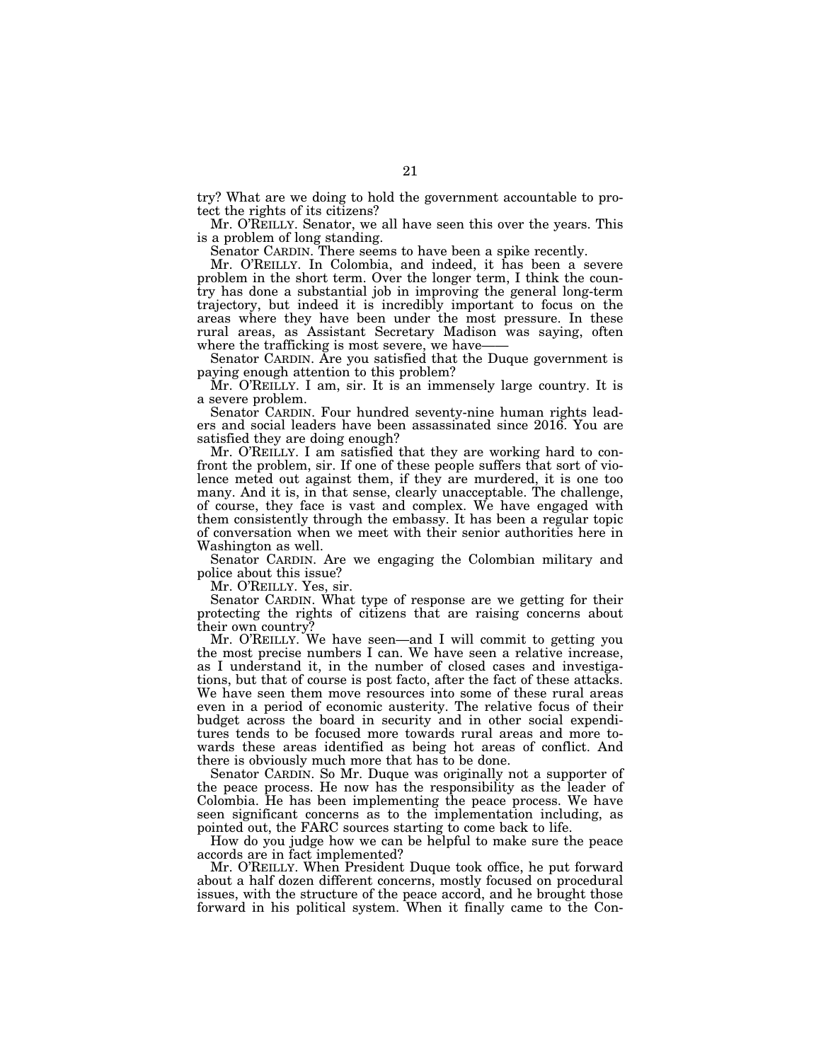try? What are we doing to hold the government accountable to protect the rights of its citizens?

Mr. O'REILLY. Senator, we all have seen this over the years. This is a problem of long standing.

Senator CARDIN. There seems to have been a spike recently.

Mr. O'REILLY. In Colombia, and indeed, it has been a severe problem in the short term. Over the longer term, I think the country has done a substantial job in improving the general long-term trajectory, but indeed it is incredibly important to focus on the areas where they have been under the most pressure. In these rural areas, as Assistant Secretary Madison was saying, often where the trafficking is most severe, we have——

Senator CARDIN. Are you satisfied that the Duque government is paying enough attention to this problem?

Mr. O'REILLY. I am, sir. It is an immensely large country. It is a severe problem.

Senator CARDIN. Four hundred seventy-nine human rights leaders and social leaders have been assassinated since 2016. You are satisfied they are doing enough?

Mr. O'REILLY. I am satisfied that they are working hard to confront the problem, sir. If one of these people suffers that sort of violence meted out against them, if they are murdered, it is one too many. And it is, in that sense, clearly unacceptable. The challenge, of course, they face is vast and complex. We have engaged with them consistently through the embassy. It has been a regular topic of conversation when we meet with their senior authorities here in Washington as well.

Senator CARDIN. Are we engaging the Colombian military and police about this issue?

Mr. O'REILLY. Yes, sir.

Senator CARDIN. What type of response are we getting for their protecting the rights of citizens that are raising concerns about their own country?

Mr. O'REILLY. We have seen—and I will commit to getting you the most precise numbers I can. We have seen a relative increase, as I understand it, in the number of closed cases and investigations, but that of course is post facto, after the fact of these attacks. We have seen them move resources into some of these rural areas even in a period of economic austerity. The relative focus of their budget across the board in security and in other social expenditures tends to be focused more towards rural areas and more towards these areas identified as being hot areas of conflict. And there is obviously much more that has to be done.

Senator CARDIN. So Mr. Duque was originally not a supporter of the peace process. He now has the responsibility as the leader of Colombia. He has been implementing the peace process. We have seen significant concerns as to the implementation including, as pointed out, the FARC sources starting to come back to life.

How do you judge how we can be helpful to make sure the peace accords are in fact implemented?

Mr. O'REILLY. When President Duque took office, he put forward about a half dozen different concerns, mostly focused on procedural issues, with the structure of the peace accord, and he brought those forward in his political system. When it finally came to the Con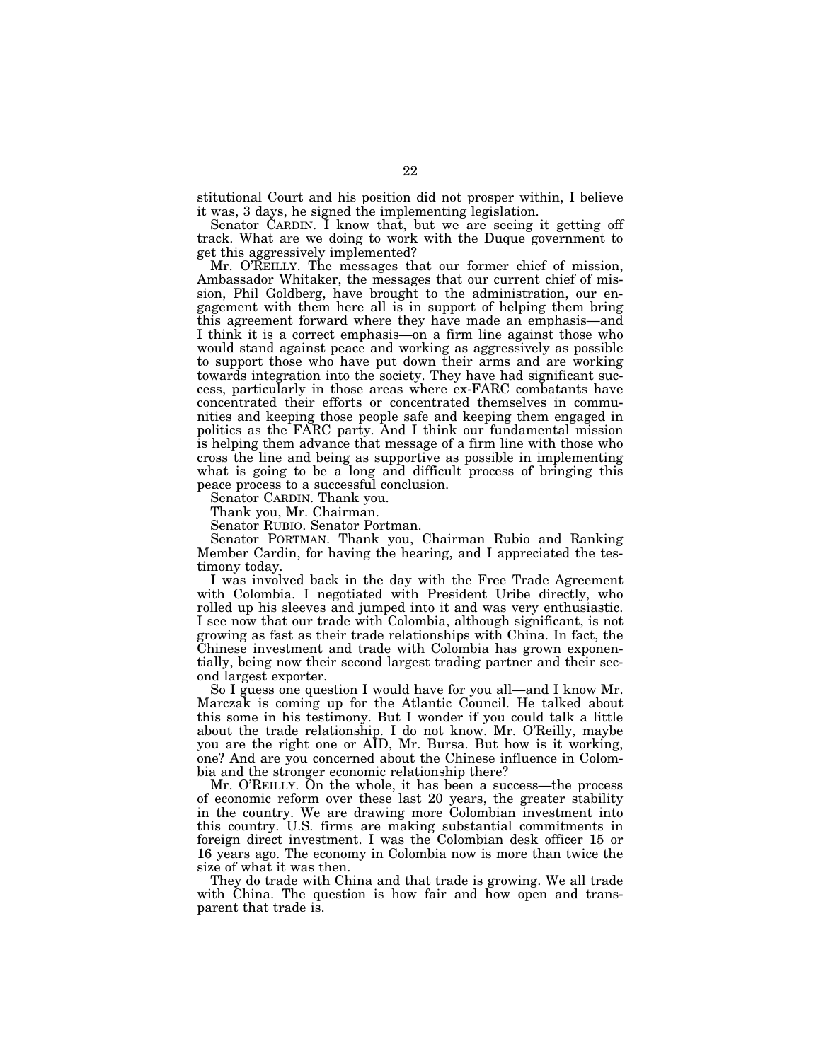stitutional Court and his position did not prosper within, I believe it was, 3 days, he signed the implementing legislation.

Senator CARDIN. I know that, but we are seeing it getting off track. What are we doing to work with the Duque government to get this aggressively implemented?

Mr. O'REILLY. The messages that our former chief of mission, Ambassador Whitaker, the messages that our current chief of mission, Phil Goldberg, have brought to the administration, our engagement with them here all is in support of helping them bring this agreement forward where they have made an emphasis—and I think it is a correct emphasis—on a firm line against those who would stand against peace and working as aggressively as possible to support those who have put down their arms and are working towards integration into the society. They have had significant success, particularly in those areas where ex-FARC combatants have concentrated their efforts or concentrated themselves in communities and keeping those people safe and keeping them engaged in politics as the FARC party. And I think our fundamental mission is helping them advance that message of a firm line with those who cross the line and being as supportive as possible in implementing what is going to be a long and difficult process of bringing this peace process to a successful conclusion.

Senator CARDIN. Thank you.

Thank you, Mr. Chairman.

Senator RUBIO. Senator Portman.

Senator PORTMAN. Thank you, Chairman Rubio and Ranking Member Cardin, for having the hearing, and I appreciated the testimony today.

I was involved back in the day with the Free Trade Agreement with Colombia. I negotiated with President Uribe directly, who rolled up his sleeves and jumped into it and was very enthusiastic. I see now that our trade with Colombia, although significant, is not growing as fast as their trade relationships with China. In fact, the Chinese investment and trade with Colombia has grown exponentially, being now their second largest trading partner and their second largest exporter.

So I guess one question I would have for you all—and I know Mr. Marczak is coming up for the Atlantic Council. He talked about this some in his testimony. But I wonder if you could talk a little about the trade relationship. I do not know. Mr. O'Reilly, maybe you are the right one or AID, Mr. Bursa. But how is it working, one? And are you concerned about the Chinese influence in Colombia and the stronger economic relationship there?

Mr. O'REILLY. On the whole, it has been a success—the process of economic reform over these last 20 years, the greater stability in the country. We are drawing more Colombian investment into this country. U.S. firms are making substantial commitments in foreign direct investment. I was the Colombian desk officer 15 or 16 years ago. The economy in Colombia now is more than twice the size of what it was then.

They do trade with China and that trade is growing. We all trade with China. The question is how fair and how open and transparent that trade is.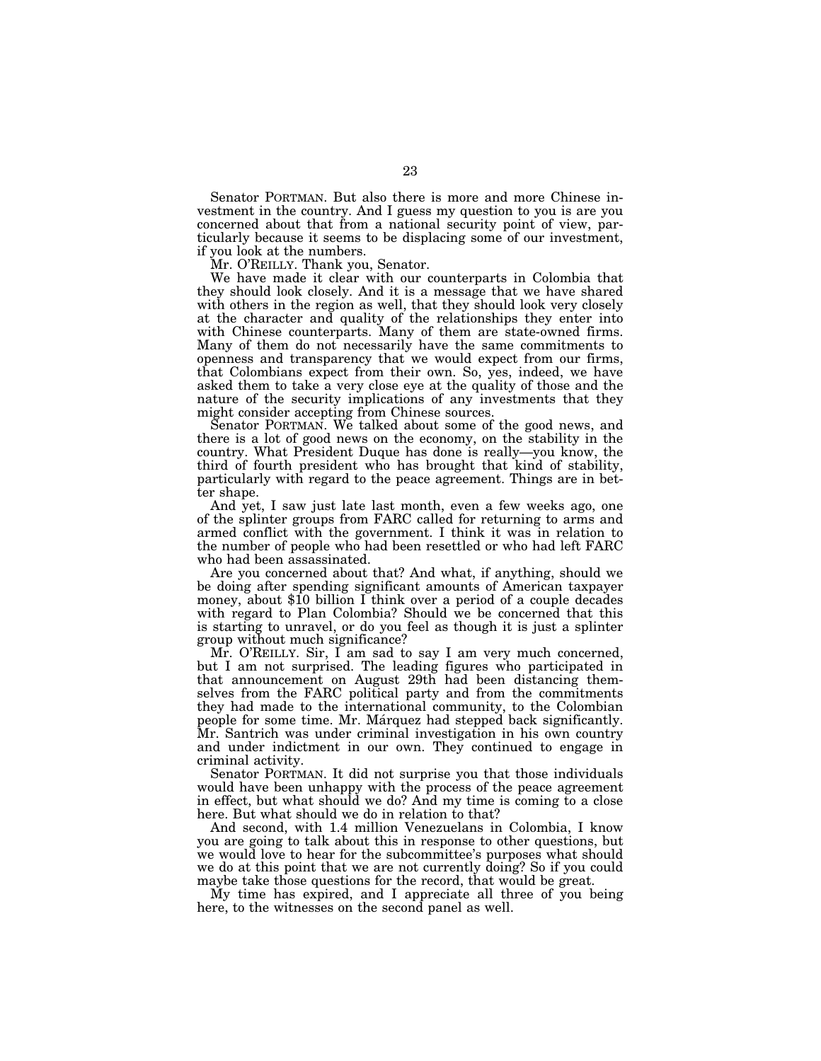Senator PORTMAN. But also there is more and more Chinese investment in the country. And I guess my question to you is are you concerned about that from a national security point of view, particularly because it seems to be displacing some of our investment, if you look at the numbers.

Mr. O'REILLY. Thank you, Senator.

We have made it clear with our counterparts in Colombia that they should look closely. And it is a message that we have shared with others in the region as well, that they should look very closely at the character and quality of the relationships they enter into with Chinese counterparts. Many of them are state-owned firms. Many of them do not necessarily have the same commitments to openness and transparency that we would expect from our firms, that Colombians expect from their own. So, yes, indeed, we have asked them to take a very close eye at the quality of those and the nature of the security implications of any investments that they might consider accepting from Chinese sources.

Senator PORTMAN. We talked about some of the good news, and there is a lot of good news on the economy, on the stability in the country. What President Duque has done is really—you know, the third of fourth president who has brought that kind of stability, particularly with regard to the peace agreement. Things are in better shape.

And yet, I saw just late last month, even a few weeks ago, one of the splinter groups from FARC called for returning to arms and armed conflict with the government. I think it was in relation to the number of people who had been resettled or who had left FARC who had been assassinated.

Are you concerned about that? And what, if anything, should we be doing after spending significant amounts of American taxpayer money, about \$10 billion I think over a period of a couple decades with regard to Plan Colombia? Should we be concerned that this is starting to unravel, or do you feel as though it is just a splinter group without much significance?

Mr. O'REILLY. Sir, I am sad to say I am very much concerned, but I am not surprised. The leading figures who participated in that announcement on August 29th had been distancing themselves from the FARC political party and from the commitments they had made to the international community, to the Colombian people for some time. Mr. Marquez had stepped back significantly. Mr. Santrich was under criminal investigation in his own country and under indictment in our own. They continued to engage in criminal activity.

Senator PORTMAN. It did not surprise you that those individuals would have been unhappy with the process of the peace agreement in effect, but what should we do? And my time is coming to a close here. But what should we do in relation to that?

And second, with 1.4 million Venezuelans in Colombia, I know you are going to talk about this in response to other questions, but we would love to hear for the subcommittee's purposes what should we do at this point that we are not currently doing? So if you could maybe take those questions for the record, that would be great.

My time has expired, and I appreciate all three of you being here, to the witnesses on the second panel as well.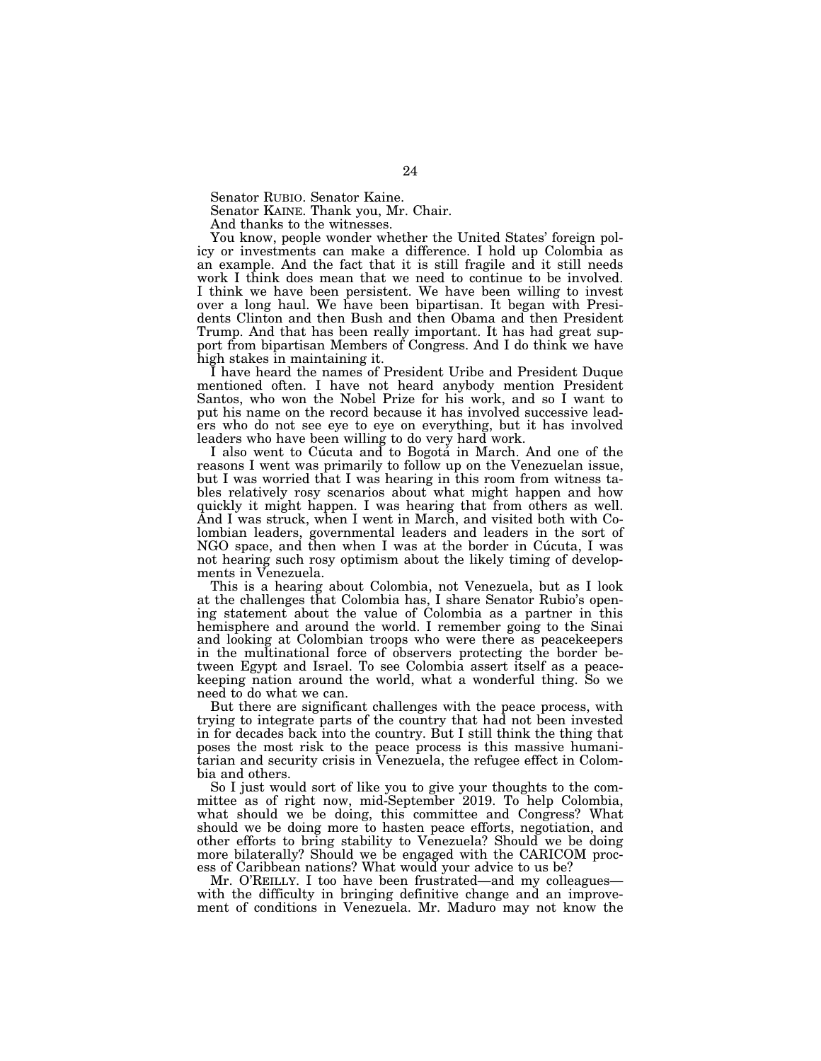Senator RUBIO. Senator Kaine.

Senator KAINE. Thank you, Mr. Chair.

And thanks to the witnesses.

You know, people wonder whether the United States' foreign policy or investments can make a difference. I hold up Colombia as an example. And the fact that it is still fragile and it still needs work I think does mean that we need to continue to be involved. I think we have been persistent. We have been willing to invest over a long haul. We have been bipartisan. It began with Presidents Clinton and then Bush and then Obama and then President Trump. And that has been really important. It has had great support from bipartisan Members of Congress. And I do think we have high stakes in maintaining it.

I have heard the names of President Uribe and President Duque mentioned often. I have not heard anybody mention President Santos, who won the Nobel Prize for his work, and so I want to put his name on the record because it has involved successive leaders who do not see eye to eye on everything, but it has involved leaders who have been willing to do very hard work.

I also went to Cúcuta and to Bogotá in March. And one of the reasons I went was primarily to follow up on the Venezuelan issue, but I was worried that I was hearing in this room from witness tables relatively rosy scenarios about what might happen and how quickly it might happen. I was hearing that from others as well. And I was struck, when I went in March, and visited both with Colombian leaders, governmental leaders and leaders in the sort of NGO space, and then when I was at the border in Cúcuta, I was not hearing such rosy optimism about the likely timing of developments in Venezuela.

This is a hearing about Colombia, not Venezuela, but as I look at the challenges that Colombia has, I share Senator Rubio's opening statement about the value of Colombia as a partner in this hemisphere and around the world. I remember going to the Sinai and looking at Colombian troops who were there as peacekeepers in the multinational force of observers protecting the border between Egypt and Israel. To see Colombia assert itself as a peacekeeping nation around the world, what a wonderful thing. So we need to do what we can.

But there are significant challenges with the peace process, with trying to integrate parts of the country that had not been invested in for decades back into the country. But I still think the thing that poses the most risk to the peace process is this massive humanitarian and security crisis in Venezuela, the refugee effect in Colombia and others.

So I just would sort of like you to give your thoughts to the committee as of right now, mid-September 2019. To help Colombia, what should we be doing, this committee and Congress? What should we be doing more to hasten peace efforts, negotiation, and other efforts to bring stability to Venezuela? Should we be doing more bilaterally? Should we be engaged with the CARICOM process of Caribbean nations? What would your advice to us be?

Mr. O'REILLY. I too have been frustrated—and my colleagues with the difficulty in bringing definitive change and an improvement of conditions in Venezuela. Mr. Maduro may not know the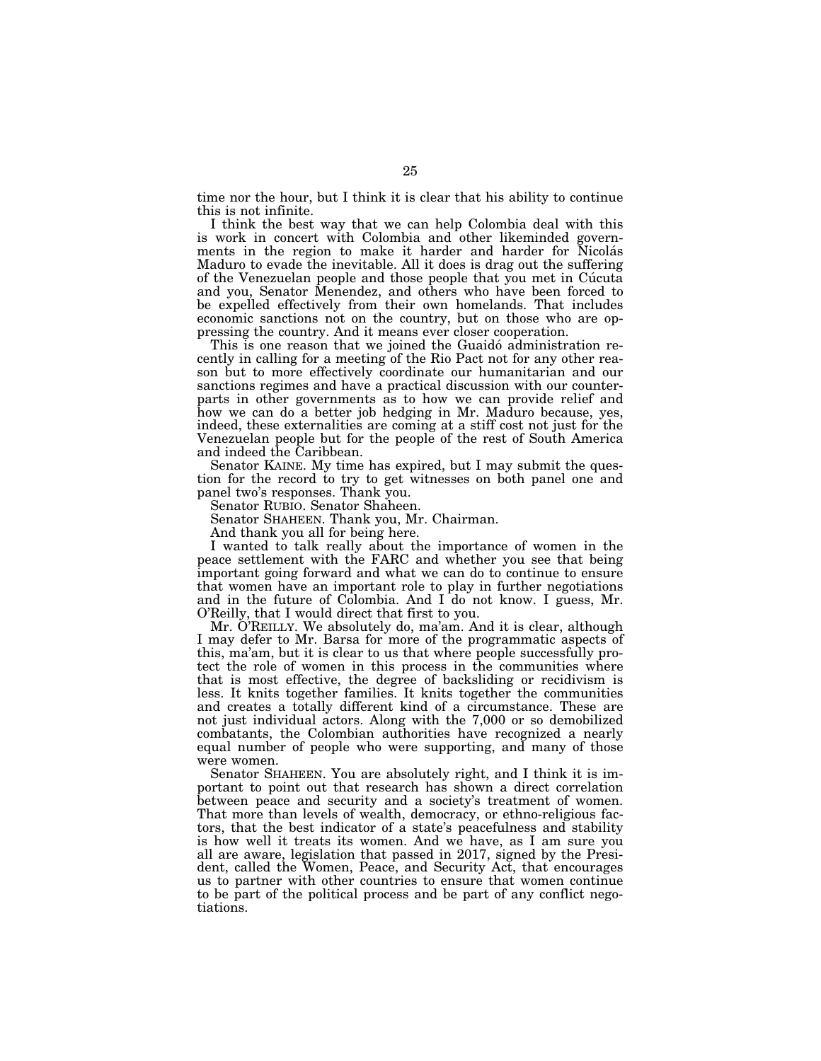time nor the hour, but I think it is clear that his ability to continue this is not infinite.

I think the best way that we can help Colombia deal with this is work in concert with Colombia and other likeminded governments in the region to make it harder and harder for Nicolás Maduro to evade the inevitable. All it does is drag out the suffering of the Venezuelan people and those people that you met in Cucuta and you, Senator Menendez, and others who have been forced to be expelled effectively from their own homelands. That includes economic sanctions not on the country, but on those who are oppressing the country. And it means ever closer cooperation.

This is one reason that we joined the Guaidó administration recently in calling for a meeting of the Rio Pact not for any other reason but to more effectively coordinate our humanitarian and our sanctions regimes and have a practical discussion with our counterparts in other governments as to how we can provide relief and how we can do a better job hedging in Mr. Maduro because, yes, indeed, these externalities are coming at a stiff cost not just for the Venezuelan people but for the people of the rest of South America and indeed the Caribbean.

Senator KAINE. My time has expired, but I may submit the question for the record to try to get witnesses on both panel one and panel two's responses. Thank you.

Senator RUBIO. Senator Shaheen.

Senator SHAHEEN. Thank you, Mr. Chairman.

And thank you all for being here.

I wanted to talk really about the importance of women in the peace settlement with the FARC and whether you see that being important going forward and what we can do to continue to ensure that women have an important role to play in further negotiations and in the future of Colombia. And I do not know. I guess, Mr. O'Reilly, that I would direct that first to you.

Mr. O'REILLY. We absolutely do, ma'am. And it is clear, although I may defer to Mr. Barsa for more of the programmatic aspects of this, ma'am, but it is clear to us that where people successfully protect the role of women in this process in the communities where that is most effective, the degree of backsliding or recidivism is less. It knits together families. It knits together the communities and creates a totally different kind of a circumstance. These are not just individual actors. Along with the 7,000 or so demobilized combatants, the Colombian authorities have recognized a nearly equal number of people who were supporting, and many of those were women.

Senator SHAHEEN. You are absolutely right, and I think it is important to point out that research has shown a direct correlation between peace and security and a society's treatment of women. That more than levels of wealth, democracy, or ethno-religious factors, that the best indicator of a state's peacefulness and stability is how well it treats its women. And we have, as I am sure you all are aware, legislation that passed in 2017, signed by the President, called the Women, Peace, and Security Act, that encourages us to partner with other countries to ensure that women continue to be part of the political process and be part of any conflict negotiations.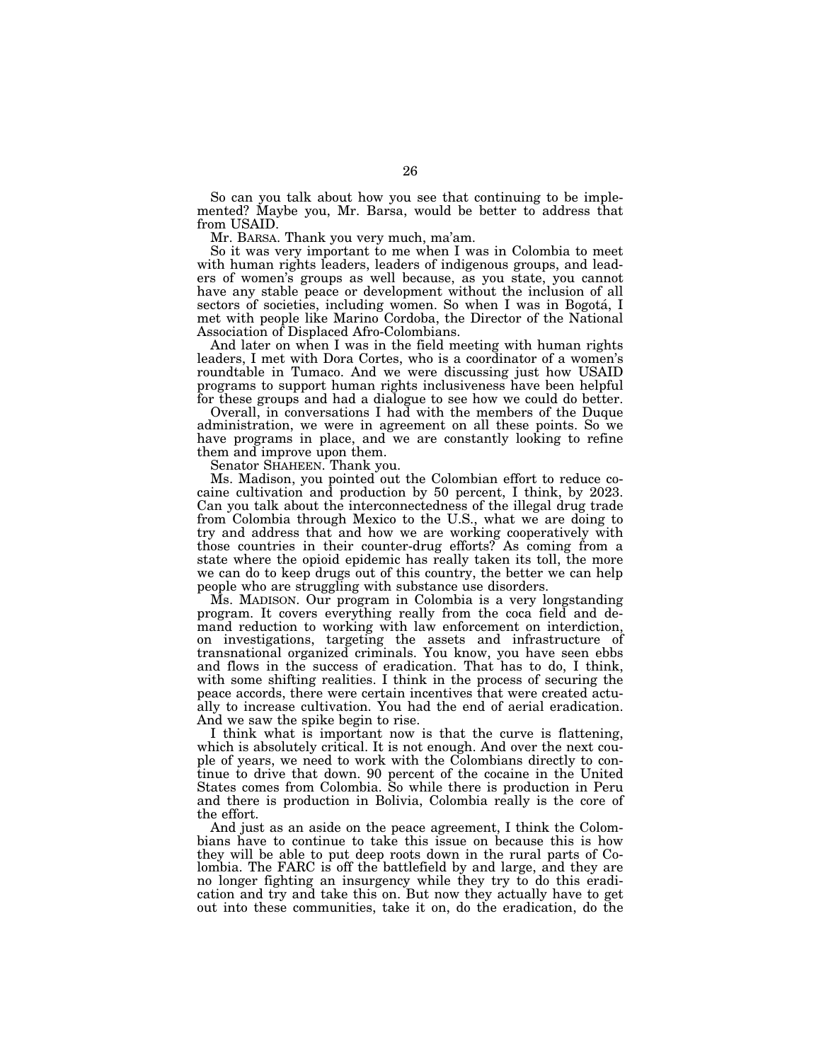So can you talk about how you see that continuing to be implemented? Maybe you, Mr. Barsa, would be better to address that from USAID.

Mr. BARSA. Thank you very much, ma'am.

So it was very important to me when I was in Colombia to meet with human rights leaders, leaders of indigenous groups, and leaders of women's groups as well because, as you state, you cannot have any stable peace or development without the inclusion of all sectors of societies, including women. So when I was in Bogotá, I met with people like Marino Cordoba, the Director of the National Association of Displaced Afro-Colombians.

And later on when I was in the field meeting with human rights leaders, I met with Dora Cortes, who is a coordinator of a women's roundtable in Tumaco. And we were discussing just how USAID programs to support human rights inclusiveness have been helpful for these groups and had a dialogue to see how we could do better.

Overall, in conversations I had with the members of the Duque administration, we were in agreement on all these points. So we have programs in place, and we are constantly looking to refine them and improve upon them.

Senator SHAHEEN. Thank you.

Ms. Madison, you pointed out the Colombian effort to reduce cocaine cultivation and production by 50 percent, I think, by 2023. Can you talk about the interconnectedness of the illegal drug trade from Colombia through Mexico to the U.S., what we are doing to try and address that and how we are working cooperatively with those countries in their counter-drug efforts? As coming from a state where the opioid epidemic has really taken its toll, the more we can do to keep drugs out of this country, the better we can help people who are struggling with substance use disorders.

Ms. MADISON. Our program in Colombia is a very longstanding program. It covers everything really from the coca field and demand reduction to working with law enforcement on interdiction, on investigations, targeting the assets and infrastructure of transnational organized criminals. You know, you have seen ebbs and flows in the success of eradication. That has to do, I think, with some shifting realities. I think in the process of securing the peace accords, there were certain incentives that were created actually to increase cultivation. You had the end of aerial eradication. And we saw the spike begin to rise.

I think what is important now is that the curve is flattening, which is absolutely critical. It is not enough. And over the next couple of years, we need to work with the Colombians directly to continue to drive that down. 90 percent of the cocaine in the United States comes from Colombia. So while there is production in Peru and there is production in Bolivia, Colombia really is the core of the effort.

And just as an aside on the peace agreement, I think the Colombians have to continue to take this issue on because this is how they will be able to put deep roots down in the rural parts of Colombia. The FARC is off the battlefield by and large, and they are no longer fighting an insurgency while they try to do this eradication and try and take this on. But now they actually have to get out into these communities, take it on, do the eradication, do the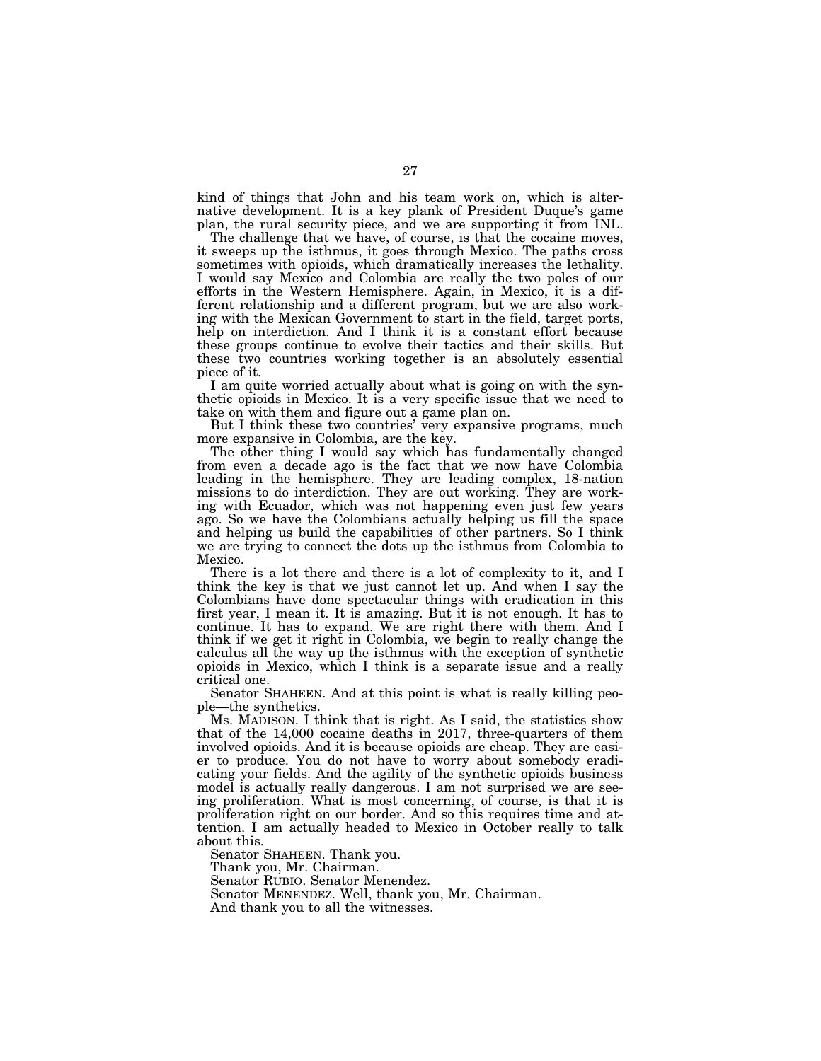kind of things that John and his team work on, which is alternative development. It is a key plank of President Duque's game plan, the rural security piece, and we are supporting it from INL.

The challenge that we have, of course, is that the cocaine moves, it sweeps up the isthmus, it goes through Mexico. The paths cross sometimes with opioids, which dramatically increases the lethality. I would say Mexico and Colombia are really the two poles of our efforts in the Western Hemisphere. Again, in Mexico, it is a different relationship and a different program, but we are also working with the Mexican Government to start in the field, target ports, help on interdiction. And I think it is a constant effort because these groups continue to evolve their tactics and their skills. But these two countries working together is an absolutely essential piece of it.

I am quite worried actually about what is going on with the synthetic opioids in Mexico. It is a very specific issue that we need to take on with them and figure out a game plan on.

But I think these two countries' very expansive programs, much more expansive in Colombia, are the key.

The other thing I would say which has fundamentally changed from even a decade ago is the fact that we now have Colombia leading in the hemisphere. They are leading complex, 18-nation missions to do interdiction. They are out working. They are working with Ecuador, which was not happening even just few years ago. So we have the Colombians actually helping us fill the space and helping us build the capabilities of other partners. So I think we are trying to connect the dots up the isthmus from Colombia to Mexico.

There is a lot there and there is a lot of complexity to it, and I think the key is that we just cannot let up. And when I say the Colombians have done spectacular things with eradication in this first year, I mean it. It is amazing. But it is not enough. It has to continue. It has to expand. We are right there with them. And I think if we get it right in Colombia, we begin to really change the calculus all the way up the isthmus with the exception of synthetic opioids in Mexico, which I think is a separate issue and a really critical one.

Senator SHAHEEN. And at this point is what is really killing people—the synthetics.

Ms. MADISON. I think that is right. As I said, the statistics show that of the 14,000 cocaine deaths in 2017, three-quarters of them involved opioids. And it is because opioids are cheap. They are easier to produce. You do not have to worry about somebody eradicating your fields. And the agility of the synthetic opioids business model is actually really dangerous. I am not surprised we are seeing proliferation. What is most concerning, of course, is that it is proliferation right on our border. And so this requires time and attention. I am actually headed to Mexico in October really to talk about this.

Senator SHAHEEN. Thank you.

Thank you, Mr. Chairman.

Senator RUBIO. Senator Menendez.

Senator MENENDEZ. Well, thank you, Mr. Chairman.

And thank you to all the witnesses.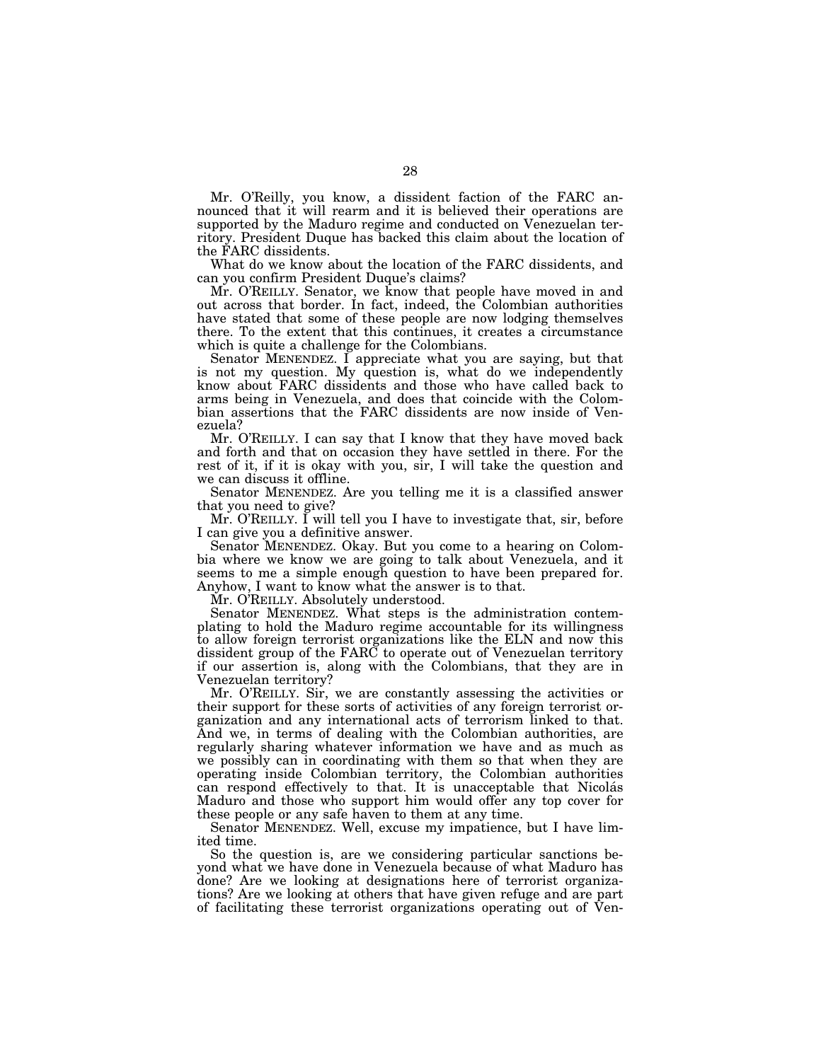Mr. O'Reilly, you know, a dissident faction of the FARC announced that it will rearm and it is believed their operations are supported by the Maduro regime and conducted on Venezuelan territory. President Duque has backed this claim about the location of the FARC dissidents.

What do we know about the location of the FARC dissidents, and can you confirm President Duque's claims?

Mr. O'REILLY. Senator, we know that people have moved in and out across that border. In fact, indeed, the Colombian authorities have stated that some of these people are now lodging themselves there. To the extent that this continues, it creates a circumstance which is quite a challenge for the Colombians.

Senator MENENDEZ. I appreciate what you are saying, but that is not my question. My question is, what do we independently know about FARC dissidents and those who have called back to arms being in Venezuela, and does that coincide with the Colombian assertions that the FARC dissidents are now inside of Venezuela?

Mr. O'REILLY. I can say that I know that they have moved back and forth and that on occasion they have settled in there. For the rest of it, if it is okay with you, sir, I will take the question and we can discuss it offline.

Senator MENENDEZ. Are you telling me it is a classified answer that you need to give?

Mr. O'REILLY. I will tell you I have to investigate that, sir, before I can give you a definitive answer.

Senator MENENDEZ. Okay. But you come to a hearing on Colombia where we know we are going to talk about Venezuela, and it seems to me a simple enough question to have been prepared for. Anyhow, I want to know what the answer is to that.

Mr. O'REILLY. Absolutely understood.

Senator MENENDEZ. What steps is the administration contemplating to hold the Maduro regime accountable for its willingness to allow foreign terrorist organizations like the ELN and now this dissident group of the FARC to operate out of Venezuelan territory if our assertion is, along with the Colombians, that they are in Venezuelan territory?

Mr. O'REILLY. Sir, we are constantly assessing the activities or their support for these sorts of activities of any foreign terrorist organization and any international acts of terrorism linked to that. And we, in terms of dealing with the Colombian authorities, are regularly sharing whatever information we have and as much as we possibly can in coordinating with them so that when they are operating inside Colombian territory, the Colombian authorities can respond effectively to that. It is unacceptable that Nicolás Maduro and those who support him would offer any top cover for these people or any safe haven to them at any time.

Senator MENENDEZ. Well, excuse my impatience, but I have limited time.

So the question is, are we considering particular sanctions beyond what we have done in Venezuela because of what Maduro has done? Are we looking at designations here of terrorist organizations? Are we looking at others that have given refuge and are part of facilitating these terrorist organizations operating out of Ven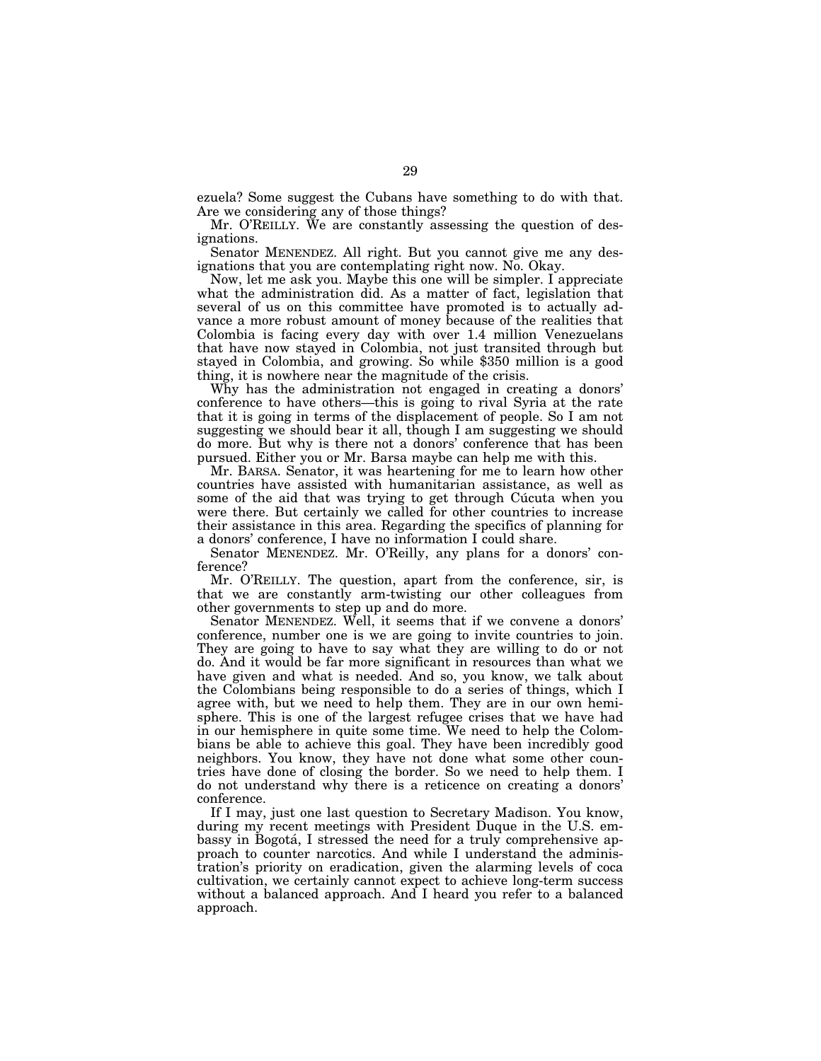ezuela? Some suggest the Cubans have something to do with that. Are we considering any of those things?

Mr. O'REILLY. We are constantly assessing the question of designations.

Senator MENENDEZ. All right. But you cannot give me any designations that you are contemplating right now. No. Okay.

Now, let me ask you. Maybe this one will be simpler. I appreciate what the administration did. As a matter of fact, legislation that several of us on this committee have promoted is to actually advance a more robust amount of money because of the realities that Colombia is facing every day with over 1.4 million Venezuelans that have now stayed in Colombia, not just transited through but stayed in Colombia, and growing. So while \$350 million is a good thing, it is nowhere near the magnitude of the crisis.

Why has the administration not engaged in creating a donors' conference to have others—this is going to rival Syria at the rate that it is going in terms of the displacement of people. So I am not suggesting we should bear it all, though I am suggesting we should do more. But why is there not a donors' conference that has been pursued. Either you or Mr. Barsa maybe can help me with this.

Mr. BARSA. Senator, it was heartening for me to learn how other countries have assisted with humanitarian assistance, as well as some of the aid that was trying to get through Cucuta when you were there. But certainly we called for other countries to increase their assistance in this area. Regarding the specifics of planning for a donors' conference, I have no information I could share.

Senator MENENDEZ. Mr. O'Reilly, any plans for a donors' conference?

Mr. O'REILLY. The question, apart from the conference, sir, is that we are constantly arm-twisting our other colleagues from other governments to step up and do more.

Senator MENENDEZ. Well, it seems that if we convene a donors' conference, number one is we are going to invite countries to join. They are going to have to say what they are willing to do or not do. And it would be far more significant in resources than what we have given and what is needed. And so, you know, we talk about the Colombians being responsible to do a series of things, which I agree with, but we need to help them. They are in our own hemisphere. This is one of the largest refugee crises that we have had in our hemisphere in quite some time. We need to help the Colombians be able to achieve this goal. They have been incredibly good neighbors. You know, they have not done what some other countries have done of closing the border. So we need to help them. I do not understand why there is a reticence on creating a donors' conference.

If I may, just one last question to Secretary Madison. You know, during my recent meetings with President Duque in the U.S. embassy in Bogotá, I stressed the need for a truly comprehensive approach to counter narcotics. And while I understand the administration's priority on eradication, given the alarming levels of coca cultivation, we certainly cannot expect to achieve long-term success without a balanced approach. And I heard you refer to a balanced approach.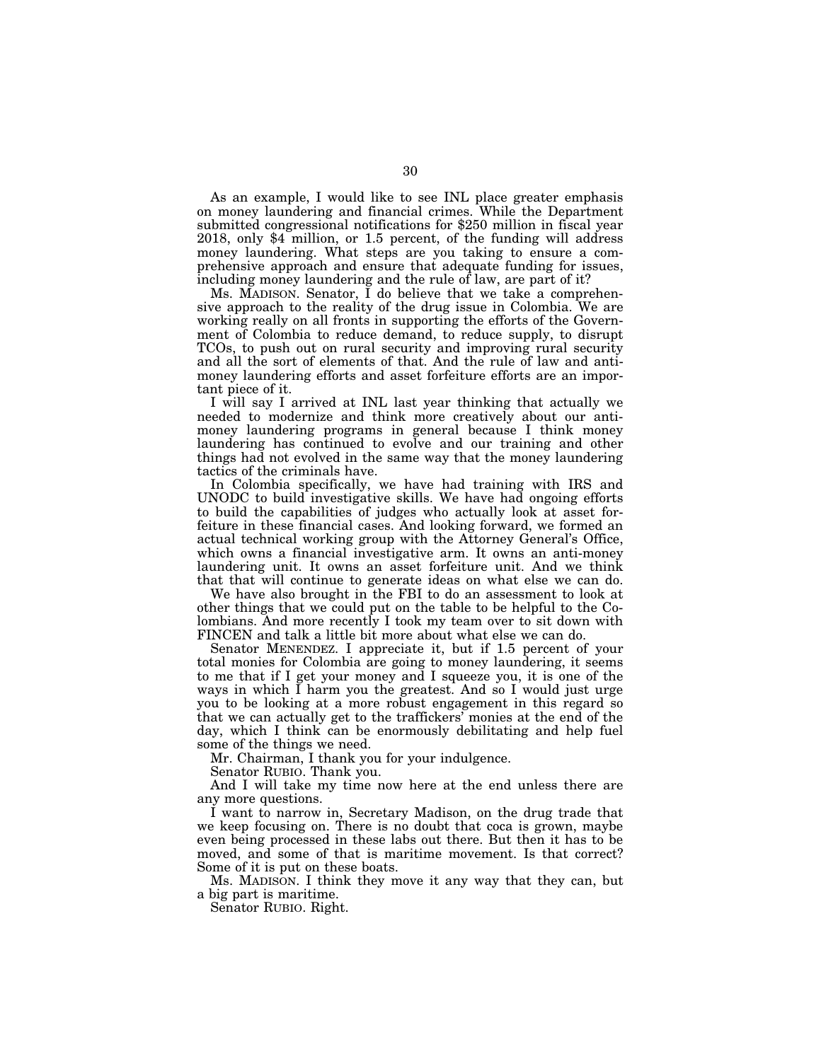As an example, I would like to see INL place greater emphasis on money laundering and financial crimes. While the Department submitted congressional notifications for \$250 million in fiscal year 2018, only \$4 million, or 1.5 percent, of the funding will address money laundering. What steps are you taking to ensure a comprehensive approach and ensure that adequate funding for issues, including money laundering and the rule of law, are part of it?

Ms. MADISON. Senator, I do believe that we take a comprehensive approach to the reality of the drug issue in Colombia. We are working really on all fronts in supporting the efforts of the Government of Colombia to reduce demand, to reduce supply, to disrupt TCOs, to push out on rural security and improving rural security and all the sort of elements of that. And the rule of law and antimoney laundering efforts and asset forfeiture efforts are an important piece of it.

I will say I arrived at INL last year thinking that actually we needed to modernize and think more creatively about our antimoney laundering programs in general because I think money laundering has continued to evolve and our training and other things had not evolved in the same way that the money laundering tactics of the criminals have.

In Colombia specifically, we have had training with IRS and UNODC to build investigative skills. We have had ongoing efforts to build the capabilities of judges who actually look at asset forfeiture in these financial cases. And looking forward, we formed an actual technical working group with the Attorney General's Office, which owns a financial investigative arm. It owns an anti-money laundering unit. It owns an asset forfeiture unit. And we think that that will continue to generate ideas on what else we can do.

We have also brought in the FBI to do an assessment to look at other things that we could put on the table to be helpful to the Colombians. And more recently I took my team over to sit down with FINCEN and talk a little bit more about what else we can do.

Senator MENENDEZ. I appreciate it, but if 1.5 percent of your total monies for Colombia are going to money laundering, it seems to me that if I get your money and I squeeze you, it is one of the ways in which I harm you the greatest. And so I would just urge you to be looking at a more robust engagement in this regard so that we can actually get to the traffickers' monies at the end of the day, which I think can be enormously debilitating and help fuel some of the things we need.

Mr. Chairman, I thank you for your indulgence.

Senator RUBIO. Thank you.

And I will take my time now here at the end unless there are any more questions.

I want to narrow in, Secretary Madison, on the drug trade that we keep focusing on. There is no doubt that coca is grown, maybe even being processed in these labs out there. But then it has to be moved, and some of that is maritime movement. Is that correct? Some of it is put on these boats.

Ms. MADISON. I think they move it any way that they can, but a big part is maritime.

Senator RUBIO. Right.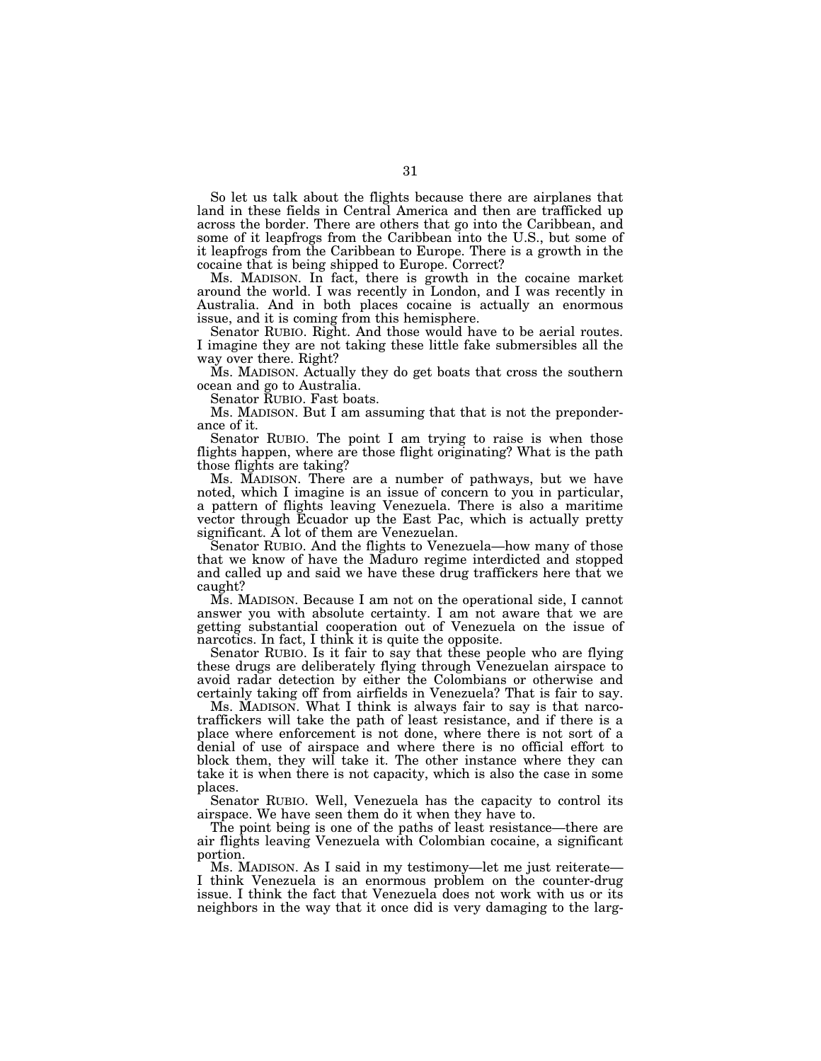So let us talk about the flights because there are airplanes that land in these fields in Central America and then are trafficked up across the border. There are others that go into the Caribbean, and some of it leapfrogs from the Caribbean into the U.S., but some of it leapfrogs from the Caribbean to Europe. There is a growth in the cocaine that is being shipped to Europe. Correct?

Ms. MADISON. In fact, there is growth in the cocaine market around the world. I was recently in London, and I was recently in Australia. And in both places cocaine is actually an enormous issue, and it is coming from this hemisphere.

Senator RUBIO. Right. And those would have to be aerial routes. I imagine they are not taking these little fake submersibles all the way over there. Right?

Ms. MADISON. Actually they do get boats that cross the southern ocean and go to Australia.

Senator RUBIO. Fast boats.

Ms. MADISON. But I am assuming that that is not the preponderance of it.

Senator RUBIO. The point I am trying to raise is when those flights happen, where are those flight originating? What is the path those flights are taking?

Ms. MADISON. There are a number of pathways, but we have noted, which I imagine is an issue of concern to you in particular, a pattern of flights leaving Venezuela. There is also a maritime vector through Ecuador up the East Pac, which is actually pretty significant. A lot of them are Venezuelan.

Senator RUBIO. And the flights to Venezuela—how many of those that we know of have the Maduro regime interdicted and stopped and called up and said we have these drug traffickers here that we caught?

Ms. MADISON. Because I am not on the operational side, I cannot answer you with absolute certainty. I am not aware that we are getting substantial cooperation out of Venezuela on the issue of narcotics. In fact, I think it is quite the opposite.

Senator RUBIO. Is it fair to say that these people who are flying these drugs are deliberately flying through Venezuelan airspace to avoid radar detection by either the Colombians or otherwise and certainly taking off from airfields in Venezuela? That is fair to say.

Ms. MADISON. What I think is always fair to say is that narcotraffickers will take the path of least resistance, and if there is a place where enforcement is not done, where there is not sort of a denial of use of airspace and where there is no official effort to block them, they will take it. The other instance where they can take it is when there is not capacity, which is also the case in some places.

Senator RUBIO. Well, Venezuela has the capacity to control its airspace. We have seen them do it when they have to.

The point being is one of the paths of least resistance—there are air flights leaving Venezuela with Colombian cocaine, a significant portion.

Ms. MADISON. As I said in my testimony—let me just reiterate— I think Venezuela is an enormous problem on the counter-drug issue. I think the fact that Venezuela does not work with us or its neighbors in the way that it once did is very damaging to the larg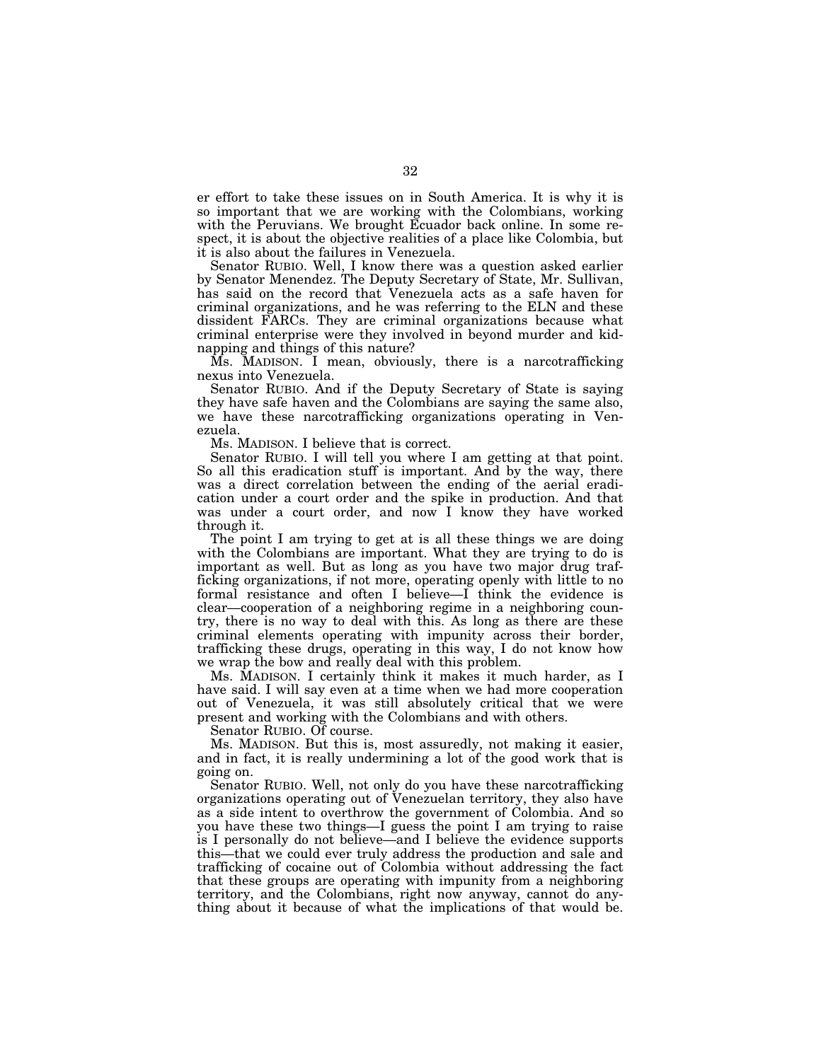er effort to take these issues on in South America. It is why it is so important that we are working with the Colombians, working with the Peruvians. We brought Ecuador back online. In some respect, it is about the objective realities of a place like Colombia, but it is also about the failures in Venezuela.

Senator RUBIO. Well, I know there was a question asked earlier by Senator Menendez. The Deputy Secretary of State, Mr. Sullivan, has said on the record that Venezuela acts as a safe haven for criminal organizations, and he was referring to the ELN and these dissident FARCs. They are criminal organizations because what criminal enterprise were they involved in beyond murder and kidnapping and things of this nature?

Ms. MADISON. I mean, obviously, there is a narcotrafficking nexus into Venezuela.

Senator RUBIO. And if the Deputy Secretary of State is saying they have safe haven and the Colombians are saying the same also, we have these narcotrafficking organizations operating in Venezuela.

Ms. MADISON. I believe that is correct.

Senator RUBIO. I will tell you where I am getting at that point. So all this eradication stuff is important. And by the way, there was a direct correlation between the ending of the aerial eradication under a court order and the spike in production. And that was under a court order, and now I know they have worked through it.

The point I am trying to get at is all these things we are doing with the Colombians are important. What they are trying to do is important as well. But as long as you have two major drug trafficking organizations, if not more, operating openly with little to no formal resistance and often I believe—I think the evidence is clear—cooperation of a neighboring regime in a neighboring country, there is no way to deal with this. As long as there are these criminal elements operating with impunity across their border, trafficking these drugs, operating in this way, I do not know how we wrap the bow and really deal with this problem.

Ms. MADISON. I certainly think it makes it much harder, as I have said. I will say even at a time when we had more cooperation out of Venezuela, it was still absolutely critical that we were present and working with the Colombians and with others.

Senator RUBIO. Of course.

Ms. MADISON. But this is, most assuredly, not making it easier, and in fact, it is really undermining a lot of the good work that is going on.

Senator RUBIO. Well, not only do you have these narcotrafficking organizations operating out of Venezuelan territory, they also have as a side intent to overthrow the government of Colombia. And so you have these two things—I guess the point I am trying to raise is I personally do not believe—and I believe the evidence supports this—that we could ever truly address the production and sale and trafficking of cocaine out of Colombia without addressing the fact that these groups are operating with impunity from a neighboring territory, and the Colombians, right now anyway, cannot do anything about it because of what the implications of that would be.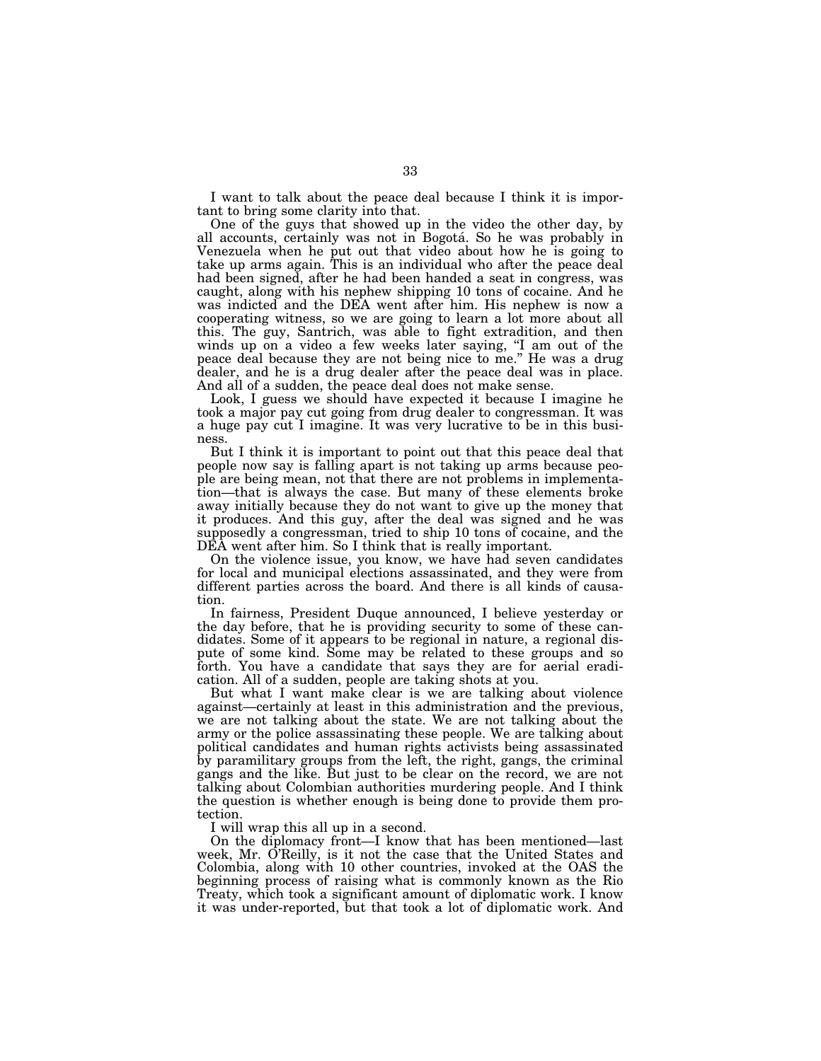I want to talk about the peace deal because I think it is important to bring some clarity into that.

One of the guys that showed up in the video the other day, by all accounts, certainly was not in Bogotá. So he was probably in Venezuela when he put out that video about how he is going to take up arms again. This is an individual who after the peace deal had been signed, after he had been handed a seat in congress, was caught, along with his nephew shipping 10 tons of cocaine. And he was indicted and the DEA went after him. His nephew is now a cooperating witness, so we are going to learn a lot more about all this. The guy, Santrich, was able to fight extradition, and then winds up on a video a few weeks later saying, "I am out of the peace deal because they are not being nice to me.'' He was a drug dealer, and he is a drug dealer after the peace deal was in place. And all of a sudden, the peace deal does not make sense.

Look, I guess we should have expected it because I imagine he took a major pay cut going from drug dealer to congressman. It was a huge pay cut I imagine. It was very lucrative to be in this business.

But I think it is important to point out that this peace deal that people now say is falling apart is not taking up arms because people are being mean, not that there are not problems in implementation—that is always the case. But many of these elements broke away initially because they do not want to give up the money that it produces. And this guy, after the deal was signed and he was supposedly a congressman, tried to ship 10 tons of cocaine, and the DEA went after him. So I think that is really important.

On the violence issue, you know, we have had seven candidates for local and municipal elections assassinated, and they were from different parties across the board. And there is all kinds of causation.

In fairness, President Duque announced, I believe yesterday or the day before, that he is providing security to some of these candidates. Some of it appears to be regional in nature, a regional dispute of some kind. Some may be related to these groups and so forth. You have a candidate that says they are for aerial eradication. All of a sudden, people are taking shots at you.

But what I want make clear is we are talking about violence against—certainly at least in this administration and the previous, we are not talking about the state. We are not talking about the army or the police assassinating these people. We are talking about political candidates and human rights activists being assassinated by paramilitary groups from the left, the right, gangs, the criminal gangs and the like. But just to be clear on the record, we are not talking about Colombian authorities murdering people. And I think the question is whether enough is being done to provide them protection.

I will wrap this all up in a second.

On the diplomacy front—I know that has been mentioned—last week, Mr. O'Reilly, is it not the case that the United States and Colombia, along with 10 other countries, invoked at the OAS the beginning process of raising what is commonly known as the Rio Treaty, which took a significant amount of diplomatic work. I know it was under-reported, but that took a lot of diplomatic work. And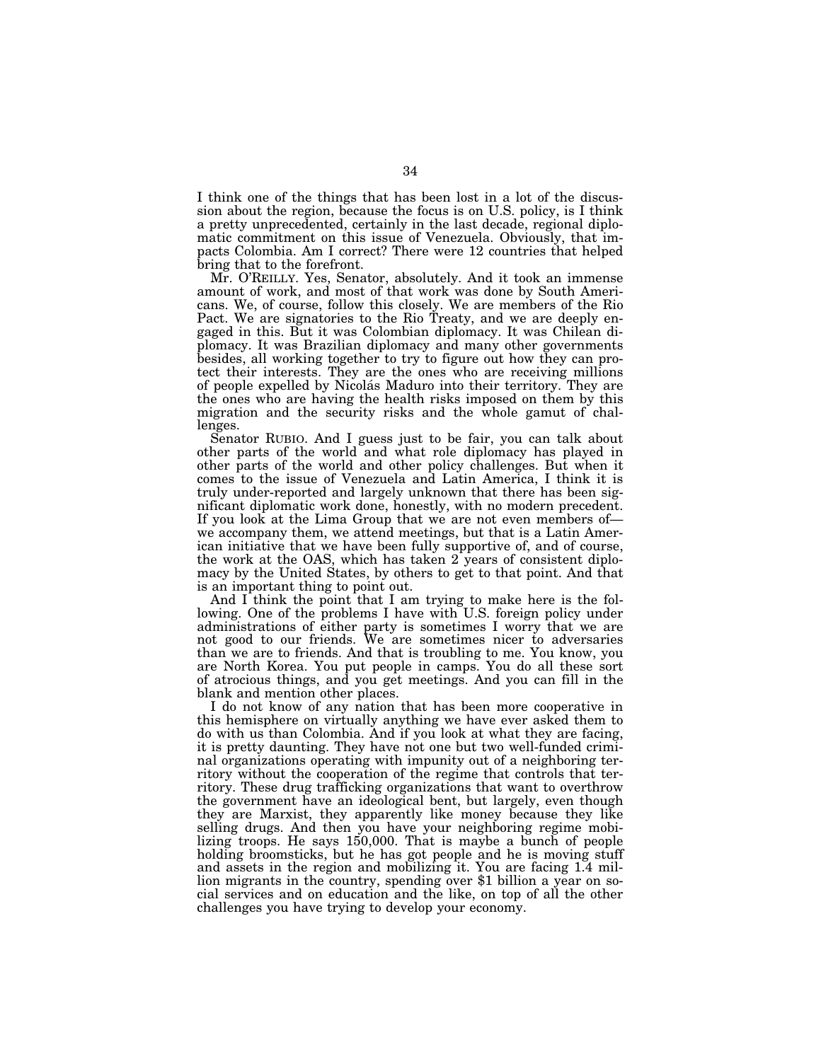I think one of the things that has been lost in a lot of the discussion about the region, because the focus is on U.S. policy, is I think a pretty unprecedented, certainly in the last decade, regional diplomatic commitment on this issue of Venezuela. Obviously, that impacts Colombia. Am I correct? There were 12 countries that helped bring that to the forefront.

Mr. O'REILLY. Yes, Senator, absolutely. And it took an immense amount of work, and most of that work was done by South Americans. We, of course, follow this closely. We are members of the Rio Pact. We are signatories to the Rio Treaty, and we are deeply engaged in this. But it was Colombian diplomacy. It was Chilean diplomacy. It was Brazilian diplomacy and many other governments besides, all working together to try to figure out how they can protect their interests. They are the ones who are receiving millions of people expelled by Nicolás Maduro into their territory. They are the ones who are having the health risks imposed on them by this migration and the security risks and the whole gamut of challenges.

Senator RUBIO. And I guess just to be fair, you can talk about other parts of the world and what role diplomacy has played in other parts of the world and other policy challenges. But when it comes to the issue of Venezuela and Latin America, I think it is truly under-reported and largely unknown that there has been significant diplomatic work done, honestly, with no modern precedent. If you look at the Lima Group that we are not even members of we accompany them, we attend meetings, but that is a Latin American initiative that we have been fully supportive of, and of course, the work at the OAS, which has taken 2 years of consistent diplomacy by the United States, by others to get to that point. And that is an important thing to point out.

And I think the point that I am trying to make here is the following. One of the problems I have with U.S. foreign policy under administrations of either party is sometimes I worry that we are not good to our friends. We are sometimes nicer to adversaries than we are to friends. And that is troubling to me. You know, you are North Korea. You put people in camps. You do all these sort of atrocious things, and you get meetings. And you can fill in the blank and mention other places.

I do not know of any nation that has been more cooperative in this hemisphere on virtually anything we have ever asked them to do with us than Colombia. And if you look at what they are facing, it is pretty daunting. They have not one but two well-funded criminal organizations operating with impunity out of a neighboring territory without the cooperation of the regime that controls that territory. These drug trafficking organizations that want to overthrow the government have an ideological bent, but largely, even though they are Marxist, they apparently like money because they like selling drugs. And then you have your neighboring regime mobilizing troops. He says 150,000. That is maybe a bunch of people holding broomsticks, but he has got people and he is moving stuff and assets in the region and mobilizing it. You are facing 1.4 million migrants in the country, spending over \$1 billion a year on social services and on education and the like, on top of all the other challenges you have trying to develop your economy.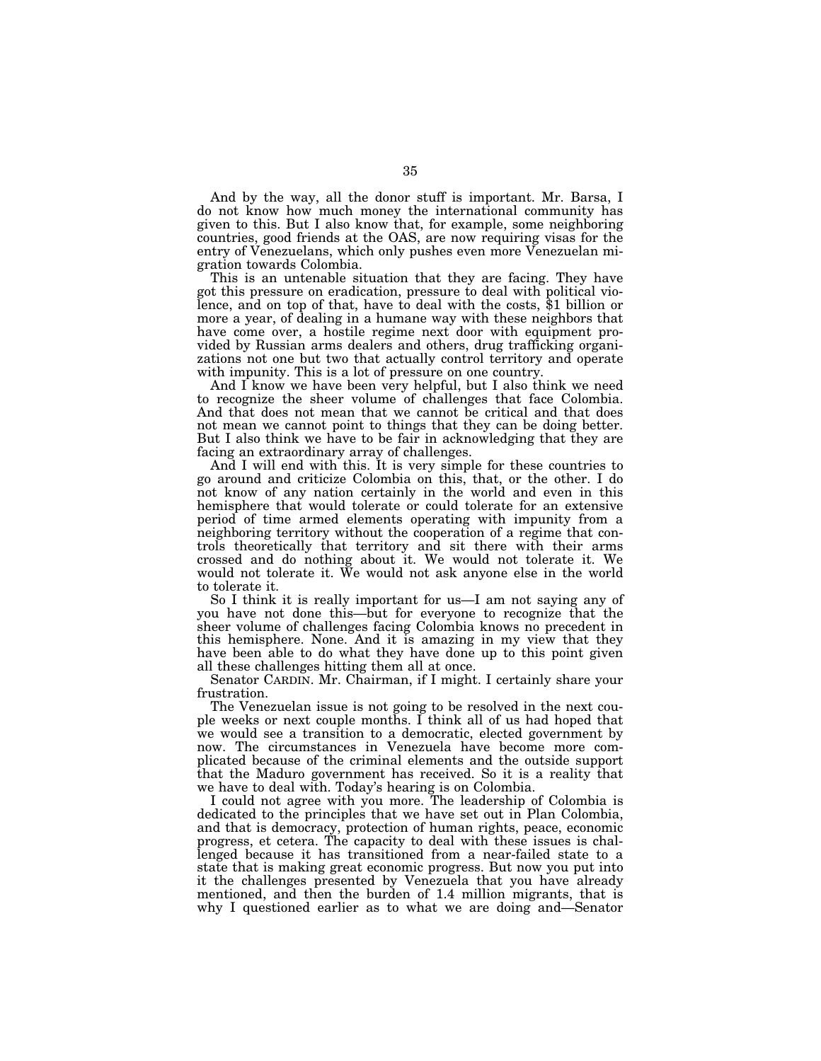And by the way, all the donor stuff is important. Mr. Barsa, I do not know how much money the international community has given to this. But I also know that, for example, some neighboring countries, good friends at the OAS, are now requiring visas for the entry of Venezuelans, which only pushes even more Venezuelan migration towards Colombia.

This is an untenable situation that they are facing. They have got this pressure on eradication, pressure to deal with political violence, and on top of that, have to deal with the costs, \$1 billion or more a year, of dealing in a humane way with these neighbors that have come over, a hostile regime next door with equipment provided by Russian arms dealers and others, drug trafficking organizations not one but two that actually control territory and operate with impunity. This is a lot of pressure on one country.

And I know we have been very helpful, but I also think we need to recognize the sheer volume of challenges that face Colombia. And that does not mean that we cannot be critical and that does not mean we cannot point to things that they can be doing better. But I also think we have to be fair in acknowledging that they are facing an extraordinary array of challenges.

And I will end with this. It is very simple for these countries to go around and criticize Colombia on this, that, or the other. I do not know of any nation certainly in the world and even in this hemisphere that would tolerate or could tolerate for an extensive period of time armed elements operating with impunity from a neighboring territory without the cooperation of a regime that controls theoretically that territory and sit there with their arms crossed and do nothing about it. We would not tolerate it. We would not tolerate it. We would not ask anyone else in the world to tolerate it.

So I think it is really important for us—I am not saying any of you have not done this—but for everyone to recognize that the sheer volume of challenges facing Colombia knows no precedent in this hemisphere. None. And it is amazing in my view that they have been able to do what they have done up to this point given all these challenges hitting them all at once.

Senator CARDIN. Mr. Chairman, if I might. I certainly share your frustration.

The Venezuelan issue is not going to be resolved in the next couple weeks or next couple months. I think all of us had hoped that we would see a transition to a democratic, elected government by now. The circumstances in Venezuela have become more complicated because of the criminal elements and the outside support that the Maduro government has received. So it is a reality that we have to deal with. Today's hearing is on Colombia.

I could not agree with you more. The leadership of Colombia is dedicated to the principles that we have set out in Plan Colombia, and that is democracy, protection of human rights, peace, economic progress, et cetera. The capacity to deal with these issues is challenged because it has transitioned from a near-failed state to a state that is making great economic progress. But now you put into it the challenges presented by Venezuela that you have already mentioned, and then the burden of 1.4 million migrants, that is why I questioned earlier as to what we are doing and—Senator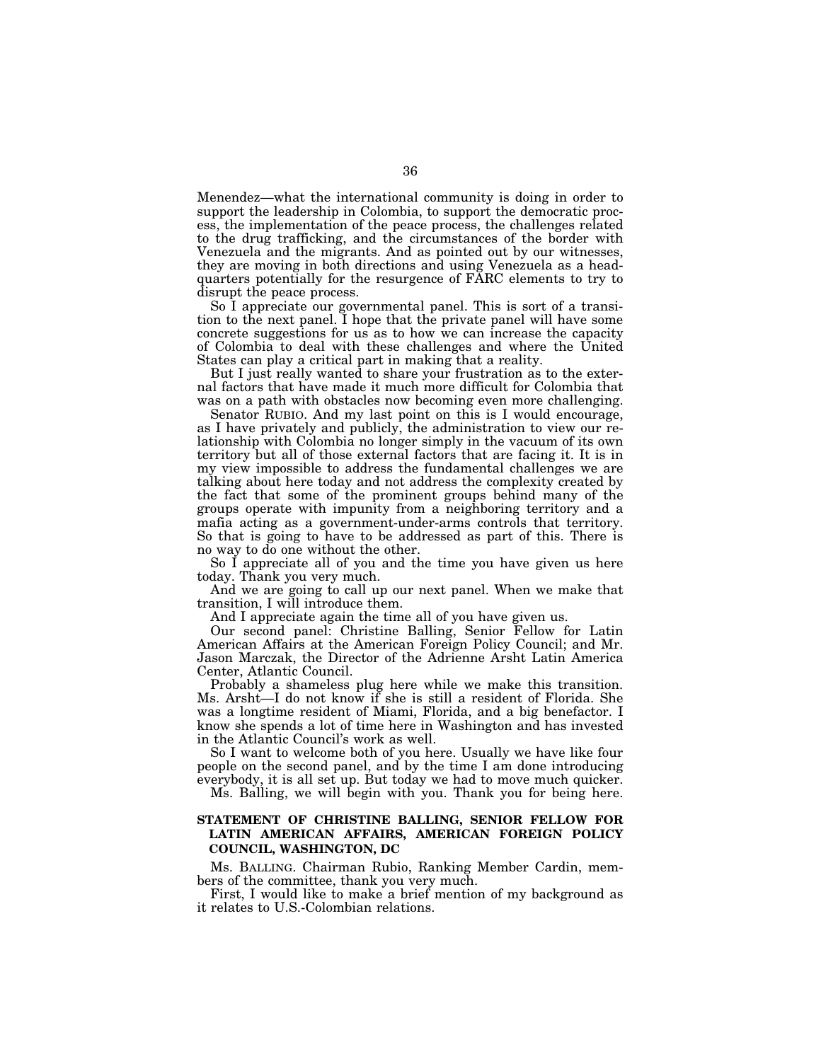Menendez—what the international community is doing in order to support the leadership in Colombia, to support the democratic process, the implementation of the peace process, the challenges related to the drug trafficking, and the circumstances of the border with Venezuela and the migrants. And as pointed out by our witnesses, they are moving in both directions and using Venezuela as a headquarters potentially for the resurgence of FARC elements to try to disrupt the peace process.

So I appreciate our governmental panel. This is sort of a transition to the next panel. I hope that the private panel will have some concrete suggestions for us as to how we can increase the capacity of Colombia to deal with these challenges and where the United States can play a critical part in making that a reality.

But I just really wanted to share your frustration as to the external factors that have made it much more difficult for Colombia that was on a path with obstacles now becoming even more challenging.

Senator RUBIO. And my last point on this is I would encourage, as I have privately and publicly, the administration to view our relationship with Colombia no longer simply in the vacuum of its own territory but all of those external factors that are facing it. It is in my view impossible to address the fundamental challenges we are talking about here today and not address the complexity created by the fact that some of the prominent groups behind many of the groups operate with impunity from a neighboring territory and a mafia acting as a government-under-arms controls that territory. So that is going to have to be addressed as part of this. There is no way to do one without the other.

So I appreciate all of you and the time you have given us here today. Thank you very much.

And we are going to call up our next panel. When we make that transition, I will introduce them.

And I appreciate again the time all of you have given us.

Our second panel: Christine Balling, Senior Fellow for Latin American Affairs at the American Foreign Policy Council; and Mr. Jason Marczak, the Director of the Adrienne Arsht Latin America Center, Atlantic Council.

Probably a shameless plug here while we make this transition. Ms. Arsht—I do not know if she is still a resident of Florida. She was a longtime resident of Miami, Florida, and a big benefactor. I know she spends a lot of time here in Washington and has invested in the Atlantic Council's work as well.

So I want to welcome both of you here. Usually we have like four people on the second panel, and by the time I am done introducing everybody, it is all set up. But today we had to move much quicker.

Ms. Balling, we will begin with you. Thank you for being here.

## **STATEMENT OF CHRISTINE BALLING, SENIOR FELLOW FOR LATIN AMERICAN AFFAIRS, AMERICAN FOREIGN POLICY COUNCIL, WASHINGTON, DC**

Ms. BALLING. Chairman Rubio, Ranking Member Cardin, members of the committee, thank you very much.

First, I would like to make a brief mention of my background as it relates to U.S.-Colombian relations.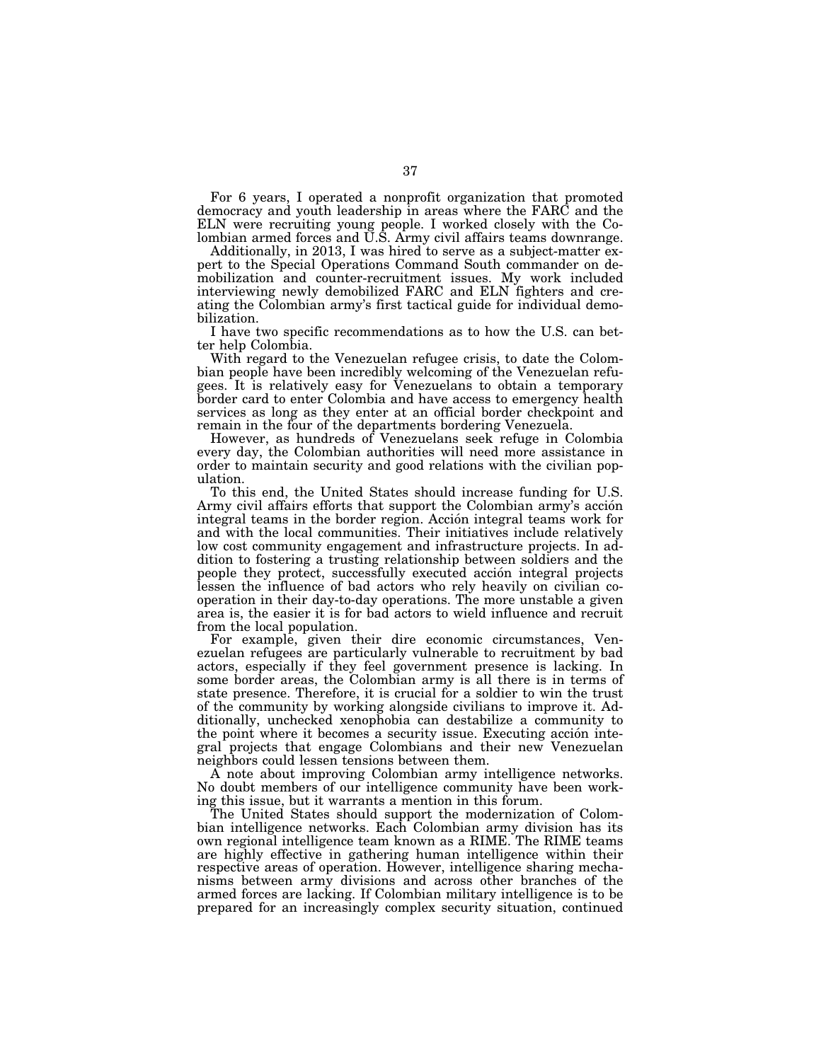For 6 years, I operated a nonprofit organization that promoted democracy and youth leadership in areas where the FARC and the ELN were recruiting young people. I worked closely with the Colombian armed forces and U.S. Army civil affairs teams downrange.

Additionally, in 2013, I was hired to serve as a subject-matter expert to the Special Operations Command South commander on demobilization and counter-recruitment issues. My work included interviewing newly demobilized FARC and ELN fighters and creating the Colombian army's first tactical guide for individual demobilization.

I have two specific recommendations as to how the U.S. can better help Colombia.

With regard to the Venezuelan refugee crisis, to date the Colombian people have been incredibly welcoming of the Venezuelan refugees. It is relatively easy for Venezuelans to obtain a temporary border card to enter Colombia and have access to emergency health services as long as they enter at an official border checkpoint and remain in the four of the departments bordering Venezuela.

However, as hundreds of Venezuelans seek refuge in Colombia every day, the Colombian authorities will need more assistance in order to maintain security and good relations with the civilian population.

To this end, the United States should increase funding for U.S. Army civil affairs efforts that support the Colombian army's acción integral teams in the border region. Acción integral teams work for and with the local communities. Their initiatives include relatively low cost community engagement and infrastructure projects. In addition to fostering a trusting relationship between soldiers and the people they protect, successfully executed acción integral projects lessen the influence of bad actors who rely heavily on civilian cooperation in their day-to-day operations. The more unstable a given area is, the easier it is for bad actors to wield influence and recruit from the local population.

For example, given their dire economic circumstances, Venezuelan refugees are particularly vulnerable to recruitment by bad actors, especially if they feel government presence is lacking. In some border areas, the Colombian army is all there is in terms of state presence. Therefore, it is crucial for a soldier to win the trust of the community by working alongside civilians to improve it. Additionally, unchecked xenophobia can destabilize a community to the point where it becomes a security issue. Executing acción integral projects that engage Colombians and their new Venezuelan neighbors could lessen tensions between them.

A note about improving Colombian army intelligence networks. No doubt members of our intelligence community have been working this issue, but it warrants a mention in this forum.

The United States should support the modernization of Colombian intelligence networks. Each Colombian army division has its own regional intelligence team known as a RIME. The RIME teams are highly effective in gathering human intelligence within their respective areas of operation. However, intelligence sharing mechanisms between army divisions and across other branches of the armed forces are lacking. If Colombian military intelligence is to be prepared for an increasingly complex security situation, continued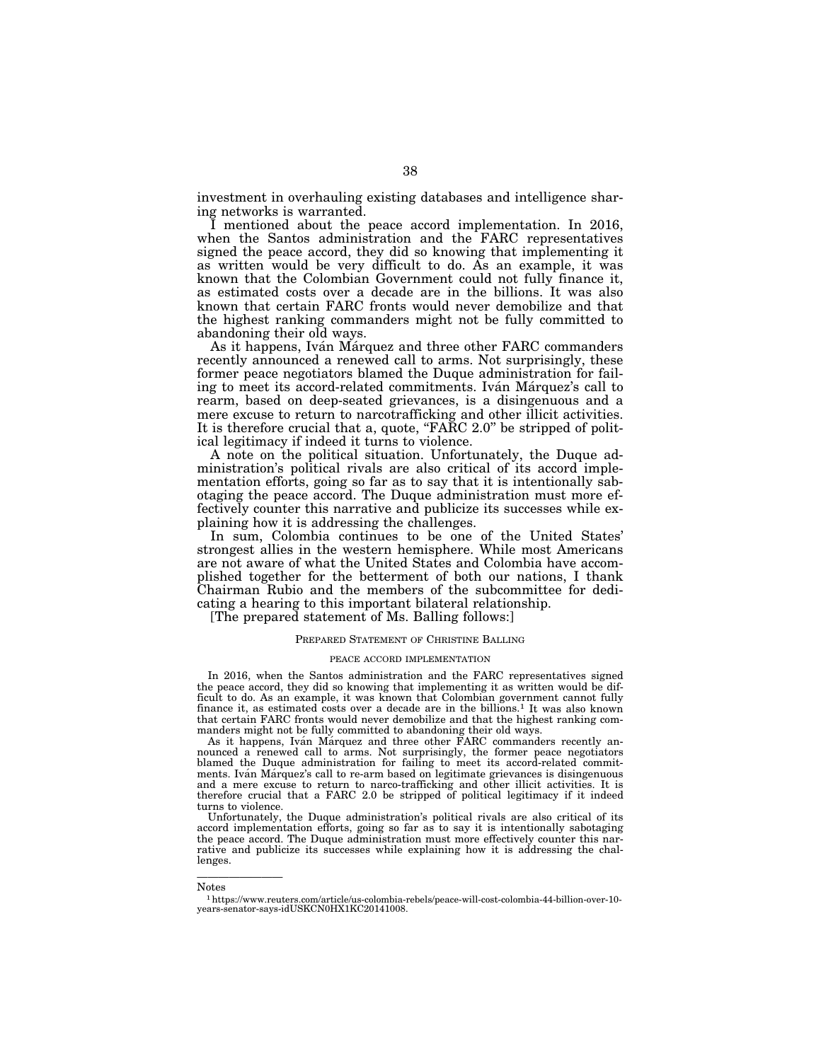investment in overhauling existing databases and intelligence sharing networks is warranted.

I mentioned about the peace accord implementation. In 2016, when the Santos administration and the FARC representatives signed the peace accord, they did so knowing that implementing it as written would be very difficult to do. As an example, it was known that the Colombian Government could not fully finance it, as estimated costs over a decade are in the billions. It was also known that certain FARC fronts would never demobilize and that the highest ranking commanders might not be fully committed to abandoning their old ways.

As it happens, Iván Márquez and three other FARC commanders recently announced a renewed call to arms. Not surprisingly, these former peace negotiators blamed the Duque administration for failing to meet its accord-related commitments. Ivan Marquez's call to rearm, based on deep-seated grievances, is a disingenuous and a mere excuse to return to narcotrafficking and other illicit activities. It is therefore crucial that a, quote, " $F \overline{A} \overline{R} C$  2.0" be stripped of political legitimacy if indeed it turns to violence.

A note on the political situation. Unfortunately, the Duque administration's political rivals are also critical of its accord implementation efforts, going so far as to say that it is intentionally sabotaging the peace accord. The Duque administration must more effectively counter this narrative and publicize its successes while explaining how it is addressing the challenges.

In sum, Colombia continues to be one of the United States' strongest allies in the western hemisphere. While most Americans are not aware of what the United States and Colombia have accomplished together for the betterment of both our nations, I thank Chairman Rubio and the members of the subcommittee for dedicating a hearing to this important bilateral relationship.

[The prepared statement of Ms. Balling follows:]

#### PREPARED STATEMENT OF CHRISTINE BALLING

#### PEACE ACCORD IMPLEMENTATION

In 2016, when the Santos administration and the FARC representatives signed the peace accord, they did so knowing that implementing it as written would be difficult to do. As an example, it was known that Colombian government cannot fully finance it, as estimated costs over a decade are in the billions.<sup>1</sup> It was also known that certain FARC fronts would never demobilize and that the highest ranking com-

manders might not be fully committed to abandoning their old ways.<br>As it happens, Iván Márquez and three other FARC commanders recently announced a renewed call to arms. Not surprisingly, the former peace negotiators blamed the Duque administration for failing to meet its accord-related commitments. Iván Márquez's call to re-arm based on legitimate grievances is disingenuous and a mere excuse to return to narco-trafficking and other illicit activities. It is therefore crucial that a FARC 2.0 be stripped of political legitimacy if it indeed turns to violence.

Unfortunately, the Duque administration's political rivals are also critical of its accord implementation efforts, going so far as to say it is intentionally sabotaging the peace accord. The Duque administration must more effectively counter this narrative and publicize its successes while explaining how it is addressing the challenges.

————————

Notes

<sup>1</sup>https://www.reuters.com/article/us-colombia-rebels/peace-will-cost-colombia-44-billion-over-10 years-senator-says-idUSKCN0HX1KC20141008.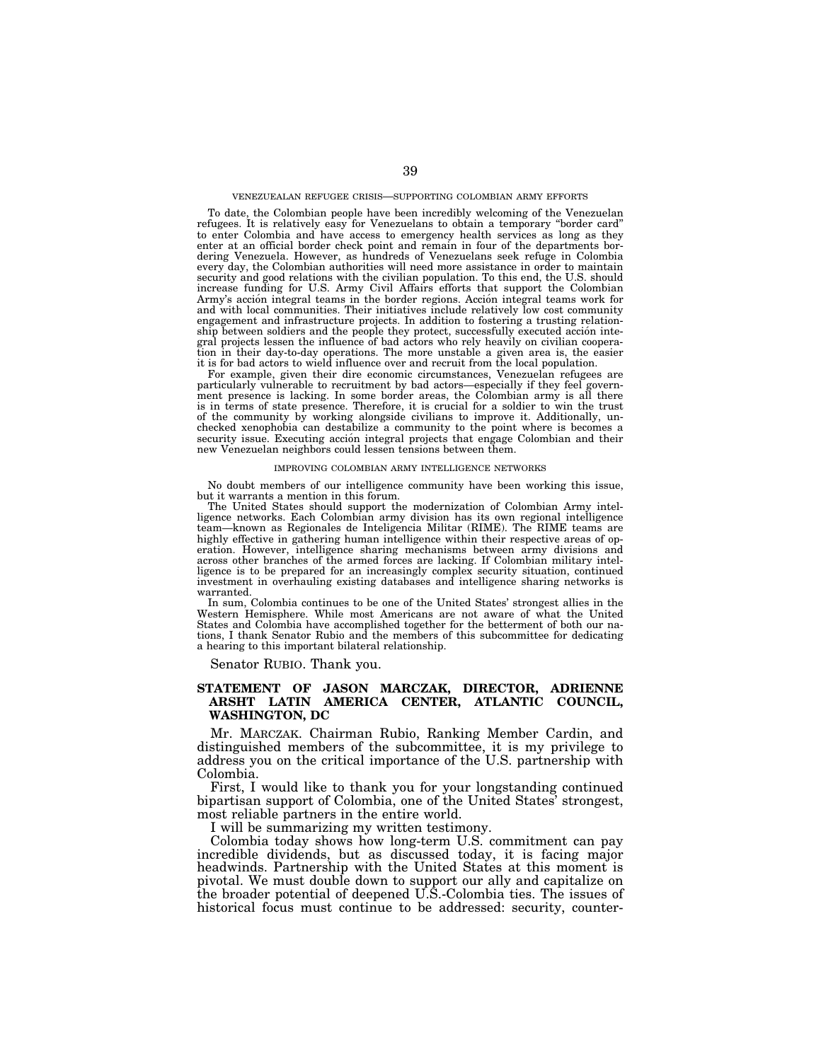To date, the Colombian people have been incredibly welcoming of the Venezuelan refugees. It is relatively easy for Venezuelans to obtain a temporary ''border card'' to enter Colombia and have access to emergency health services as long as they enter at an official border check point and remain in four of the departments bordering Venezuela. However, as hundreds of Venezuelans seek refuge in Colombia every day, the Colombian authorities will need more assistance in order to maintain security and good relations with the civilian population. To this end, the U.S. should increase funding for U.S. Army Civil Affairs efforts that support the Colombian Army's acción integral teams in the border regions. Acción integral teams work for and with local communities. Their initiatives include relatively low cost community engagement and infrastructure projects. In addition to fostering a trusting relationship between soldiers and the people they protect, successfully executed acción integral projects lessen the influence of bad actors who rely heavily on civilian cooperation in their day-to-day operations. The more unstable a given area is, the easier it is for bad actors to wield influence over and recruit from the local population.

For example, given their dire economic circumstances, Venezuelan refugees are particularly vulnerable to recruitment by bad actors—especially if they feel government presence is lacking. In some border areas, the Colombian army is all there is in terms of state presence. Therefore, it is crucial for a soldier to win the trust of the community by working alongside civilians to improve it. Additionally, unchecked xenophobia can destabilize a community to the point where is becomes a security issue. Executing acción integral projects that engage Colombian and their new Venezuelan neighbors could lessen tensions between them.

#### IMPROVING COLOMBIAN ARMY INTELLIGENCE NETWORKS

No doubt members of our intelligence community have been working this issue, but it warrants a mention in this forum.

The United States should support the modernization of Colombian Army intelligence networks. Each Colombian army division has its own regional intelligence team—known as Regionales de Inteligencia Militar (RIME). The RIME teams are highly effective in gathering human intelligence within their respective areas of operation. However, intelligence sharing mechanisms between army divisions and across other branches of the armed forces are lacking. If Colombian military intelligence is to be prepared for an increasingly complex security situation, continued investment in overhauling existing databases and intelligence sharing networks is warranted.

In sum, Colombia continues to be one of the United States' strongest allies in the Western Hemisphere. While most Americans are not aware of what the United States and Colombia have accomplished together for the betterment of both our nations, I thank Senator Rubio and the members of this subcommittee for dedicating a hearing to this important bilateral relationship.

Senator RUBIO. Thank you.

# **STATEMENT OF JASON MARCZAK, DIRECTOR, ADRIENNE ARSHT LATIN AMERICA CENTER, ATLANTIC COUNCIL, WASHINGTON, DC**

Mr. MARCZAK. Chairman Rubio, Ranking Member Cardin, and distinguished members of the subcommittee, it is my privilege to address you on the critical importance of the U.S. partnership with Colombia.

First, I would like to thank you for your longstanding continued bipartisan support of Colombia, one of the United States' strongest, most reliable partners in the entire world.

I will be summarizing my written testimony.

Colombia today shows how long-term U.S. commitment can pay incredible dividends, but as discussed today, it is facing major headwinds. Partnership with the United States at this moment is pivotal. We must double down to support our ally and capitalize on the broader potential of deepened U.S.-Colombia ties. The issues of historical focus must continue to be addressed: security, counter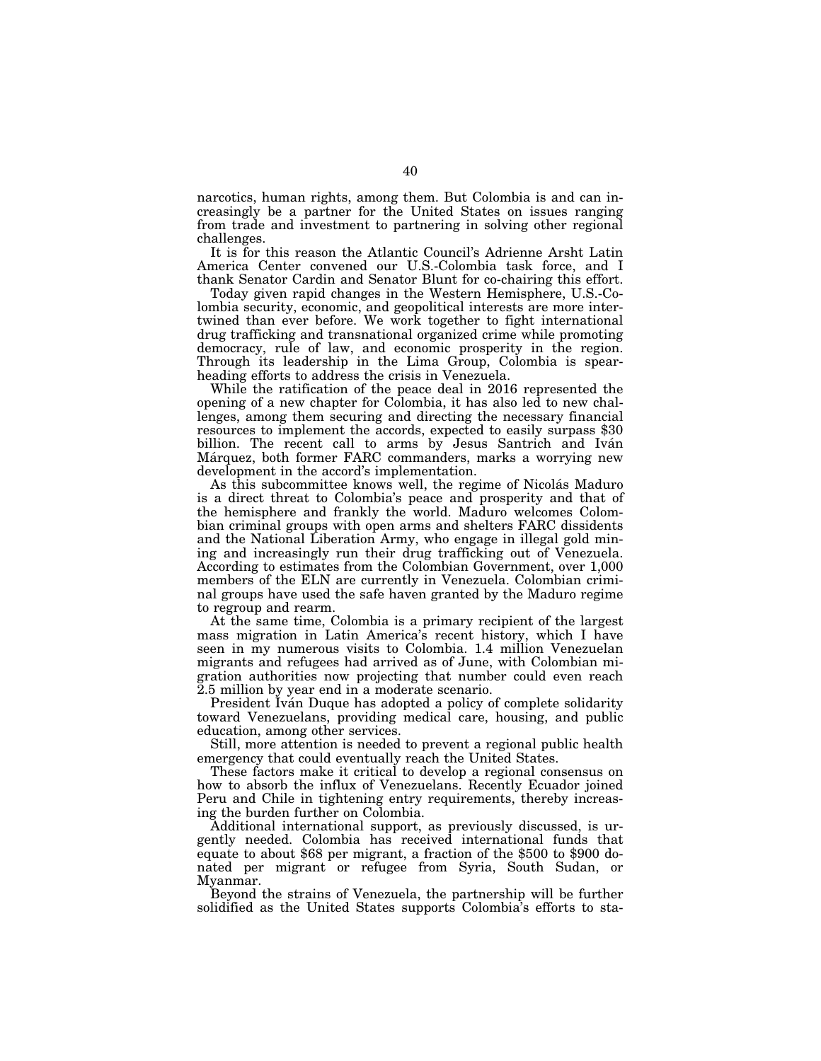narcotics, human rights, among them. But Colombia is and can increasingly be a partner for the United States on issues ranging from trade and investment to partnering in solving other regional challenges.

It is for this reason the Atlantic Council's Adrienne Arsht Latin America Center convened our U.S.-Colombia task force, and I thank Senator Cardin and Senator Blunt for co-chairing this effort.

Today given rapid changes in the Western Hemisphere, U.S.-Colombia security, economic, and geopolitical interests are more intertwined than ever before. We work together to fight international drug trafficking and transnational organized crime while promoting democracy, rule of law, and economic prosperity in the region. Through its leadership in the Lima Group, Colombia is spearheading efforts to address the crisis in Venezuela.

While the ratification of the peace deal in 2016 represented the opening of a new chapter for Colombia, it has also led to new challenges, among them securing and directing the necessary financial resources to implement the accords, expected to easily surpass \$30 billion. The recent call to arms by Jesus Santrich and Iván Márquez, both former FARC commanders, marks a worrying new development in the accord's implementation.

As this subcommittee knows well, the regime of Nicolás Maduro is a direct threat to Colombia's peace and prosperity and that of the hemisphere and frankly the world. Maduro welcomes Colombian criminal groups with open arms and shelters FARC dissidents and the National Liberation Army, who engage in illegal gold mining and increasingly run their drug trafficking out of Venezuela. According to estimates from the Colombian Government, over 1,000 members of the ELN are currently in Venezuela. Colombian criminal groups have used the safe haven granted by the Maduro regime to regroup and rearm.

At the same time, Colombia is a primary recipient of the largest mass migration in Latin America's recent history, which I have seen in my numerous visits to Colombia. 1.4 million Venezuelan migrants and refugees had arrived as of June, with Colombian migration authorities now projecting that number could even reach 2.5 million by year end in a moderate scenario.

President Iván Duque has adopted a policy of complete solidarity toward Venezuelans, providing medical care, housing, and public education, among other services.

Still, more attention is needed to prevent a regional public health emergency that could eventually reach the United States.

These factors make it critical to develop a regional consensus on how to absorb the influx of Venezuelans. Recently Ecuador joined Peru and Chile in tightening entry requirements, thereby increasing the burden further on Colombia.

Additional international support, as previously discussed, is urgently needed. Colombia has received international funds that equate to about \$68 per migrant, a fraction of the \$500 to \$900 donated per migrant or refugee from Syria, South Sudan, or Myanmar.

Beyond the strains of Venezuela, the partnership will be further solidified as the United States supports Colombia's efforts to sta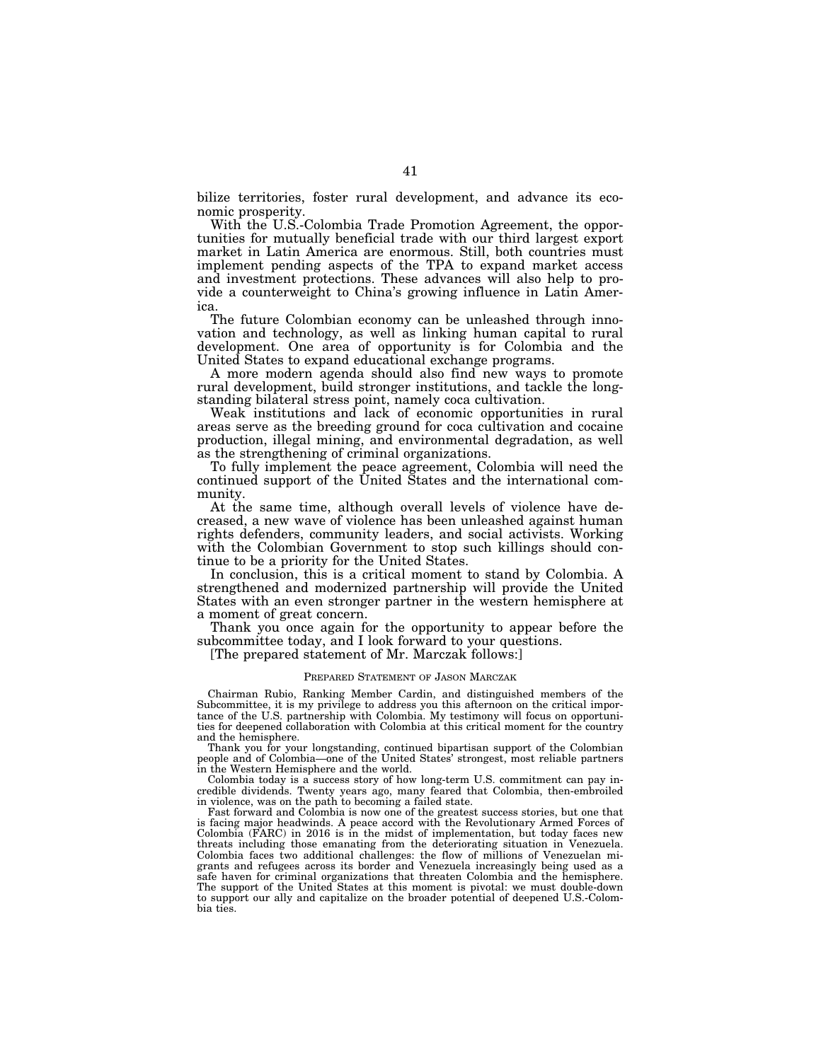bilize territories, foster rural development, and advance its economic prosperity.

With the U.S.-Colombia Trade Promotion Agreement, the opportunities for mutually beneficial trade with our third largest export market in Latin America are enormous. Still, both countries must implement pending aspects of the TPA to expand market access and investment protections. These advances will also help to provide a counterweight to China's growing influence in Latin America.

The future Colombian economy can be unleashed through innovation and technology, as well as linking human capital to rural development. One area of opportunity is for Colombia and the United States to expand educational exchange programs.

A more modern agenda should also find new ways to promote rural development, build stronger institutions, and tackle the longstanding bilateral stress point, namely coca cultivation.

Weak institutions and lack of economic opportunities in rural areas serve as the breeding ground for coca cultivation and cocaine production, illegal mining, and environmental degradation, as well as the strengthening of criminal organizations.

To fully implement the peace agreement, Colombia will need the continued support of the United States and the international community.

At the same time, although overall levels of violence have decreased, a new wave of violence has been unleashed against human rights defenders, community leaders, and social activists. Working with the Colombian Government to stop such killings should continue to be a priority for the United States.

In conclusion, this is a critical moment to stand by Colombia. A strengthened and modernized partnership will provide the United States with an even stronger partner in the western hemisphere at a moment of great concern.

Thank you once again for the opportunity to appear before the subcommittee today, and I look forward to your questions.

[The prepared statement of Mr. Marczak follows:]

#### PREPARED STATEMENT OF JASON MARCZAK

Chairman Rubio, Ranking Member Cardin, and distinguished members of the Subcommittee, it is my privilege to address you this afternoon on the critical importance of the U.S. partnership with Colombia. My testimony will focus on opportunities for deepened collaboration with Colombia at this critical moment for the country and the hemisphere.

Thank you for your longstanding, continued bipartisan support of the Colombian people and of Colombia—one of the United States' strongest, most reliable partners in the Western Hemisphere and the world.

Colombia today is a success story of how long-term U.S. commitment can pay incredible dividends. Twenty years ago, many feared that Colombia, then-embroiled in violence, was on the path to becoming a failed state.

Fast forward and Colombia is now one of the greatest success stories, but one that is facing major headwinds. A peace accord with the Revolutionary Armed Forces of Colombia (FARC) in 2016 is in the midst of implementation, but today faces new threats including those emanating from the deteriorating situation in Venezuela. Colombia faces two additional challenges: the flow of millions of Venezuelan migrants and refugees across its border and Venezuela increasingly being used as a safe haven for criminal organizations that threaten Colombia and the hemisphere. The support of the United States at this moment is pivotal: we must double-down to support our ally and capitalize on the broader potential of deepened U.S.-Colombia ties.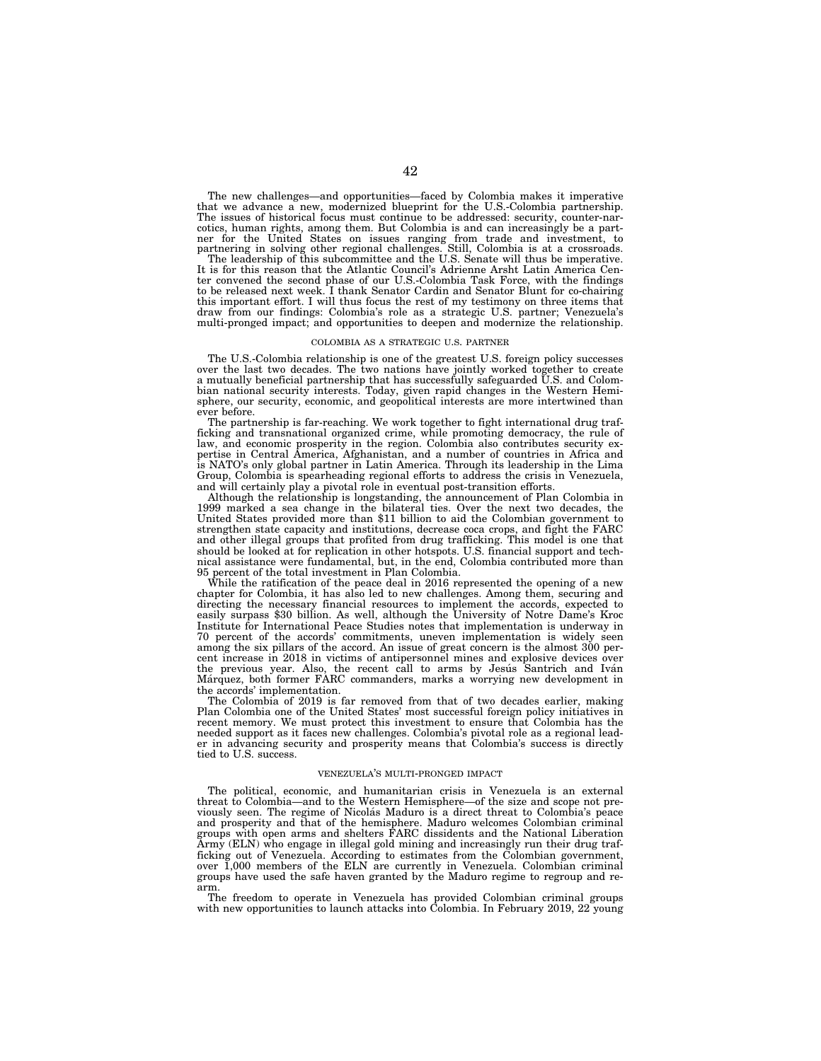The new challenges—and opportunities—faced by Colombia makes it imperative that we advance a new, modernized blueprint for the U.S.-Colombia partnership. The issues of historical focus must continue to be addressed: security, counter-narcotics, human rights, among them. But Colombia is and can increasingly be a partner for the United States on issues ranging from trade and investment, to partnering in solving other regional challenges. Still, Colombia is at a crossroads.<br>The leadership of this subcommittee and the U.S. Senate will th

It is for this reason that the Atlantic Council's Adrienne Arsht Latin America Center convened the second phase of our U.S.-Colombia Task Force, with the findings to be released next week. I thank Senator Cardin and Senator Blunt for co-chairing this important effort. I will thus focus the rest of my testimony on three items that draw from our findings: Colombia's role as a strategic U.S. partner; Venezuela's multi-pronged impact; and opportunities to deepen and modernize the relationship.

#### COLOMBIA AS A STRATEGIC U.S. PARTNER

The U.S.-Colombia relationship is one of the greatest U.S. foreign policy successes over the last two decades. The two nations have jointly worked together to create a mutually beneficial partnership that has successfully safeguarded U.S. and Colombian national security interests. Today, given rapid changes in the Western Hemisphere, our security, economic, and geopolitical interests are more intertwined than ever before.

The partnership is far-reaching. We work together to fight international drug trafficking and transnational organized crime, while promoting democracy, the rule of law, and economic prosperity in the region. Colombia also contributes security expertise in Central America, Afghanistan, and a number of countries in Africa and is NATO's only global partner in Latin America. Through its leadership in the Lima Group, Colombia is spearheading regional efforts to address the crisis in Venezuela, and will certainly play a pivotal role in eventual post-transition efforts.

Although the relationship is longstanding, the announcement of Plan Colombia in 1999 marked a sea change in the bilateral ties. Over the next two decades, the United States provided more than \$11 billion to aid the Colombian government to strengthen state capacity and institutions, decrease coca crops, and fight the FARC and other illegal groups that profited from drug trafficking. This model is one that should be looked at for replication in other hotspots. U.S. financial support and technical assistance were fundamental, but, in the end, Colombia contributed more than 95 percent of the total investment in Plan Colombia.

While the ratification of the peace deal in 2016 represented the opening of a new chapter for Colombia, it has also led to new challenges. Among them, securing and directing the necessary financial resources to implement the accords, expected to easily surpass \$30 billion. As well, although the University of Notre Dame's Kroc Institute for International Peace Studies notes that implementation is underway in 70 percent of the accords' commitments, uneven implementation is widely seen among the six pillars of the accord. An issue of great concern is the almost 300 percent increase in 2018 in victims of antipersonnel mines and explosive devices over the previous year. Also, the recent call to arms by Jesu's Santrich and Iván Marquez, both former FARC commanders, marks a worrying new development in the accords' implementation.

The Colombia of 2019 is far removed from that of two decades earlier, making Plan Colombia one of the United States' most successful foreign policy initiatives in recent memory. We must protect this investment to ensure that Colombia has the needed support as it faces new challenges. Colombia's pivotal role as a regional leader in advancing security and prosperity means that Colombia's success is directly tied to U.S. success.

#### VENEZUELA'S MULTI-PRONGED IMPACT

The political, economic, and humanitarian crisis in Venezuela is an external threat to Colombia—and to the Western Hemisphere—of the size and scope not previously seen. The regime of Nicolás Maduro is a direct threat to Colombia's peace and prosperity and that of the hemisphere. Maduro welcomes Colombian criminal groups with open arms and shelters FARC dissidents and the National Liberation Army (ELN) who engage in illegal gold mining and increasingly run their drug trafficking out of Venezuela. According to estimates from the Colombian government, over 1,000 members of the ELN are currently in Venezuela. Colombian criminal groups have used the safe haven granted by the Maduro regime to regroup and rearm.

The freedom to operate in Venezuela has provided Colombian criminal groups with new opportunities to launch attacks into Colombia. In February 2019, 22 young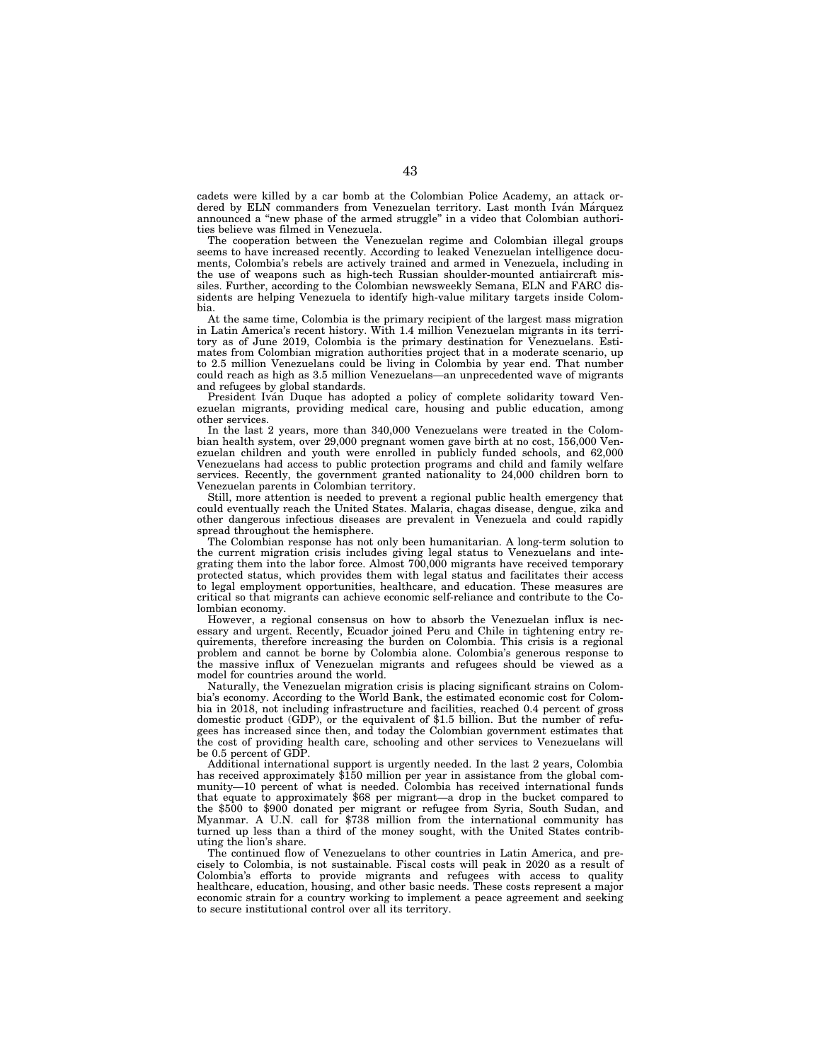cadets were killed by a car bomb at the Colombian Police Academy, an attack ordered by ELN commanders from Venezuelan territory. Last month Iván Márquez announced a ''new phase of the armed struggle'' in a video that Colombian authorities believe was filmed in Venezuela.

The cooperation between the Venezuelan regime and Colombian illegal groups seems to have increased recently. According to leaked Venezuelan intelligence documents, Colombia's rebels are actively trained and armed in Venezuela, including in the use of weapons such as high-tech Russian shoulder-mounted antiaircraft missiles. Further, according to the Colombian newsweekly Semana, ELN and FARC dissidents are helping Venezuela to identify high-value military targets inside Colombia.

At the same time, Colombia is the primary recipient of the largest mass migration in Latin America's recent history. With 1.4 million Venezuelan migrants in its territory as of June 2019, Colombia is the primary destination for Venezuelans. Estimates from Colombian migration authorities project that in a moderate scenario, up to 2.5 million Venezuelans could be living in Colombia by year end. That number could reach as high as 3.5 million Venezuelans—an unprecedented wave of migrants and refugees by global standards.

President Ivan Duque has adopted a policy of complete solidarity toward Venezuelan migrants, providing medical care, housing and public education, among other services.

In the last 2 years, more than 340,000 Venezuelans were treated in the Colombian health system, over 29,000 pregnant women gave birth at no cost, 156,000 Venezuelan children and youth were enrolled in publicly funded schools, and 62,000 Venezuelans had access to public protection programs and child and family welfare services. Recently, the government granted nationality to 24,000 children born to Venezuelan parents in Colombian territory.

Still, more attention is needed to prevent a regional public health emergency that could eventually reach the United States. Malaria, chagas disease, dengue, zika and other dangerous infectious diseases are prevalent in Venezuela and could rapidly spread throughout the hemisphere.

The Colombian response has not only been humanitarian. A long-term solution to the current migration crisis includes giving legal status to Venezuelans and integrating them into the labor force. Almost 700,000 migrants have received temporary protected status, which provides them with legal status and facilitates their access to legal employment opportunities, healthcare, and education. These measures are critical so that migrants can achieve economic self-reliance and contribute to the Colombian economy.

However, a regional consensus on how to absorb the Venezuelan influx is necessary and urgent. Recently, Ecuador joined Peru and Chile in tightening entry requirements, therefore increasing the burden on Colombia. This crisis is a regional problem and cannot be borne by Colombia alone. Colombia's generous response to the massive influx of Venezuelan migrants and refugees should be viewed as a model for countries around the world.

Naturally, the Venezuelan migration crisis is placing significant strains on Colombia's economy. According to the World Bank, the estimated economic cost for Colombia in 2018, not including infrastructure and facilities, reached 0.4 percent of gross domestic product (GDP), or the equivalent of \$1.5 billion. But the number of refugees has increased since then, and today the Colombian government estimates that the cost of providing health care, schooling and other services to Venezuelans will be 0.5 percent of GDP.

Additional international support is urgently needed. In the last 2 years, Colombia has received approximately \$150 million per year in assistance from the global community—10 percent of what is needed. Colombia has received international funds that equate to approximately \$68 per migrant—a drop in the bucket compared to the \$500 to \$900 donated per migrant or refugee from Syria, South Sudan, and Myanmar. A U.N. call for \$738 million from the international community has turned up less than a third of the money sought, with the United States contributing the lion's share.

The continued flow of Venezuelans to other countries in Latin America, and precisely to Colombia, is not sustainable. Fiscal costs will peak in 2020 as a result of Colombia's efforts to provide migrants and refugees with access to quality healthcare, education, housing, and other basic needs. These costs represent a major economic strain for a country working to implement a peace agreement and seeking to secure institutional control over all its territory.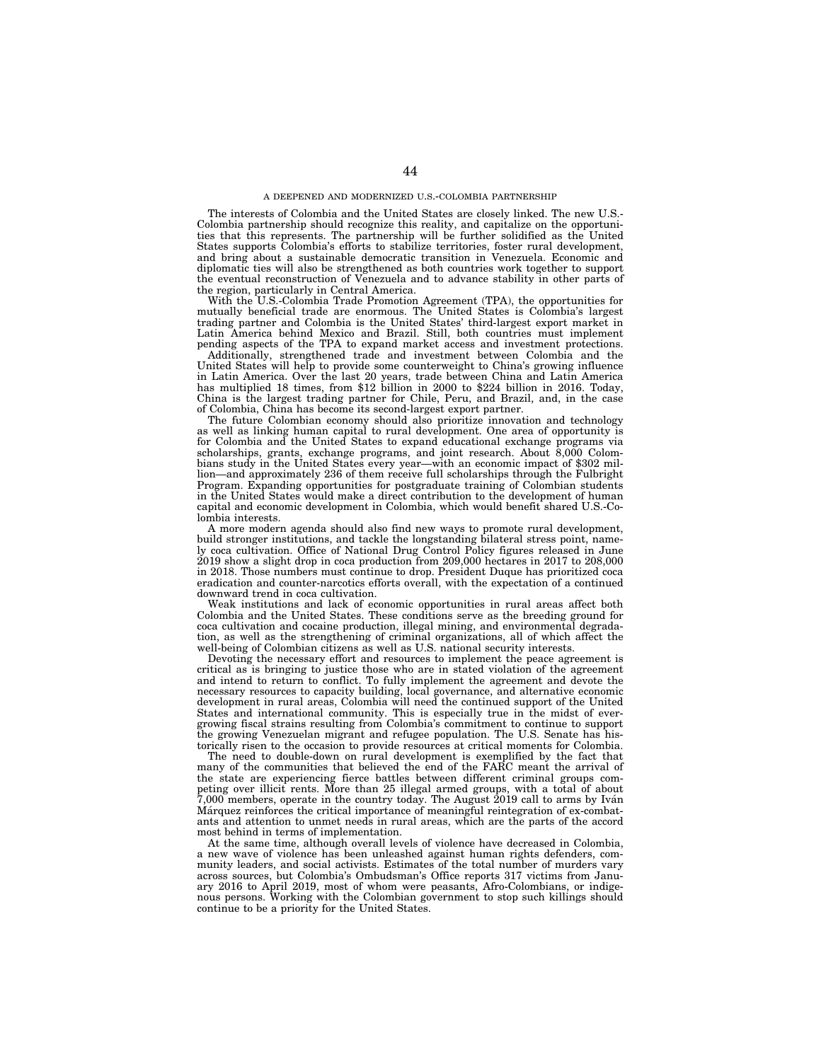The interests of Colombia and the United States are closely linked. The new U.S.- Colombia partnership should recognize this reality, and capitalize on the opportunities that this represents. The partnership will be further solidified as the United States supports Colombia's efforts to stabilize territories, foster rural development, and bring about a sustainable democratic transition in Venezuela. Economic and diplomatic ties will also be strengthened as both countries work together to support the eventual reconstruction of Venezuela and to advance stability in other parts of the region, particularly in Central America.

With the U.S.-Colombia Trade Promotion Agreement (TPA), the opportunities for mutually beneficial trade are enormous. The United States is Colombia's largest trading partner and Colombia is the United States' third-largest export market in Latin America behind Mexico and Brazil. Still, both countries must implement pending aspects of the TPA to expand market access and investment protections.

Additionally, strengthened trade and investment between Colombia and the United States will help to provide some counterweight to China's growing influence in Latin America. Over the last 20 years, trade between China and Latin America has multiplied 18 times, from \$12 billion in 2000 to \$224 billion in 2016. Today, China is the largest trading partner for Chile, Peru, and Brazil, and, in the case of Colombia, China has become its second-largest export partner.

The future Colombian economy should also prioritize innovation and technology as well as linking human capital to rural development. One area of opportunity is for Colombia and the United States to expand educational exchange programs via scholarships, grants, exchange programs, and joint research. About 8,000 Colombians study in the United States every year—with an economic impact of \$302 million—and approximately 236 of them receive full scholarships through the Fulbright Program. Expanding opportunities for postgraduate training of Colombian students in the United States would make a direct contribution to the development of human capital and economic development in Colombia, which would benefit shared U.S.-Colombia interests.

A more modern agenda should also find new ways to promote rural development, build stronger institutions, and tackle the longstanding bilateral stress point, namely coca cultivation. Office of National Drug Control Policy figures released in June 2019 show a slight drop in coca production from 209,000 hectares in 2017 to 208,000 in 2018. Those numbers must continue to drop. President Duque has prioritized coca eradication and counter-narcotics efforts overall, with the expectation of a continued downward trend in coca cultivation.

Weak institutions and lack of economic opportunities in rural areas affect both Colombia and the United States. These conditions serve as the breeding ground for coca cultivation and cocaine production, illegal mining, and environmental degradation, as well as the strengthening of criminal organizations, all of which affect the well-being of Colombian citizens as well as U.S. national security interests.

Devoting the necessary effort and resources to implement the peace agreement is critical as is bringing to justice those who are in stated violation of the agreement and intend to return to conflict. To fully implement the agreement and devote the necessary resources to capacity building, local governance, and alternative economic development in rural areas, Colombia will need the continued support of the United States and international community. This is especially true in the midst of evergrowing fiscal strains resulting from Colombia's commitment to continue to support the growing Venezuelan migrant and refugee population. The U.S. Senate has historically risen to the occasion to provide resources at critical moments for Colombia.

The need to double-down on rural development is exemplified by the fact that many of the communities that believed the end of the FARC meant the arrival of the state are experiencing fierce battles between different criminal groups competing over illicit rents. More than 25 illegal armed groups, with a total of about  $7,000$  members, operate in the country today. The August 2019 call to arms by Iván Marquez reinforces the critical importance of meaningful reintegration of ex-combatants and attention to unmet needs in rural areas, which are the parts of the accord most behind in terms of implementation.

At the same time, although overall levels of violence have decreased in Colombia, a new wave of violence has been unleashed against human rights defenders, community leaders, and social activists. Estimates of the total number of murders vary across sources, but Colombia's Ombudsman's Office reports 317 victims from January 2016 to April 2019, most of whom were peasants, Afro-Colombians, or indigenous persons. Working with the Colombian government to stop such killings should continue to be a priority for the United States.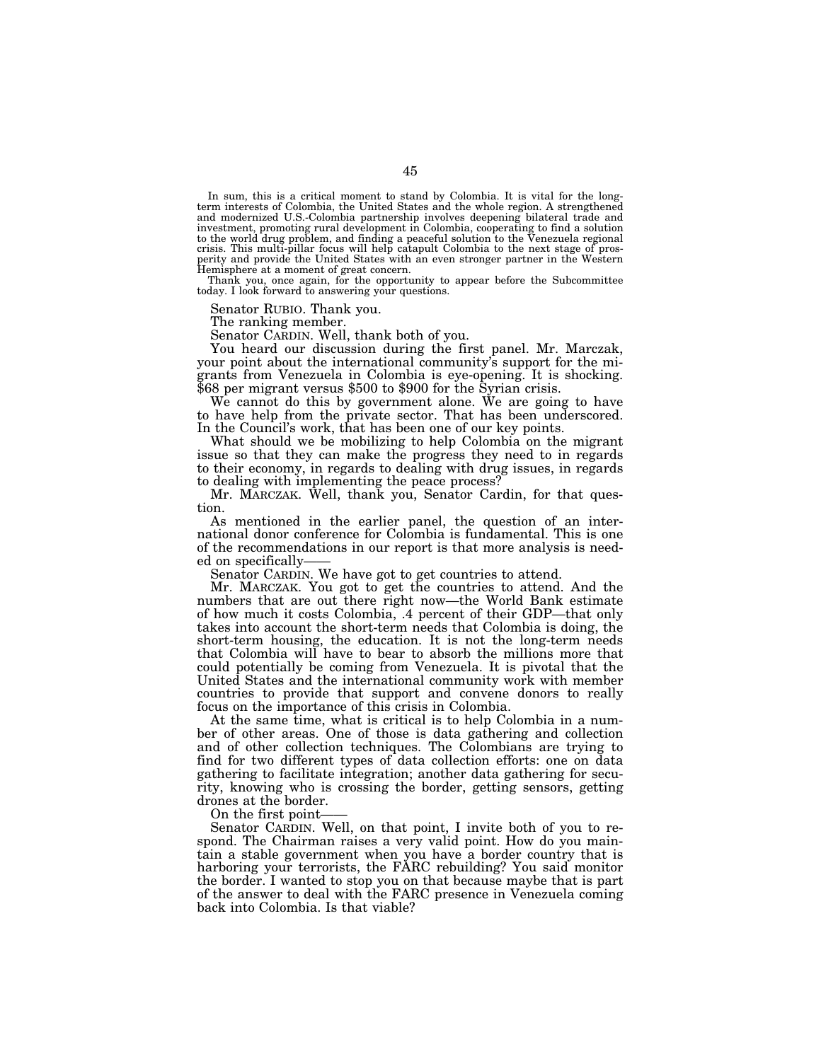In sum, this is a critical moment to stand by Colombia. It is vital for the longterm interests of Colombia, the United States and the whole region. A strengthened and modernized U.S.-Colombia partnership involves deepening bilateral trade and investment, promoting rural development in Colombia, cooperating to find a solution to the world drug problem, and finding a peaceful solution to the Venezuela regional crisis. This multi-pillar focus will help catapult Colombia to the next stage of prosperity and provide the United States with an even stronger partner in the Western Hemisphere at a moment of great concern.

Thank you, once again, for the opportunity to appear before the Subcommittee today. I look forward to answering your questions.

Senator RUBIO. Thank you.

The ranking member.

Senator CARDIN. Well, thank both of you.

You heard our discussion during the first panel. Mr. Marczak, your point about the international community's support for the migrants from Venezuela in Colombia is eye-opening. It is shocking. \$68 per migrant versus \$500 to \$900 for the Syrian crisis.

We cannot do this by government alone. We are going to have to have help from the private sector. That has been underscored. In the Council's work, that has been one of our key points.

What should we be mobilizing to help Colombia on the migrant issue so that they can make the progress they need to in regards to their economy, in regards to dealing with drug issues, in regards to dealing with implementing the peace process?

Mr. MARCZAK. Well, thank you, Senator Cardin, for that question.

As mentioned in the earlier panel, the question of an international donor conference for Colombia is fundamental. This is one of the recommendations in our report is that more analysis is needed on specifically-

Senator CARDIN. We have got to get countries to attend.

Mr. MARCZAK. You got to get the countries to attend. And the numbers that are out there right now—the World Bank estimate of how much it costs Colombia, .4 percent of their GDP—that only takes into account the short-term needs that Colombia is doing, the short-term housing, the education. It is not the long-term needs that Colombia will have to bear to absorb the millions more that could potentially be coming from Venezuela. It is pivotal that the United States and the international community work with member countries to provide that support and convene donors to really focus on the importance of this crisis in Colombia.

At the same time, what is critical is to help Colombia in a number of other areas. One of those is data gathering and collection and of other collection techniques. The Colombians are trying to find for two different types of data collection efforts: one on data gathering to facilitate integration; another data gathering for security, knowing who is crossing the border, getting sensors, getting drones at the border.

On the first point-

Senator CARDIN. Well, on that point, I invite both of you to respond. The Chairman raises a very valid point. How do you maintain a stable government when you have a border country that is harboring your terrorists, the FARC rebuilding? You said monitor the border. I wanted to stop you on that because maybe that is part of the answer to deal with the FARC presence in Venezuela coming back into Colombia. Is that viable?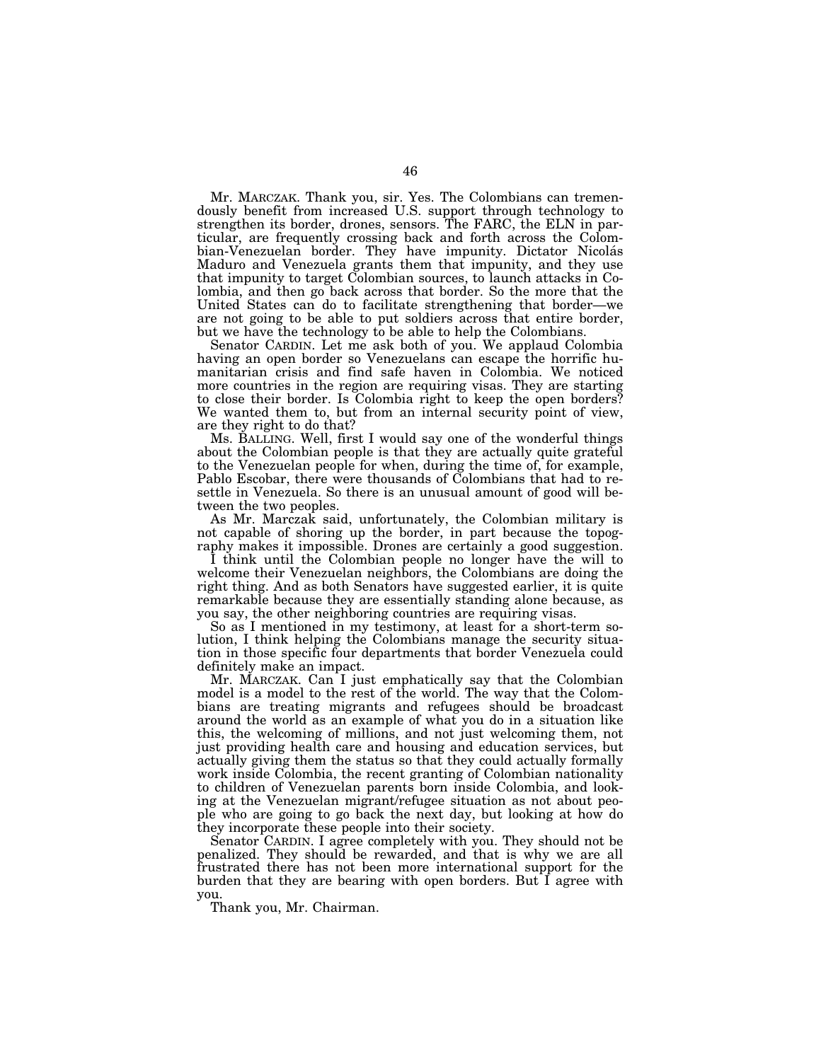Mr. MARCZAK. Thank you, sir. Yes. The Colombians can tremendously benefit from increased U.S. support through technology to strengthen its border, drones, sensors. The FARC, the ELN in particular, are frequently crossing back and forth across the Colombian-Venezuelan border. They have impunity. Dictator Nicolás Maduro and Venezuela grants them that impunity, and they use that impunity to target Colombian sources, to launch attacks in Colombia, and then go back across that border. So the more that the United States can do to facilitate strengthening that border—we are not going to be able to put soldiers across that entire border, but we have the technology to be able to help the Colombians.

Senator CARDIN. Let me ask both of you. We applaud Colombia having an open border so Venezuelans can escape the horrific humanitarian crisis and find safe haven in Colombia. We noticed more countries in the region are requiring visas. They are starting to close their border. Is Colombia right to keep the open borders? We wanted them to, but from an internal security point of view, are they right to do that?

Ms. BALLING. Well, first I would say one of the wonderful things about the Colombian people is that they are actually quite grateful to the Venezuelan people for when, during the time of, for example, Pablo Escobar, there were thousands of Colombians that had to resettle in Venezuela. So there is an unusual amount of good will between the two peoples.

As Mr. Marczak said, unfortunately, the Colombian military is not capable of shoring up the border, in part because the topography makes it impossible. Drones are certainly a good suggestion.

I think until the Colombian people no longer have the will to welcome their Venezuelan neighbors, the Colombians are doing the right thing. And as both Senators have suggested earlier, it is quite remarkable because they are essentially standing alone because, as you say, the other neighboring countries are requiring visas.

So as I mentioned in my testimony, at least for a short-term solution, I think helping the Colombians manage the security situation in those specific four departments that border Venezuela could definitely make an impact.

Mr. MARCZAK. Can I just emphatically say that the Colombian model is a model to the rest of the world. The way that the Colombians are treating migrants and refugees should be broadcast around the world as an example of what you do in a situation like this, the welcoming of millions, and not just welcoming them, not just providing health care and housing and education services, but actually giving them the status so that they could actually formally work inside Colombia, the recent granting of Colombian nationality to children of Venezuelan parents born inside Colombia, and looking at the Venezuelan migrant/refugee situation as not about people who are going to go back the next day, but looking at how do they incorporate these people into their society.

Senator CARDIN. I agree completely with you. They should not be penalized. They should be rewarded, and that is why we are all frustrated there has not been more international support for the burden that they are bearing with open borders. But I agree with you.

Thank you, Mr. Chairman.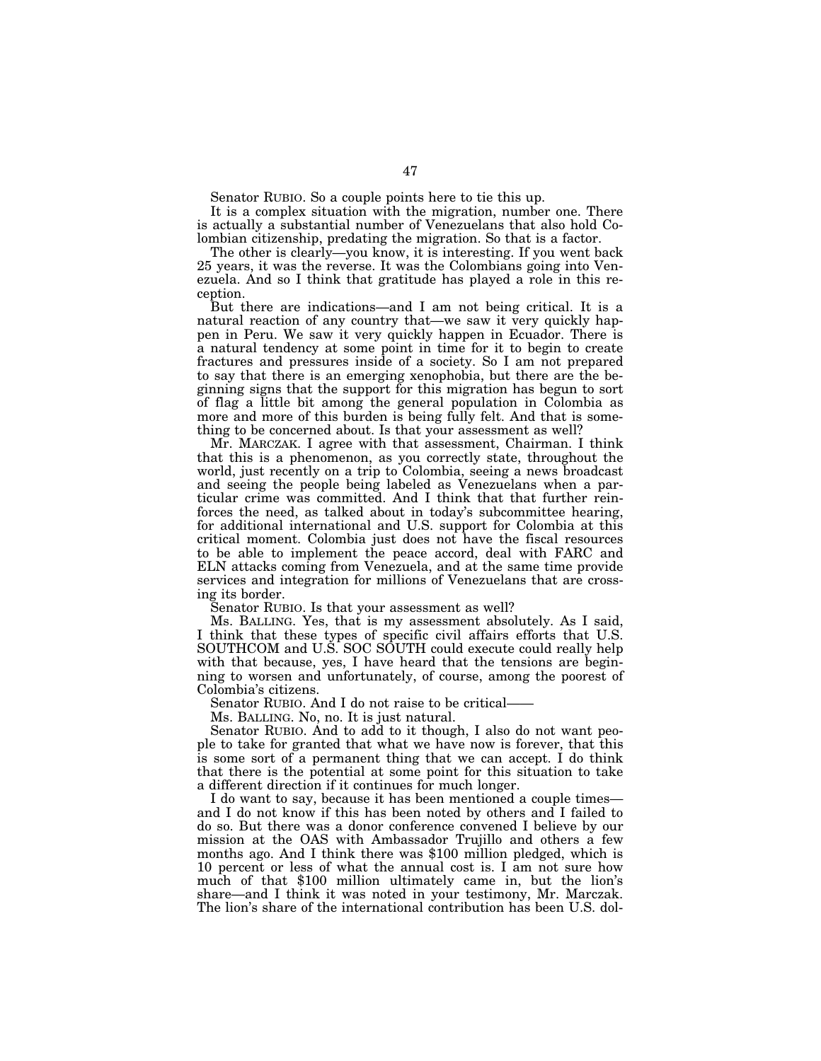Senator RUBIO. So a couple points here to tie this up.

It is a complex situation with the migration, number one. There is actually a substantial number of Venezuelans that also hold Colombian citizenship, predating the migration. So that is a factor.

The other is clearly—you know, it is interesting. If you went back 25 years, it was the reverse. It was the Colombians going into Venezuela. And so I think that gratitude has played a role in this reception.

But there are indications—and I am not being critical. It is a natural reaction of any country that—we saw it very quickly happen in Peru. We saw it very quickly happen in Ecuador. There is a natural tendency at some point in time for it to begin to create fractures and pressures inside of a society. So I am not prepared to say that there is an emerging xenophobia, but there are the beginning signs that the support for this migration has begun to sort of flag a little bit among the general population in Colombia as more and more of this burden is being fully felt. And that is something to be concerned about. Is that your assessment as well?

Mr. MARCZAK. I agree with that assessment, Chairman. I think that this is a phenomenon, as you correctly state, throughout the world, just recently on a trip to Colombia, seeing a news broadcast and seeing the people being labeled as Venezuelans when a particular crime was committed. And I think that that further reinforces the need, as talked about in today's subcommittee hearing, for additional international and U.S. support for Colombia at this critical moment. Colombia just does not have the fiscal resources to be able to implement the peace accord, deal with FARC and ELN attacks coming from Venezuela, and at the same time provide services and integration for millions of Venezuelans that are crossing its border.

Senator RUBIO. Is that your assessment as well?

Ms. BALLING. Yes, that is my assessment absolutely. As I said, I think that these types of specific civil affairs efforts that U.S. SOUTHCOM and U.S. SOC SOUTH could execute could really help with that because, yes, I have heard that the tensions are beginning to worsen and unfortunately, of course, among the poorest of Colombia's citizens.

Senator RUBIO. And I do not raise to be critical-

Ms. BALLING. No, no. It is just natural.

Senator RUBIO. And to add to it though, I also do not want people to take for granted that what we have now is forever, that this is some sort of a permanent thing that we can accept. I do think that there is the potential at some point for this situation to take a different direction if it continues for much longer.

I do want to say, because it has been mentioned a couple times and I do not know if this has been noted by others and I failed to do so. But there was a donor conference convened I believe by our mission at the OAS with Ambassador Trujillo and others a few months ago. And I think there was \$100 million pledged, which is 10 percent or less of what the annual cost is. I am not sure how much of that \$100 million ultimately came in, but the lion's share—and I think it was noted in your testimony, Mr. Marczak. The lion's share of the international contribution has been U.S. dol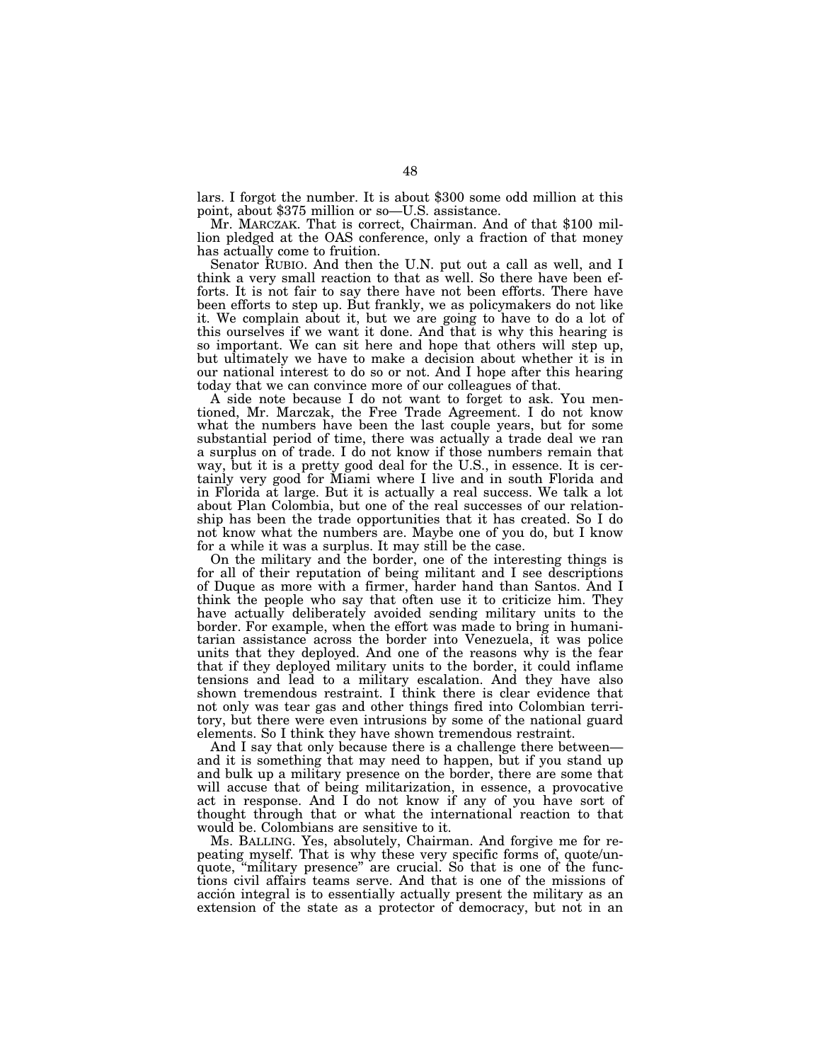lars. I forgot the number. It is about \$300 some odd million at this point, about \$375 million or so—U.S. assistance.

Mr. MARCZAK. That is correct, Chairman. And of that \$100 million pledged at the OAS conference, only a fraction of that money has actually come to fruition.

Senator RUBIO. And then the U.N. put out a call as well, and I think a very small reaction to that as well. So there have been efforts. It is not fair to say there have not been efforts. There have been efforts to step up. But frankly, we as policymakers do not like it. We complain about it, but we are going to have to do a lot of this ourselves if we want it done. And that is why this hearing is so important. We can sit here and hope that others will step up, but ultimately we have to make a decision about whether it is in our national interest to do so or not. And I hope after this hearing today that we can convince more of our colleagues of that.

A side note because I do not want to forget to ask. You mentioned, Mr. Marczak, the Free Trade Agreement. I do not know what the numbers have been the last couple years, but for some substantial period of time, there was actually a trade deal we ran a surplus on of trade. I do not know if those numbers remain that way, but it is a pretty good deal for the U.S., in essence. It is certainly very good for Miami where I live and in south Florida and in Florida at large. But it is actually a real success. We talk a lot about Plan Colombia, but one of the real successes of our relationship has been the trade opportunities that it has created. So I do not know what the numbers are. Maybe one of you do, but I know for a while it was a surplus. It may still be the case.

On the military and the border, one of the interesting things is for all of their reputation of being militant and I see descriptions of Duque as more with a firmer, harder hand than Santos. And I think the people who say that often use it to criticize him. They have actually deliberately avoided sending military units to the border. For example, when the effort was made to bring in humanitarian assistance across the border into Venezuela, it was police units that they deployed. And one of the reasons why is the fear that if they deployed military units to the border, it could inflame tensions and lead to a military escalation. And they have also shown tremendous restraint. I think there is clear evidence that not only was tear gas and other things fired into Colombian territory, but there were even intrusions by some of the national guard elements. So I think they have shown tremendous restraint.

And I say that only because there is a challenge there between and it is something that may need to happen, but if you stand up and bulk up a military presence on the border, there are some that will accuse that of being militarization, in essence, a provocative act in response. And I do not know if any of you have sort of thought through that or what the international reaction to that would be. Colombians are sensitive to it.

Ms. BALLING. Yes, absolutely, Chairman. And forgive me for repeating myself. That is why these very specific forms of, quote/unquote, "military presence" are crucial. So that is one of the functions civil affairs teams serve. And that is one of the missions of acción integral is to essentially actually present the military as an extension of the state as a protector of democracy, but not in an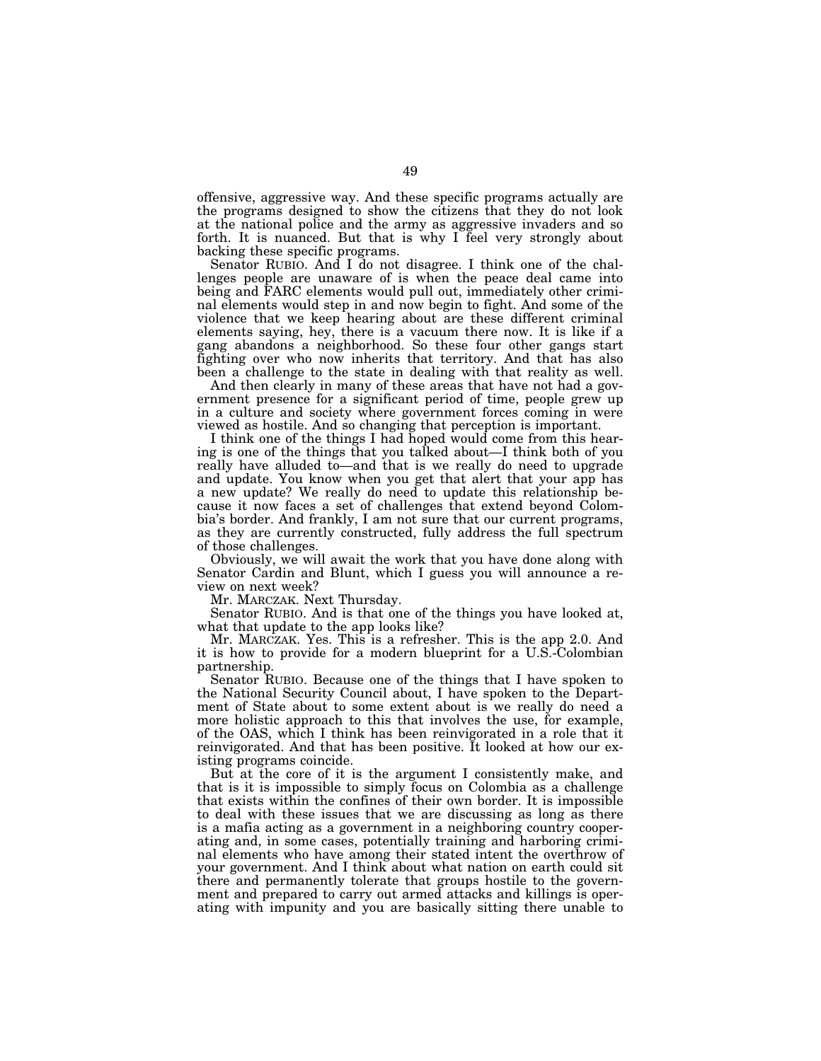offensive, aggressive way. And these specific programs actually are the programs designed to show the citizens that they do not look at the national police and the army as aggressive invaders and so forth. It is nuanced. But that is why  $\tilde{\Gamma}$  feel very strongly about backing these specific programs.

Senator RUBIO. And I do not disagree. I think one of the challenges people are unaware of is when the peace deal came into being and FARC elements would pull out, immediately other criminal elements would step in and now begin to fight. And some of the violence that we keep hearing about are these different criminal elements saying, hey, there is a vacuum there now. It is like if a gang abandons a neighborhood. So these four other gangs start fighting over who now inherits that territory. And that has also been a challenge to the state in dealing with that reality as well.

And then clearly in many of these areas that have not had a government presence for a significant period of time, people grew up in a culture and society where government forces coming in were viewed as hostile. And so changing that perception is important.

I think one of the things I had hoped would come from this hearing is one of the things that you talked about—I think both of you really have alluded to—and that is we really do need to upgrade and update. You know when you get that alert that your app has a new update? We really do need to update this relationship because it now faces a set of challenges that extend beyond Colombia's border. And frankly, I am not sure that our current programs, as they are currently constructed, fully address the full spectrum of those challenges.

Obviously, we will await the work that you have done along with Senator Cardin and Blunt, which I guess you will announce a review on next week?

Mr. MARCZAK. Next Thursday.

Senator RUBIO. And is that one of the things you have looked at, what that update to the app looks like?

Mr. MARCZAK. Yes. This is a refresher. This is the app 2.0. And it is how to provide for a modern blueprint for a U.S.-Colombian partnership.

Senator RUBIO. Because one of the things that I have spoken to the National Security Council about, I have spoken to the Department of State about to some extent about is we really do need a more holistic approach to this that involves the use, for example, of the OAS, which I think has been reinvigorated in a role that it reinvigorated. And that has been positive. It looked at how our existing programs coincide.

But at the core of it is the argument I consistently make, and that is it is impossible to simply focus on Colombia as a challenge that exists within the confines of their own border. It is impossible to deal with these issues that we are discussing as long as there is a mafia acting as a government in a neighboring country cooperating and, in some cases, potentially training and harboring criminal elements who have among their stated intent the overthrow of your government. And I think about what nation on earth could sit there and permanently tolerate that groups hostile to the government and prepared to carry out armed attacks and killings is operating with impunity and you are basically sitting there unable to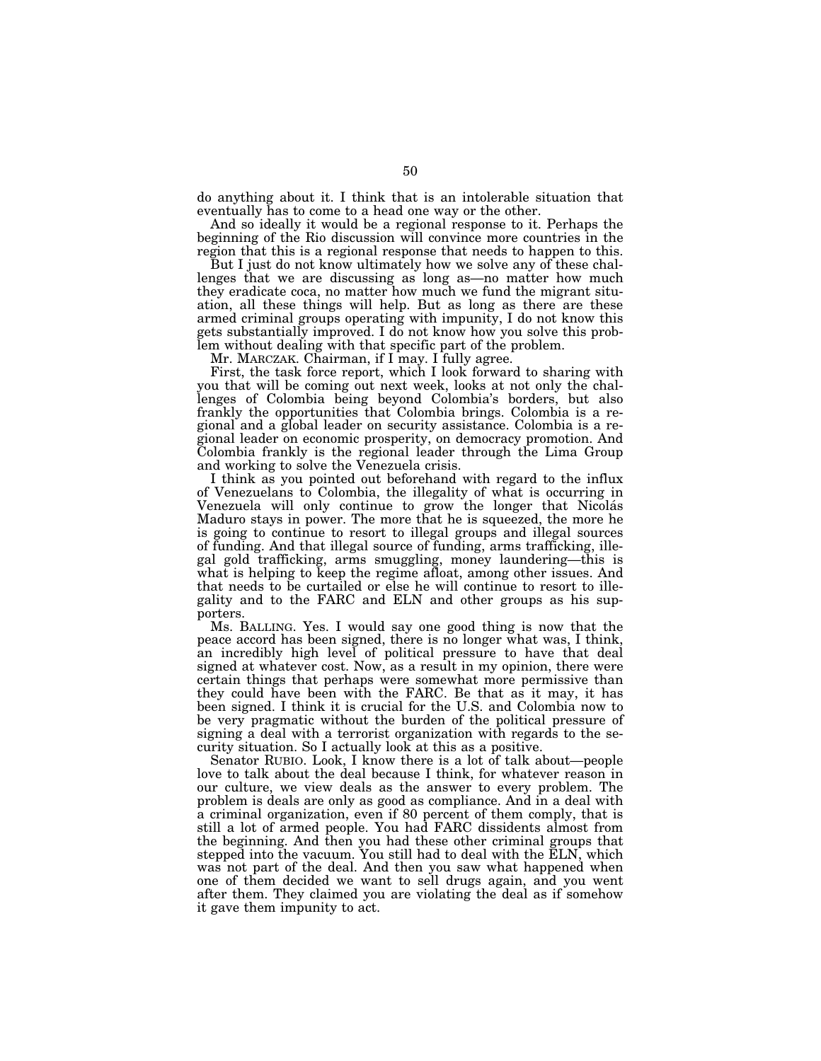do anything about it. I think that is an intolerable situation that eventually has to come to a head one way or the other.

And so ideally it would be a regional response to it. Perhaps the beginning of the Rio discussion will convince more countries in the region that this is a regional response that needs to happen to this.

But I just do not know ultimately how we solve any of these challenges that we are discussing as long as—no matter how much they eradicate coca, no matter how much we fund the migrant situation, all these things will help. But as long as there are these armed criminal groups operating with impunity, I do not know this gets substantially improved. I do not know how you solve this problem without dealing with that specific part of the problem.

Mr. MARCZAK. Chairman, if I may. I fully agree.

First, the task force report, which I look forward to sharing with you that will be coming out next week, looks at not only the challenges of Colombia being beyond Colombia's borders, but also frankly the opportunities that Colombia brings. Colombia is a regional and a global leader on security assistance. Colombia is a regional leader on economic prosperity, on democracy promotion. And Colombia frankly is the regional leader through the Lima Group and working to solve the Venezuela crisis.

I think as you pointed out beforehand with regard to the influx of Venezuelans to Colombia, the illegality of what is occurring in Venezuela will only continue to grow the longer that Nicolás Maduro stays in power. The more that he is squeezed, the more he is going to continue to resort to illegal groups and illegal sources of funding. And that illegal source of funding, arms trafficking, illegal gold trafficking, arms smuggling, money laundering—this is what is helping to keep the regime afloat, among other issues. And that needs to be curtailed or else he will continue to resort to illegality and to the FARC and ELN and other groups as his supporters.

Ms. BALLING. Yes. I would say one good thing is now that the peace accord has been signed, there is no longer what was, I think, an incredibly high level of political pressure to have that deal signed at whatever cost. Now, as a result in my opinion, there were certain things that perhaps were somewhat more permissive than they could have been with the FARC. Be that as it may, it has been signed. I think it is crucial for the U.S. and Colombia now to be very pragmatic without the burden of the political pressure of signing a deal with a terrorist organization with regards to the security situation. So I actually look at this as a positive.

Senator RUBIO. Look, I know there is a lot of talk about—people love to talk about the deal because I think, for whatever reason in our culture, we view deals as the answer to every problem. The problem is deals are only as good as compliance. And in a deal with a criminal organization, even if 80 percent of them comply, that is still a lot of armed people. You had FARC dissidents almost from the beginning. And then you had these other criminal groups that stepped into the vacuum. You still had to deal with the ELN, which was not part of the deal. And then you saw what happened when one of them decided we want to sell drugs again, and you went after them. They claimed you are violating the deal as if somehow it gave them impunity to act.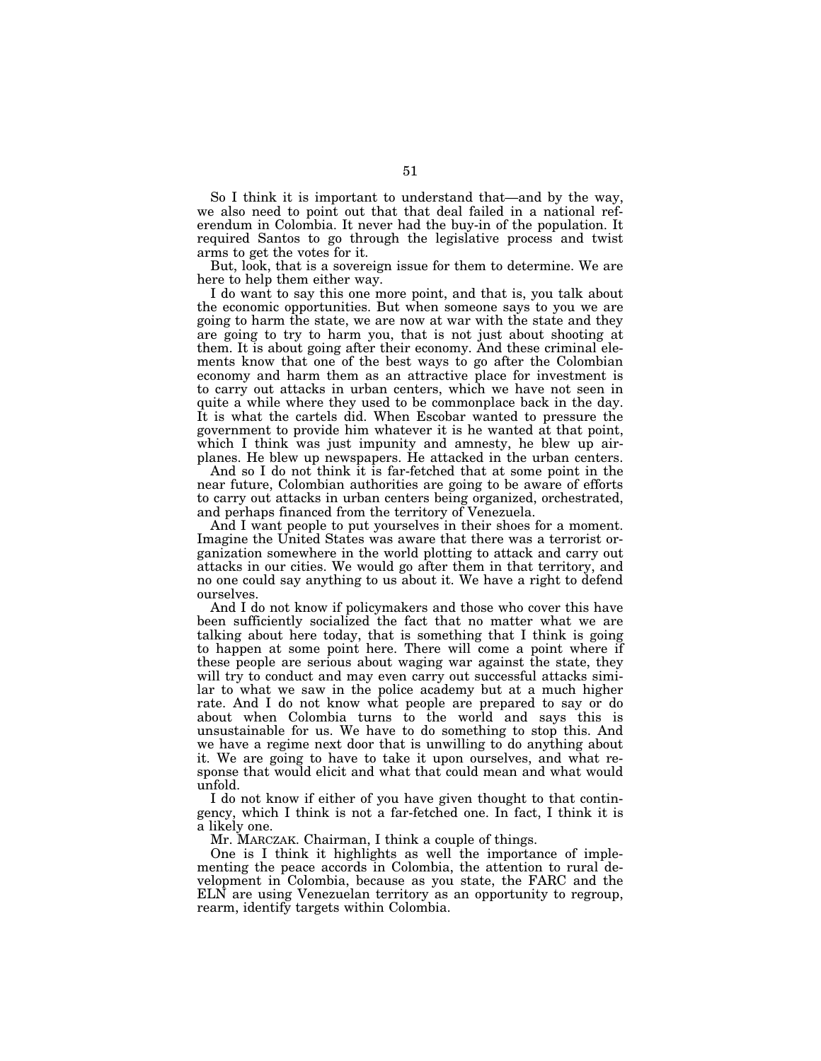So I think it is important to understand that—and by the way, we also need to point out that that deal failed in a national referendum in Colombia. It never had the buy-in of the population. It required Santos to go through the legislative process and twist arms to get the votes for it.

But, look, that is a sovereign issue for them to determine. We are here to help them either way.

I do want to say this one more point, and that is, you talk about the economic opportunities. But when someone says to you we are going to harm the state, we are now at war with the state and they are going to try to harm you, that is not just about shooting at them. It is about going after their economy. And these criminal elements know that one of the best ways to go after the Colombian economy and harm them as an attractive place for investment is to carry out attacks in urban centers, which we have not seen in quite a while where they used to be commonplace back in the day. It is what the cartels did. When Escobar wanted to pressure the government to provide him whatever it is he wanted at that point, which I think was just impunity and amnesty, he blew up airplanes. He blew up newspapers. He attacked in the urban centers.

And so I do not think it is far-fetched that at some point in the near future, Colombian authorities are going to be aware of efforts to carry out attacks in urban centers being organized, orchestrated, and perhaps financed from the territory of Venezuela.

And I want people to put yourselves in their shoes for a moment. Imagine the United States was aware that there was a terrorist organization somewhere in the world plotting to attack and carry out attacks in our cities. We would go after them in that territory, and no one could say anything to us about it. We have a right to defend ourselves.

And I do not know if policymakers and those who cover this have been sufficiently socialized the fact that no matter what we are talking about here today, that is something that I think is going to happen at some point here. There will come a point where if these people are serious about waging war against the state, they will try to conduct and may even carry out successful attacks similar to what we saw in the police academy but at a much higher rate. And I do not know what people are prepared to say or do about when Colombia turns to the world and says this is unsustainable for us. We have to do something to stop this. And we have a regime next door that is unwilling to do anything about it. We are going to have to take it upon ourselves, and what response that would elicit and what that could mean and what would unfold.

I do not know if either of you have given thought to that contingency, which I think is not a far-fetched one. In fact, I think it is a likely one.

Mr. MARCZAK. Chairman, I think a couple of things.

One is I think it highlights as well the importance of implementing the peace accords in Colombia, the attention to rural development in Colombia, because as you state, the FARC and the ELN are using Venezuelan territory as an opportunity to regroup, rearm, identify targets within Colombia.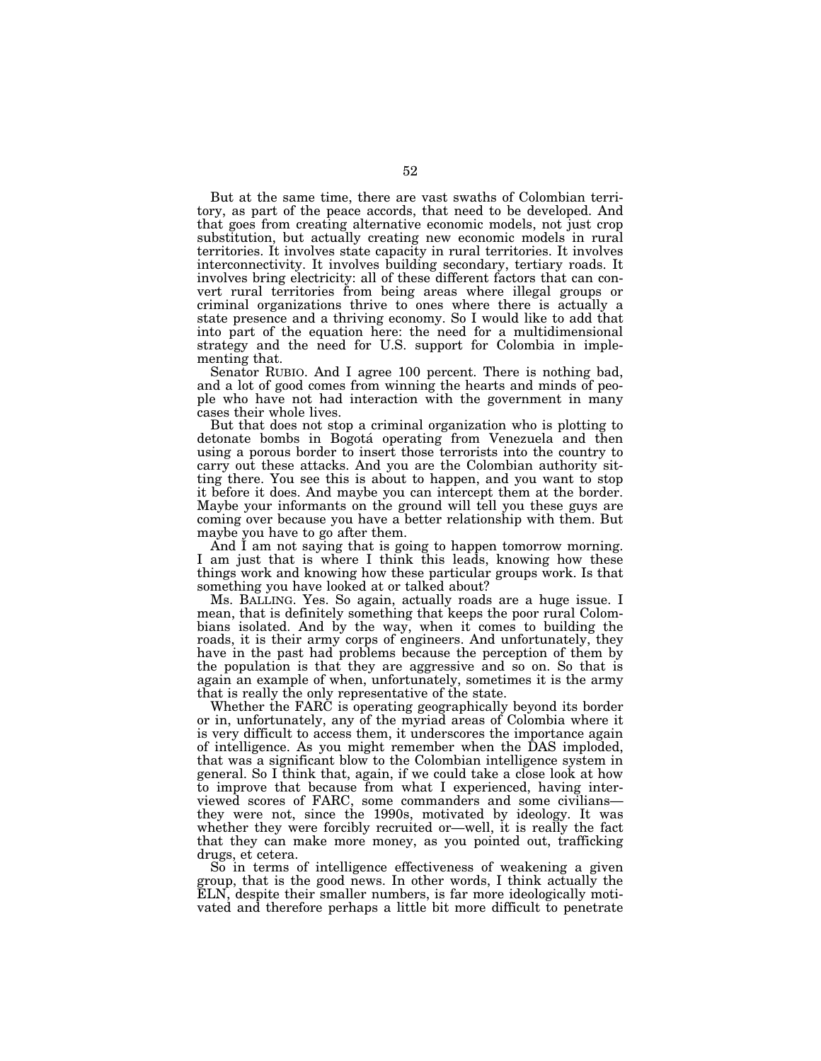But at the same time, there are vast swaths of Colombian territory, as part of the peace accords, that need to be developed. And that goes from creating alternative economic models, not just crop substitution, but actually creating new economic models in rural territories. It involves state capacity in rural territories. It involves interconnectivity. It involves building secondary, tertiary roads. It involves bring electricity: all of these different factors that can convert rural territories from being areas where illegal groups or criminal organizations thrive to ones where there is actually a state presence and a thriving economy. So I would like to add that into part of the equation here: the need for a multidimensional strategy and the need for U.S. support for Colombia in implementing that.

Senator RUBIO. And I agree 100 percent. There is nothing bad, and a lot of good comes from winning the hearts and minds of people who have not had interaction with the government in many cases their whole lives.

But that does not stop a criminal organization who is plotting to detonate bombs in Bogota´ operating from Venezuela and then using a porous border to insert those terrorists into the country to carry out these attacks. And you are the Colombian authority sitting there. You see this is about to happen, and you want to stop it before it does. And maybe you can intercept them at the border. Maybe your informants on the ground will tell you these guys are coming over because you have a better relationship with them. But maybe you have to go after them.

And I am not saying that is going to happen tomorrow morning. I am just that is where I think this leads, knowing how these things work and knowing how these particular groups work. Is that something you have looked at or talked about?

Ms. BALLING. Yes. So again, actually roads are a huge issue. I mean, that is definitely something that keeps the poor rural Colombians isolated. And by the way, when it comes to building the roads, it is their army corps of engineers. And unfortunately, they have in the past had problems because the perception of them by the population is that they are aggressive and so on. So that is again an example of when, unfortunately, sometimes it is the army that is really the only representative of the state.

Whether the FARC is operating geographically beyond its border or in, unfortunately, any of the myriad areas of Colombia where it is very difficult to access them, it underscores the importance again of intelligence. As you might remember when the DAS imploded, that was a significant blow to the Colombian intelligence system in general. So I think that, again, if we could take a close look at how to improve that because from what I experienced, having interviewed scores of FARC, some commanders and some civilians they were not, since the 1990s, motivated by ideology. It was whether they were forcibly recruited or—well, it is really the fact that they can make more money, as you pointed out, trafficking drugs, et cetera.

So in terms of intelligence effectiveness of weakening a given group, that is the good news. In other words, I think actually the ELN, despite their smaller numbers, is far more ideologically motivated and therefore perhaps a little bit more difficult to penetrate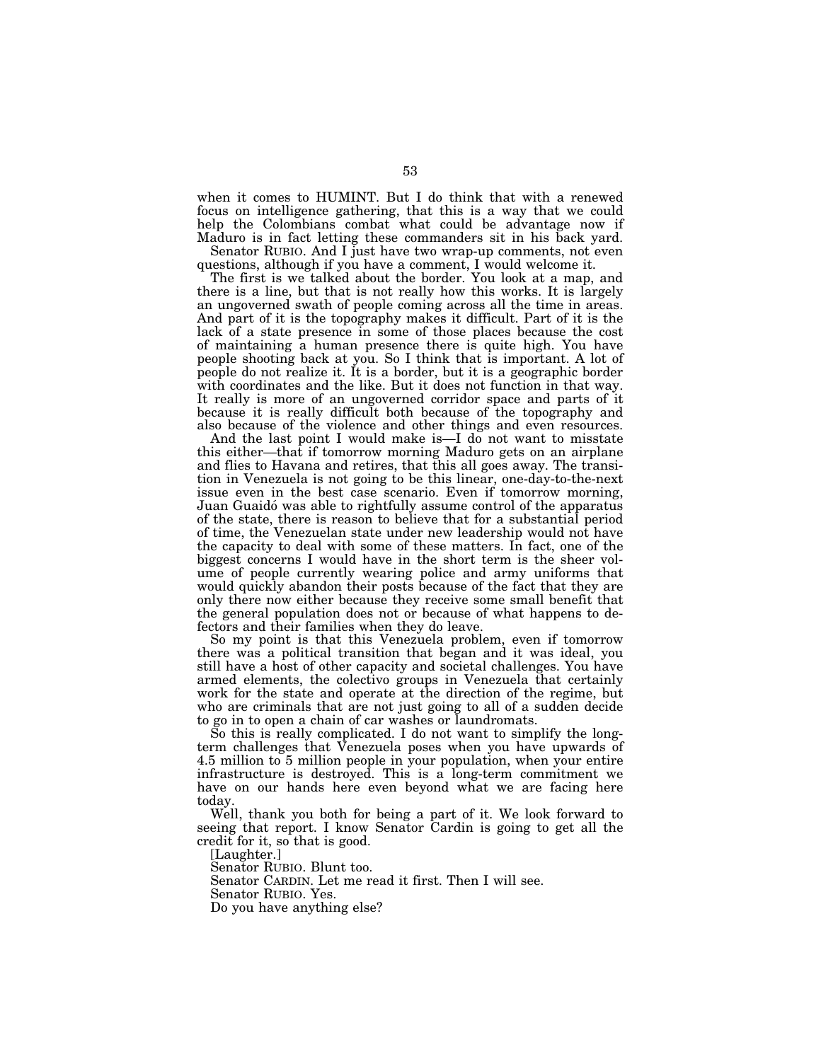when it comes to HUMINT. But I do think that with a renewed focus on intelligence gathering, that this is a way that we could help the Colombians combat what could be advantage now if Maduro is in fact letting these commanders sit in his back yard.

Senator RUBIO. And I just have two wrap-up comments, not even questions, although if you have a comment, I would welcome it.

The first is we talked about the border. You look at a map, and there is a line, but that is not really how this works. It is largely an ungoverned swath of people coming across all the time in areas. And part of it is the topography makes it difficult. Part of it is the lack of a state presence in some of those places because the cost of maintaining a human presence there is quite high. You have people shooting back at you. So I think that is important. A lot of people do not realize it. It is a border, but it is a geographic border with coordinates and the like. But it does not function in that way. It really is more of an ungoverned corridor space and parts of it because it is really difficult both because of the topography and also because of the violence and other things and even resources.

And the last point I would make is—I do not want to misstate this either—that if tomorrow morning Maduro gets on an airplane and flies to Havana and retires, that this all goes away. The transition in Venezuela is not going to be this linear, one-day-to-the-next issue even in the best case scenario. Even if tomorrow morning, Juan Guaidó was able to rightfully assume control of the apparatus of the state, there is reason to believe that for a substantial period of time, the Venezuelan state under new leadership would not have the capacity to deal with some of these matters. In fact, one of the biggest concerns I would have in the short term is the sheer volume of people currently wearing police and army uniforms that would quickly abandon their posts because of the fact that they are only there now either because they receive some small benefit that the general population does not or because of what happens to defectors and their families when they do leave.

So my point is that this Venezuela problem, even if tomorrow there was a political transition that began and it was ideal, you still have a host of other capacity and societal challenges. You have armed elements, the colectivo groups in Venezuela that certainly work for the state and operate at the direction of the regime, but who are criminals that are not just going to all of a sudden decide to go in to open a chain of car washes or laundromats.

So this is really complicated. I do not want to simplify the longterm challenges that Venezuela poses when you have upwards of 4.5 million to 5 million people in your population, when your entire infrastructure is destroyed. This is a long-term commitment we have on our hands here even beyond what we are facing here today.

Well, thank you both for being a part of it. We look forward to seeing that report. I know Senator Cardin is going to get all the credit for it, so that is good.

[Laughter.]

Senator RUBIO. Blunt too.

Senator CARDIN. Let me read it first. Then I will see.

Senator RUBIO. Yes.

Do you have anything else?